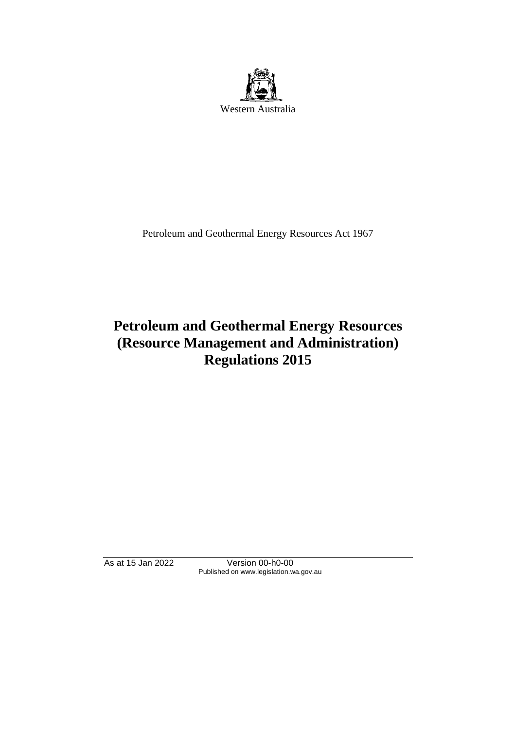

Petroleum and Geothermal Energy Resources Act 1967

# **Petroleum and Geothermal Energy Resources (Resource Management and Administration) Regulations 2015**

As at 15 Jan 2022 Version 00-h0-00 Published on www.legislation.wa.gov.au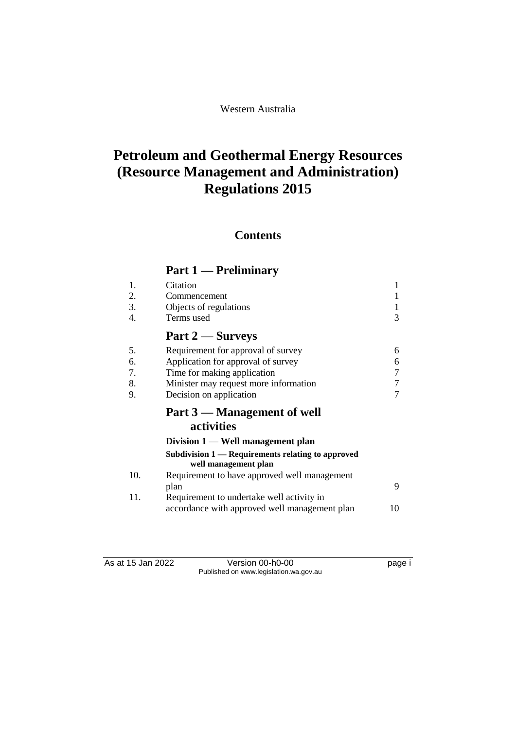## Western Australia

# **Petroleum and Geothermal Energy Resources (Resource Management and Administration) Regulations 2015**

## **Contents**

## **Part 1 — Preliminary**

| 1.  | Citation                                                                  | $\mathbf{1}$ |
|-----|---------------------------------------------------------------------------|--------------|
| 2.  | Commencement                                                              |              |
| 3.  | Objects of regulations                                                    |              |
| 4.  | Terms used                                                                | 3            |
|     | Part 2 – Surveys                                                          |              |
| 5.  | Requirement for approval of survey                                        | 6            |
| 6.  | Application for approval of survey                                        | 6            |
| 7.  | Time for making application                                               |              |
| 8.  | Minister may request more information                                     |              |
| 9.  | Decision on application                                                   |              |
|     | Part 3 — Management of well                                               |              |
|     | activities                                                                |              |
|     | Division 1 — Well management plan                                         |              |
|     | Subdivision 1 — Requirements relating to approved<br>well management plan |              |
| 10. | Requirement to have approved well management                              |              |
|     | plan                                                                      | 9            |
| 11. | Requirement to undertake well activity in                                 |              |
|     | accordance with approved well management plan                             | 10           |

As at 15 Jan 2022 Version 00-h0-00 Published on www.legislation.wa.gov.au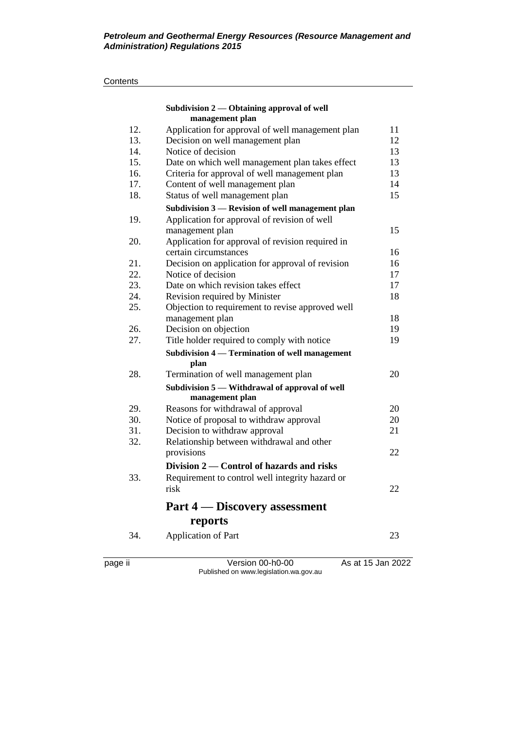#### **Contents**

|     | Subdivision 2 — Obtaining approval of well<br>management plan     |    |
|-----|-------------------------------------------------------------------|----|
| 12. | Application for approval of well management plan                  | 11 |
| 13. | Decision on well management plan                                  | 12 |
| 14. | Notice of decision                                                | 13 |
| 15. | Date on which well management plan takes effect                   | 13 |
| 16. | Criteria for approval of well management plan                     | 13 |
| 17. | Content of well management plan                                   | 14 |
| 18. | Status of well management plan                                    | 15 |
|     | Subdivision 3 - Revision of well management plan                  |    |
| 19. | Application for approval of revision of well                      |    |
|     | management plan                                                   | 15 |
| 20. | Application for approval of revision required in                  |    |
|     | certain circumstances                                             | 16 |
| 21. | Decision on application for approval of revision                  | 16 |
| 22. | Notice of decision                                                | 17 |
| 23. | Date on which revision takes effect                               | 17 |
| 24. | Revision required by Minister                                     | 18 |
| 25. | Objection to requirement to revise approved well                  |    |
|     | management plan                                                   | 18 |
| 26. | Decision on objection                                             | 19 |
| 27. | Title holder required to comply with notice                       | 19 |
|     | Subdivision 4 - Termination of well management<br>plan            |    |
| 28. | Termination of well management plan                               | 20 |
|     | Subdivision 5 - Withdrawal of approval of well<br>management plan |    |
| 29. | Reasons for withdrawal of approval                                | 20 |
| 30. | Notice of proposal to withdraw approval                           | 20 |
| 31. | Decision to withdraw approval                                     | 21 |
| 32. | Relationship between withdrawal and other                         |    |
|     | provisions                                                        | 22 |
|     | Division 2 – Control of hazards and risks                         |    |
| 33. | Requirement to control well integrity hazard or                   |    |
|     | risk                                                              | 22 |
|     | <b>Part 4 — Discovery assessment</b>                              |    |
|     | reports                                                           |    |
| 34. | <b>Application of Part</b>                                        | 23 |

page ii Version 00-h0-00 As at 15 Jan 2022 Published on www.legislation.wa.gov.au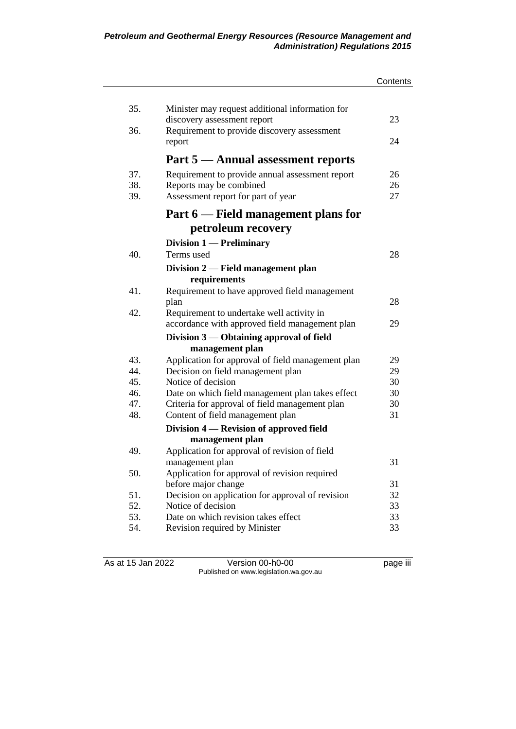|     |                                                   | Contents |
|-----|---------------------------------------------------|----------|
|     |                                                   |          |
| 35. | Minister may request additional information for   | 23       |
| 36. | discovery assessment report                       |          |
|     | Requirement to provide discovery assessment       | 24       |
|     | report                                            |          |
|     | Part 5 — Annual assessment reports                |          |
| 37. | Requirement to provide annual assessment report   | 26       |
| 38. | Reports may be combined                           | 26       |
| 39. | Assessment report for part of year                | 27       |
|     | Part 6 — Field management plans for               |          |
|     | petroleum recovery                                |          |
|     | Division 1 - Preliminary                          |          |
| 40. | Terms used                                        | 28       |
|     | Division 2 — Field management plan                |          |
|     | requirements                                      |          |
| 41. | Requirement to have approved field management     |          |
|     | plan                                              | 28       |
| 42. | Requirement to undertake well activity in         |          |
|     | accordance with approved field management plan    | 29       |
|     | Division 3 — Obtaining approval of field          |          |
|     | management plan                                   |          |
| 43. | Application for approval of field management plan | 29       |
| 44. | Decision on field management plan                 | 29       |
| 45. | Notice of decision                                | 30       |
| 46. | Date on which field management plan takes effect  | 30       |
| 47. | Criteria for approval of field management plan    | 30       |
| 48. | Content of field management plan                  | 31       |
|     | Division 4 — Revision of approved field           |          |
|     | management plan                                   |          |
| 49. | Application for approval of revision of field     |          |
|     | management plan                                   | 31       |
| 50. | Application for approval of revision required     |          |
|     | before major change                               | 31       |
| 51. | Decision on application for approval of revision  | 32       |
| 52. | Notice of decision                                | 33       |
| 53. | Date on which revision takes effect               | 33       |
| 54. | Revision required by Minister                     | 33       |

As at 15 Jan 2022 Version 00-h0-00 page iii Published on www.legislation.wa.gov.au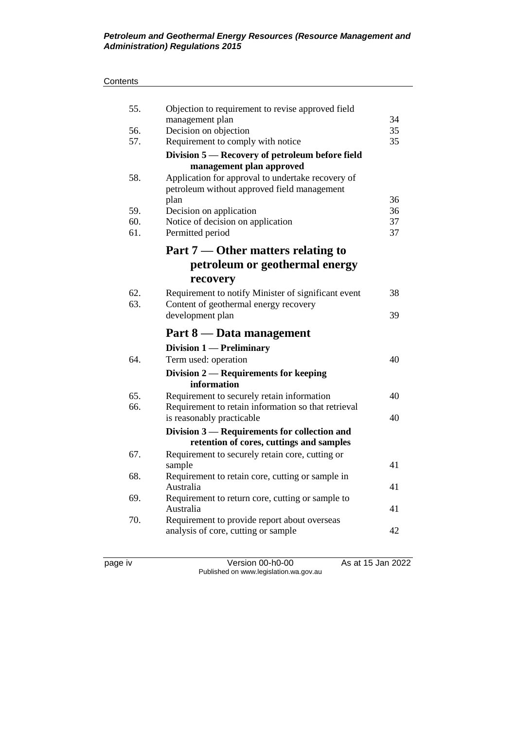#### **Contents**

| 55.        | Objection to requirement to revise approved field                             |          |
|------------|-------------------------------------------------------------------------------|----------|
|            | management plan                                                               | 34       |
| 56.<br>57. | Decision on objection                                                         | 35<br>35 |
|            | Requirement to comply with notice                                             |          |
|            | Division 5 — Recovery of petroleum before field                               |          |
| 58.        | management plan approved<br>Application for approval to undertake recovery of |          |
|            | petroleum without approved field management                                   |          |
|            | plan                                                                          | 36       |
| 59.        | Decision on application                                                       | 36       |
| 60.        | Notice of decision on application                                             | 37       |
| 61.        | Permitted period                                                              | 37       |
|            | Part 7 — Other matters relating to                                            |          |
|            | petroleum or geothermal energy                                                |          |
|            | recovery                                                                      |          |
| 62.        | Requirement to notify Minister of significant event                           | 38       |
| 63.        | Content of geothermal energy recovery                                         |          |
|            | development plan                                                              | 39       |
|            |                                                                               |          |
|            | Part 8 — Data management                                                      |          |
|            | Division 1 - Preliminary                                                      |          |
| 64.        | Term used: operation                                                          | 40       |
|            |                                                                               |          |
|            | Division 2 — Requirements for keeping<br>information                          |          |
| 65.        | Requirement to securely retain information                                    | 40       |
| 66.        | Requirement to retain information so that retrieval                           |          |
|            | is reasonably practicable                                                     | 40       |
|            | Division 3 — Requirements for collection and                                  |          |
|            | retention of cores, cuttings and samples                                      |          |
| 67.        | Requirement to securely retain core, cutting or                               |          |
|            | sample                                                                        | 41       |
| 68.        | Requirement to retain core, cutting or sample in<br>Australıa                 | 41       |
| 69.        | Requirement to return core, cutting or sample to                              |          |
|            | Australia                                                                     | 41       |
| 70.        | Requirement to provide report about overseas                                  |          |
|            | analysis of core, cutting or sample                                           | 42       |

page iv Version 00-h0-00 As at 15 Jan 2022 Published on www.legislation.wa.gov.au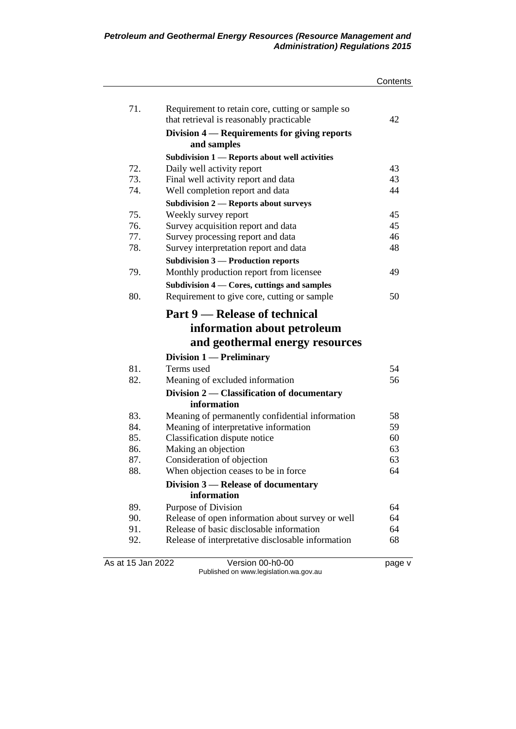|                   |                                                                                              | Contents |
|-------------------|----------------------------------------------------------------------------------------------|----------|
|                   |                                                                                              |          |
| 71.               | Requirement to retain core, cutting or sample so<br>that retrieval is reasonably practicable | 42       |
|                   | Division 4 — Requirements for giving reports                                                 |          |
|                   | and samples                                                                                  |          |
|                   | Subdivision 1 - Reports about well activities                                                |          |
| 72.               | Daily well activity report                                                                   | 43       |
| 73.               | Final well activity report and data                                                          | 43       |
| 74.               | Well completion report and data                                                              | 44       |
|                   | <b>Subdivision 2 – Reports about surveys</b>                                                 |          |
| 75.               | Weekly survey report                                                                         | 45       |
| 76.               | Survey acquisition report and data                                                           | 45       |
| 77.               | Survey processing report and data                                                            | 46       |
| 78.               | Survey interpretation report and data                                                        | 48       |
|                   | <b>Subdivision 3 — Production reports</b>                                                    |          |
| 79.               | Monthly production report from licensee                                                      | 49       |
|                   |                                                                                              |          |
|                   | Subdivision 4 – Cores, cuttings and samples                                                  |          |
| 80.               | Requirement to give core, cutting or sample                                                  | 50       |
|                   | Part 9 — Release of technical                                                                |          |
|                   | information about petroleum                                                                  |          |
|                   | and geothermal energy resources                                                              |          |
|                   | Division 1 - Preliminary                                                                     |          |
| 81.               | Terms used                                                                                   | 54       |
| 82.               | Meaning of excluded information                                                              | 56       |
|                   | Division 2 — Classification of documentary                                                   |          |
|                   | information                                                                                  |          |
| 83.               | Meaning of permanently confidential information                                              | 58       |
| 84.               | Meaning of interpretative information                                                        | 59       |
| 85.               | Classification dispute notice                                                                | 60       |
| 86.               | Making an objection                                                                          | 63       |
| 87.               | Consideration of objection                                                                   | 63       |
| 88.               | When objection ceases to be in force                                                         | 64       |
|                   | Division $3$ — Release of documentary                                                        |          |
|                   | information                                                                                  |          |
| 89.               | Purpose of Division                                                                          | 64       |
| 90.               | Release of open information about survey or well                                             | 64       |
| 91.               | Release of basic disclosable information                                                     | 64       |
| 92.               | Release of interpretative disclosable information                                            | 68       |
| As at 15 Jan 2022 | Version 00-h0-00                                                                             | page v   |

Published on www.legislation.wa.gov.au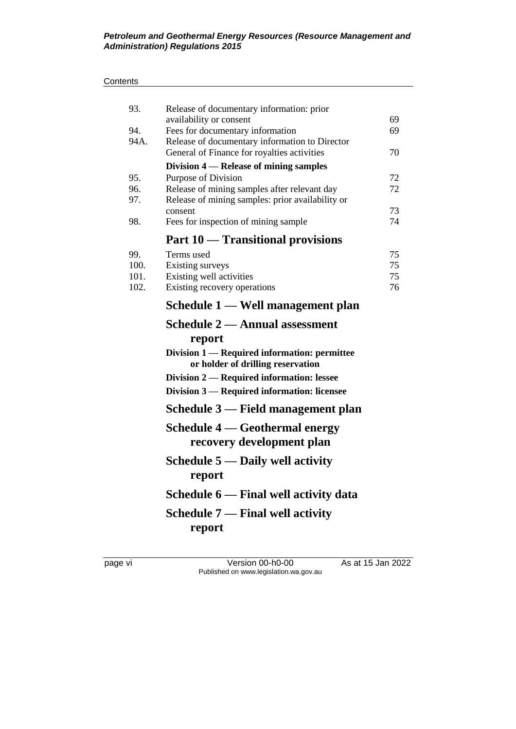#### **Contents**

| 93.  | Release of documentary information: prior                                          |          |
|------|------------------------------------------------------------------------------------|----------|
| 94.  | availability or consent                                                            | 69<br>69 |
| 94A. | Fees for documentary information<br>Release of documentary information to Director |          |
|      | General of Finance for royalties activities                                        | 70       |
|      | Division 4 — Release of mining samples                                             |          |
| 95.  | Purpose of Division                                                                | 72       |
| 96.  | Release of mining samples after relevant day                                       | 72       |
| 97.  | Release of mining samples: prior availability or                                   |          |
|      | consent                                                                            | 73       |
| 98.  | Fees for inspection of mining sample                                               | 74       |
|      | Part 10 — Transitional provisions                                                  |          |
| 99.  | Terms used                                                                         | 75       |
| 100. | Existing surveys                                                                   | 75       |
| 101. | Existing well activities                                                           | 75       |
| 102. | Existing recovery operations                                                       | 76       |
|      | Schedule 1 — Well management plan                                                  |          |
|      | <b>Schedule 2 — Annual assessment</b>                                              |          |
|      | report                                                                             |          |
|      | Division 1 — Required information: permittee                                       |          |
|      | or holder of drilling reservation                                                  |          |
|      | Division 2 — Required information: lessee                                          |          |
|      |                                                                                    |          |
|      | Division 3 — Required information: licensee                                        |          |
|      | Schedule 3 — Field management plan                                                 |          |
|      | Schedule 4 — Geothermal energy                                                     |          |
|      | recovery development plan                                                          |          |
|      | Schedule $5 -$ Daily well activity                                                 |          |
|      | report                                                                             |          |
|      | Schedule 6 — Final well activity data                                              |          |
|      | Schedule $7$ — Final well activity                                                 |          |
|      |                                                                                    |          |
|      | report                                                                             |          |
|      |                                                                                    |          |

page vi Version 00-h0-00 As at 15 Jan 2022 Published on www.legislation.wa.gov.au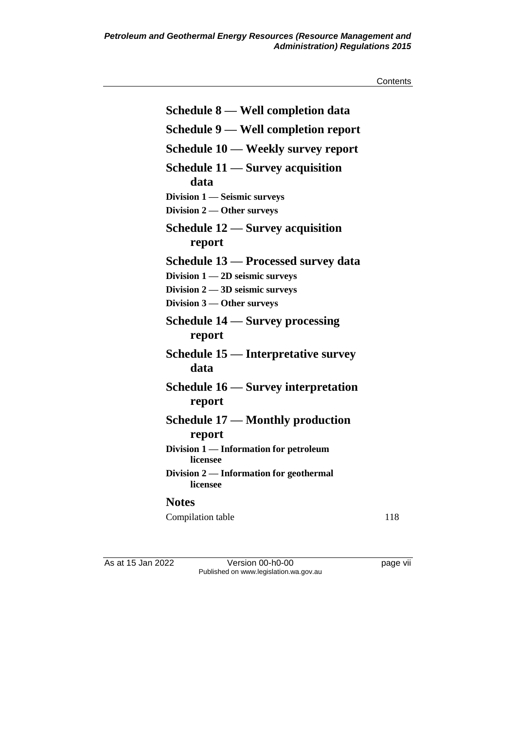**Contents** 

| Schedule 8 — Well completion data                                        |     |
|--------------------------------------------------------------------------|-----|
| Schedule 9 — Well completion report                                      |     |
| Schedule 10 — Weekly survey report                                       |     |
| Schedule 11 — Survey acquisition<br>data                                 |     |
| Division 1 - Seismic surveys                                             |     |
| Division 2 — Other surveys                                               |     |
| Schedule $12$ — Survey acquisition<br>report                             |     |
| Schedule 13 – Processed survey data<br>Division $1 - 2D$ seismic surveys |     |
| Division $2 - 3D$ seismic surveys                                        |     |
| Division 3 – Other surveys                                               |     |
| Schedule 14 — Survey processing<br>report                                |     |
| Schedule 15 — Interpretative survey<br>data                              |     |
| Schedule 16 – Survey interpretation<br>report                            |     |
| Schedule 17 — Monthly production<br>report                               |     |
| Division 1 — Information for petroleum<br>licensee                       |     |
| Division 2 — Information for geothermal<br>licensee                      |     |
| <b>Notes</b>                                                             |     |
| Compilation table                                                        | 118 |

As at 15 Jan 2022 Version 00-h0-00 Page vii Published on www.legislation.wa.gov.au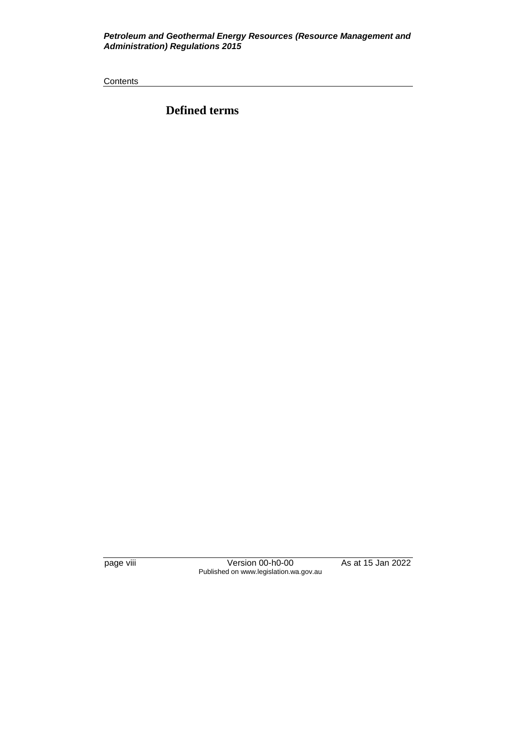#### *Petroleum and Geothermal Energy Resources (Resource Management and Administration) Regulations 2015*

**Contents** 

**Defined terms**

page viii Version 00-h0-00 As at 15 Jan 2022 Published on www.legislation.wa.gov.au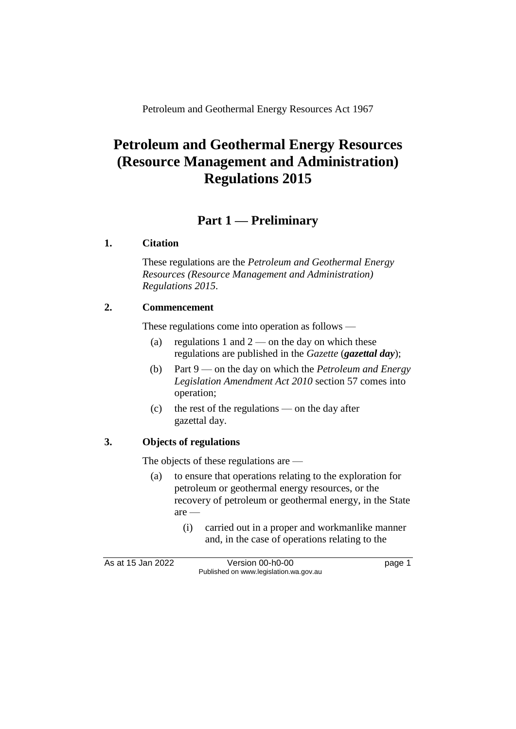Petroleum and Geothermal Energy Resources Act 1967

# **Petroleum and Geothermal Energy Resources (Resource Management and Administration) Regulations 2015**

## **Part 1 — Preliminary**

#### **1. Citation**

These regulations are the *Petroleum and Geothermal Energy Resources (Resource Management and Administration) Regulations 2015*.

### **2. Commencement**

These regulations come into operation as follows —

- (a) regulations 1 and  $2$  on the day on which these regulations are published in the *Gazette* (*gazettal day*);
- (b) Part 9 on the day on which the *Petroleum and Energy Legislation Amendment Act 2010* section 57 comes into operation;
- (c) the rest of the regulations on the day after gazettal day.

## **3. Objects of regulations**

The objects of these regulations are —

- (a) to ensure that operations relating to the exploration for petroleum or geothermal energy resources, or the recovery of petroleum or geothermal energy, in the State are —
	- (i) carried out in a proper and workmanlike manner and, in the case of operations relating to the

As at 15 Jan 2022 Version 00-h0-00 page 1 Published on www.legislation.wa.gov.au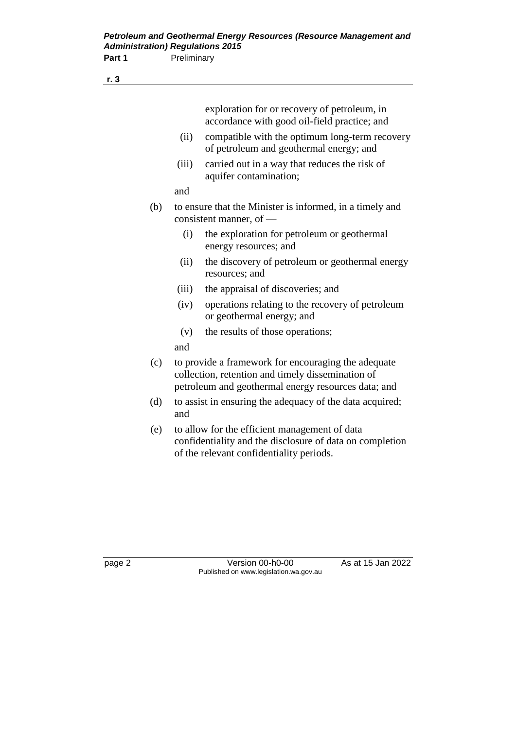|     |       | exploration for or recovery of petroleum, in<br>accordance with good oil-field practice; and                                                                    |
|-----|-------|-----------------------------------------------------------------------------------------------------------------------------------------------------------------|
|     | (ii)  | compatible with the optimum long-term recovery<br>of petroleum and geothermal energy; and                                                                       |
|     | (iii) | carried out in a way that reduces the risk of<br>aquifer contamination;                                                                                         |
|     | and   |                                                                                                                                                                 |
| (b) |       | to ensure that the Minister is informed, in a timely and<br>consistent manner, of $-$                                                                           |
|     | (i)   | the exploration for petroleum or geothermal<br>energy resources; and                                                                                            |
|     | (ii)  | the discovery of petroleum or geothermal energy<br>resources; and                                                                                               |
|     | (iii) | the appraisal of discoveries; and                                                                                                                               |
|     | (iv)  | operations relating to the recovery of petroleum<br>or geothermal energy; and                                                                                   |
|     | (v)   | the results of those operations;                                                                                                                                |
|     | and   |                                                                                                                                                                 |
| (c) |       | to provide a framework for encouraging the adequate<br>collection, retention and timely dissemination of<br>petroleum and geothermal energy resources data; and |
| (d) | and   | to assist in ensuring the adequacy of the data acquired;                                                                                                        |
| (e) |       | to allow for the efficient management of data<br>confidentiality and the disclosure of data on completion                                                       |

page 2 Version 00-h0-00 As at 15 Jan 2022 Published on www.legislation.wa.gov.au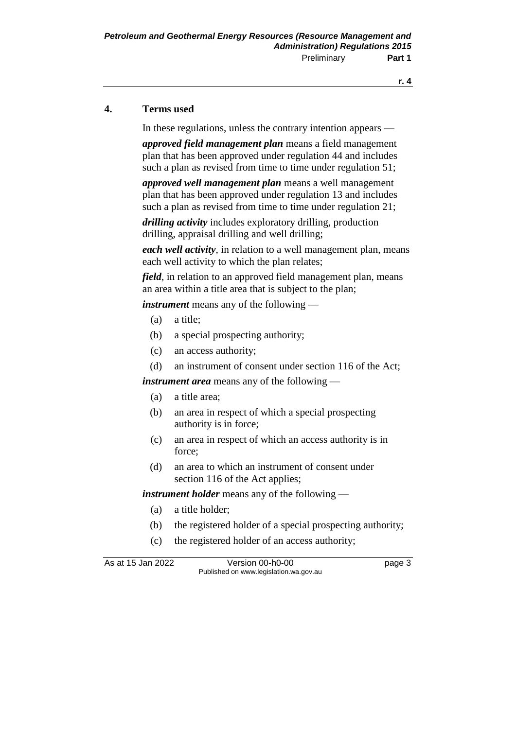## **4. Terms used**

In these regulations, unless the contrary intention appears —

*approved field management plan* means a field management plan that has been approved under regulation 44 and includes such a plan as revised from time to time under regulation 51;

*approved well management plan* means a well management plan that has been approved under regulation 13 and includes such a plan as revised from time to time under regulation 21;

*drilling activity* includes exploratory drilling, production drilling, appraisal drilling and well drilling;

*each well activity*, in relation to a well management plan, means each well activity to which the plan relates;

*field*, in relation to an approved field management plan, means an area within a title area that is subject to the plan;

*instrument* means any of the following —

- (a) a title;
- (b) a special prospecting authority;
- (c) an access authority;
- (d) an instrument of consent under section 116 of the Act;

*instrument area* means any of the following —

- (a) a title area;
- (b) an area in respect of which a special prospecting authority is in force;
- (c) an area in respect of which an access authority is in force;
- (d) an area to which an instrument of consent under section 116 of the Act applies;

*instrument holder* means any of the following —

- (a) a title holder;
- (b) the registered holder of a special prospecting authority;
- (c) the registered holder of an access authority;

As at 15 Jan 2022 Version 00-h0-00 Page 3 Published on www.legislation.wa.gov.au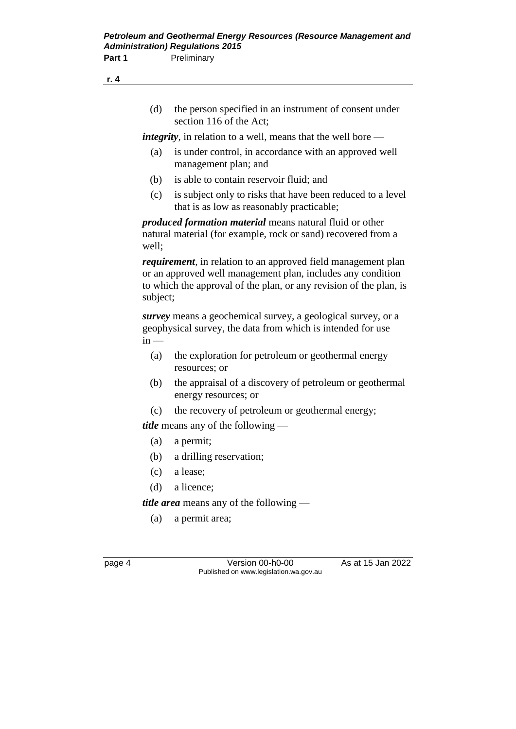(d) the person specified in an instrument of consent under section 116 of the Act;

*integrity*, in relation to a well, means that the well bore —

- (a) is under control, in accordance with an approved well management plan; and
- (b) is able to contain reservoir fluid; and
- (c) is subject only to risks that have been reduced to a level that is as low as reasonably practicable;

*produced formation material* means natural fluid or other natural material (for example, rock or sand) recovered from a well;

*requirement*, in relation to an approved field management plan or an approved well management plan, includes any condition to which the approval of the plan, or any revision of the plan, is subject;

*survey* means a geochemical survey, a geological survey, or a geophysical survey, the data from which is intended for use  $in -$ 

- (a) the exploration for petroleum or geothermal energy resources; or
- (b) the appraisal of a discovery of petroleum or geothermal energy resources; or
- (c) the recovery of petroleum or geothermal energy;

*title* means any of the following —

- (a) a permit;
- (b) a drilling reservation;
- (c) a lease;
- (d) a licence;

*title area* means any of the following —

(a) a permit area;

page 4 Version 00-h0-00 As at 15 Jan 2022 Published on www.legislation.wa.gov.au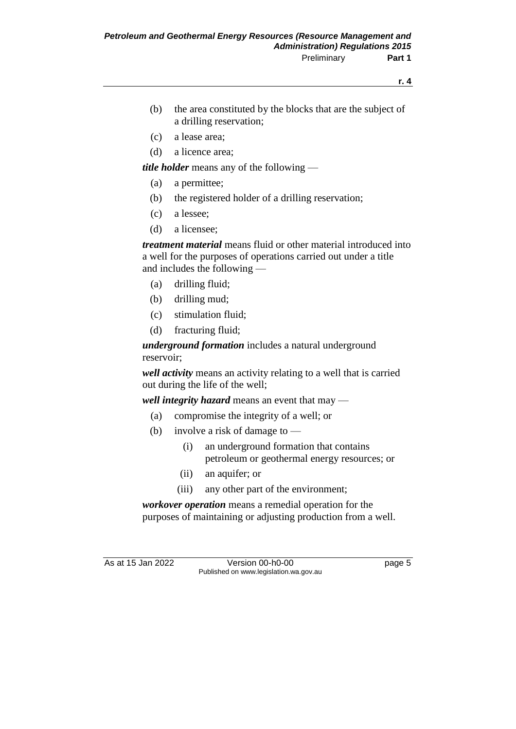- (b) the area constituted by the blocks that are the subject of a drilling reservation;
- (c) a lease area;
- (d) a licence area;

*title holder* means any of the following —

- (a) a permittee;
- (b) the registered holder of a drilling reservation;
- (c) a lessee;
- (d) a licensee;

*treatment material* means fluid or other material introduced into a well for the purposes of operations carried out under a title and includes the following —

- (a) drilling fluid;
- (b) drilling mud;
- (c) stimulation fluid;
- (d) fracturing fluid;

*underground formation* includes a natural underground reservoir;

*well activity* means an activity relating to a well that is carried out during the life of the well;

*well integrity hazard* means an event that may —

- (a) compromise the integrity of a well; or
- (b) involve a risk of damage to
	- (i) an underground formation that contains petroleum or geothermal energy resources; or
	- (ii) an aquifer; or
	- (iii) any other part of the environment;

*workover operation* means a remedial operation for the purposes of maintaining or adjusting production from a well.

As at 15 Jan 2022 Version 00-h0-00 Page 5 Published on www.legislation.wa.gov.au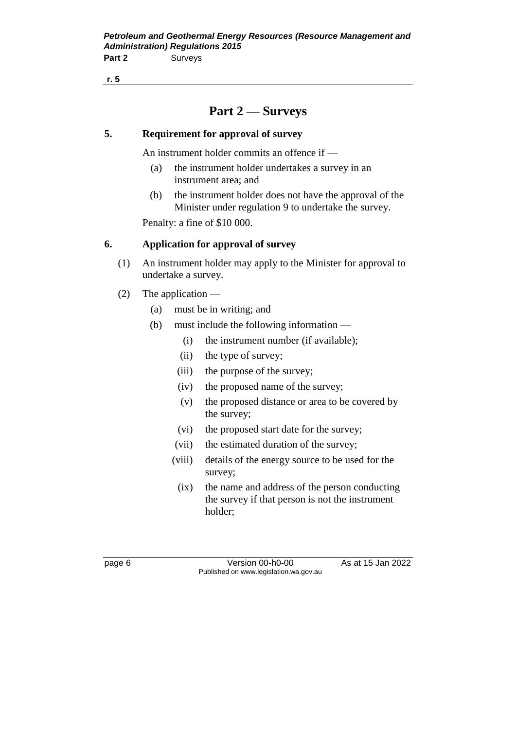## **Part 2 — Surveys**

### **5. Requirement for approval of survey**

An instrument holder commits an offence if —

- (a) the instrument holder undertakes a survey in an instrument area; and
- (b) the instrument holder does not have the approval of the Minister under regulation 9 to undertake the survey.

Penalty: a fine of \$10 000.

### **6. Application for approval of survey**

- (1) An instrument holder may apply to the Minister for approval to undertake a survey.
- (2) The application
	- (a) must be in writing; and
	- (b) must include the following information
		- (i) the instrument number (if available);
		- (ii) the type of survey;
		- (iii) the purpose of the survey;
		- (iv) the proposed name of the survey;
		- (v) the proposed distance or area to be covered by the survey;
		- (vi) the proposed start date for the survey;
		- (vii) the estimated duration of the survey;
		- (viii) details of the energy source to be used for the survey;
		- (ix) the name and address of the person conducting the survey if that person is not the instrument holder;

page 6 Version 00-h0-00 As at 15 Jan 2022 Published on www.legislation.wa.gov.au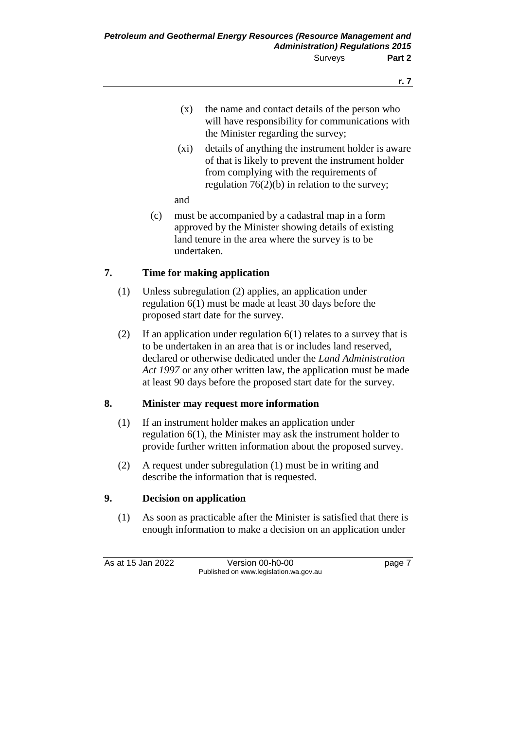- (x) the name and contact details of the person who will have responsibility for communications with the Minister regarding the survey;
- (xi) details of anything the instrument holder is aware of that is likely to prevent the instrument holder from complying with the requirements of regulation 76(2)(b) in relation to the survey;
- and
- (c) must be accompanied by a cadastral map in a form approved by the Minister showing details of existing land tenure in the area where the survey is to be undertaken.

## **7. Time for making application**

- (1) Unless subregulation (2) applies, an application under regulation 6(1) must be made at least 30 days before the proposed start date for the survey.
- (2) If an application under regulation 6(1) relates to a survey that is to be undertaken in an area that is or includes land reserved, declared or otherwise dedicated under the *Land Administration Act 1997* or any other written law, the application must be made at least 90 days before the proposed start date for the survey.

## **8. Minister may request more information**

- (1) If an instrument holder makes an application under regulation 6(1), the Minister may ask the instrument holder to provide further written information about the proposed survey.
- (2) A request under subregulation (1) must be in writing and describe the information that is requested.

## **9. Decision on application**

(1) As soon as practicable after the Minister is satisfied that there is enough information to make a decision on an application under

As at 15 Jan 2022 Version 00-h0-00 page 7 Published on www.legislation.wa.gov.au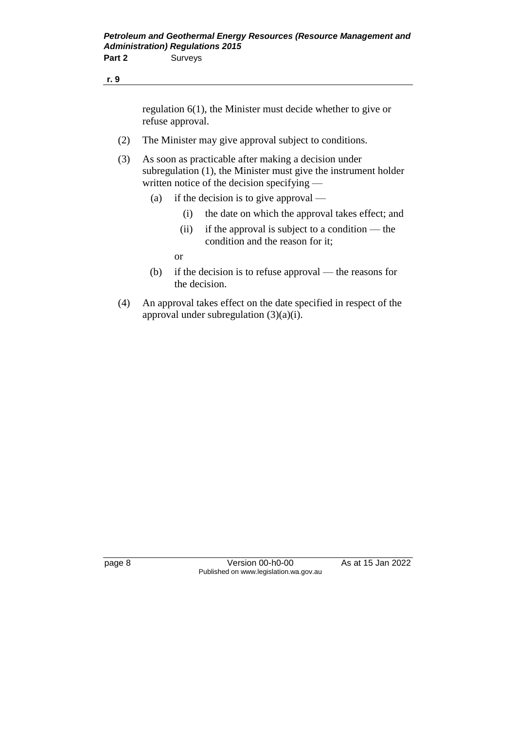regulation 6(1), the Minister must decide whether to give or refuse approval.

- (2) The Minister may give approval subject to conditions.
- (3) As soon as practicable after making a decision under subregulation (1), the Minister must give the instrument holder written notice of the decision specifying —
	- (a) if the decision is to give approval
		- (i) the date on which the approval takes effect; and
		- (ii) if the approval is subject to a condition the condition and the reason for it;
		- or
	- (b) if the decision is to refuse approval the reasons for the decision.
- (4) An approval takes effect on the date specified in respect of the approval under subregulation (3)(a)(i).

page 8 Version 00-h0-00 As at 15 Jan 2022 Published on www.legislation.wa.gov.au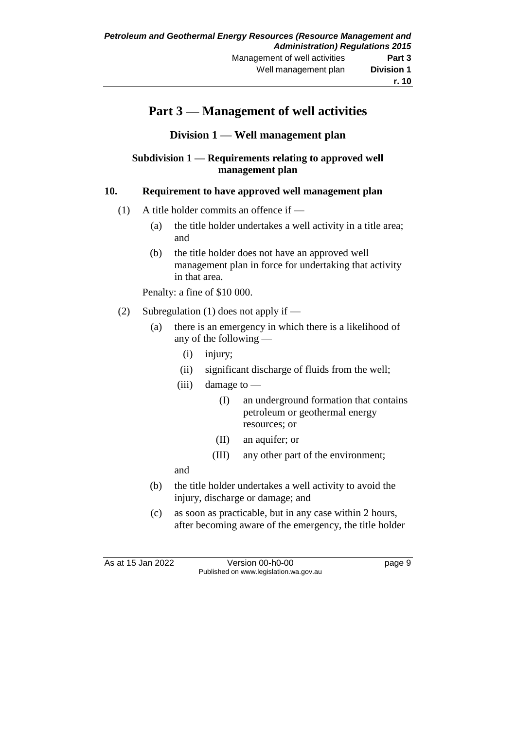## **Part 3 — Management of well activities**

**Division 1 — Well management plan**

### **Subdivision 1 — Requirements relating to approved well management plan**

### **10. Requirement to have approved well management plan**

- (1) A title holder commits an offence if  $-$ 
	- (a) the title holder undertakes a well activity in a title area; and
	- (b) the title holder does not have an approved well management plan in force for undertaking that activity in that area.

Penalty: a fine of \$10 000.

- (2) Subregulation (1) does not apply if
	- (a) there is an emergency in which there is a likelihood of any of the following —
		- (i) injury;
		- (ii) significant discharge of fluids from the well;
		- (iii) damage to  $-$ 
			- (I) an underground formation that contains petroleum or geothermal energy resources; or
			- (II) an aquifer; or
			- (III) any other part of the environment;
		- and
	- (b) the title holder undertakes a well activity to avoid the injury, discharge or damage; and
	- (c) as soon as practicable, but in any case within 2 hours, after becoming aware of the emergency, the title holder

As at 15 Jan 2022 Version 00-h0-00 page 9 Published on www.legislation.wa.gov.au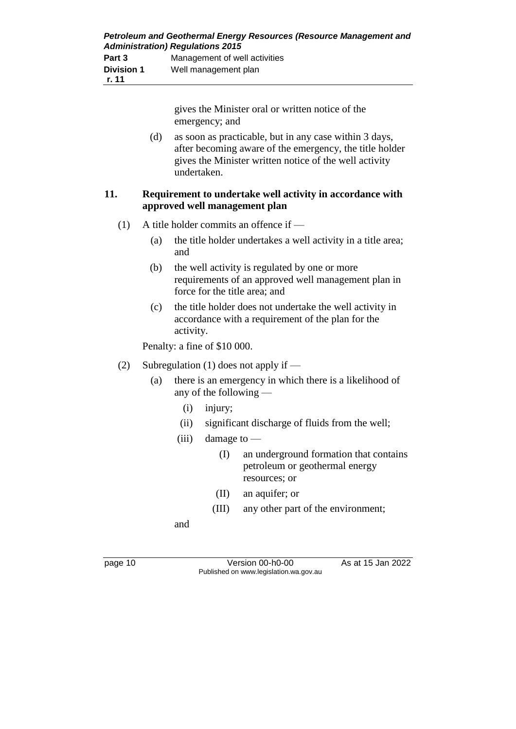| Petroleum and Geothermal Energy Resources (Resource Management and<br><b>Administration) Regulations 2015</b> |                               |
|---------------------------------------------------------------------------------------------------------------|-------------------------------|
| Part 3                                                                                                        | Management of well activities |
| <b>Division 1</b><br>r. 11                                                                                    | Well management plan          |

gives the Minister oral or written notice of the emergency; and

(d) as soon as practicable, but in any case within 3 days, after becoming aware of the emergency, the title holder gives the Minister written notice of the well activity undertaken.

### **11. Requirement to undertake well activity in accordance with approved well management plan**

- (1) A title holder commits an offence if  $-$ 
	- (a) the title holder undertakes a well activity in a title area; and
	- (b) the well activity is regulated by one or more requirements of an approved well management plan in force for the title area; and
	- (c) the title holder does not undertake the well activity in accordance with a requirement of the plan for the activity.

Penalty: a fine of \$10 000.

- (2) Subregulation (1) does not apply if
	- (a) there is an emergency in which there is a likelihood of any of the following —
		- (i) injury;
		- (ii) significant discharge of fluids from the well;
		- (iii) damage to  $-$ 
			- (I) an underground formation that contains petroleum or geothermal energy resources; or
			- (II) an aquifer; or
			- (III) any other part of the environment;

and

page 10 Version 00-h0-00 As at 15 Jan 2022 Published on www.legislation.wa.gov.au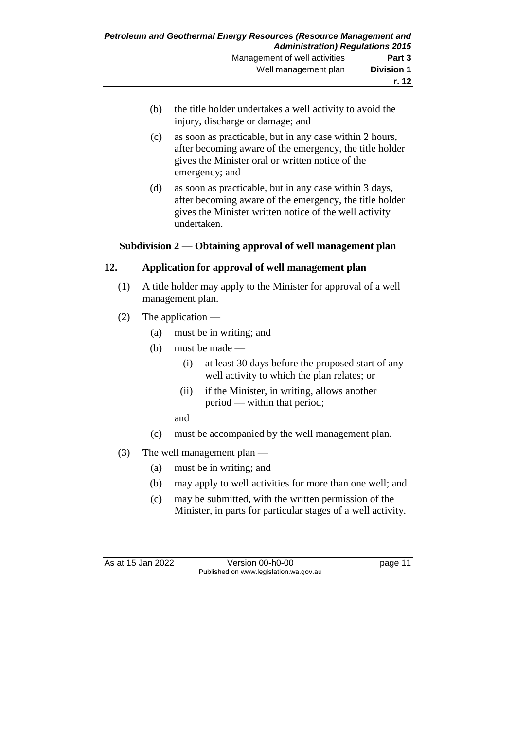- (b) the title holder undertakes a well activity to avoid the injury, discharge or damage; and
- (c) as soon as practicable, but in any case within 2 hours, after becoming aware of the emergency, the title holder gives the Minister oral or written notice of the emergency; and
- (d) as soon as practicable, but in any case within 3 days, after becoming aware of the emergency, the title holder gives the Minister written notice of the well activity undertaken.

## **Subdivision 2 — Obtaining approval of well management plan**

## **12. Application for approval of well management plan**

- (1) A title holder may apply to the Minister for approval of a well management plan.
- (2) The application
	- (a) must be in writing; and
	- (b) must be made
		- (i) at least 30 days before the proposed start of any well activity to which the plan relates; or
		- (ii) if the Minister, in writing, allows another period — within that period;
		- and
	- (c) must be accompanied by the well management plan.
- (3) The well management plan
	- (a) must be in writing; and
	- (b) may apply to well activities for more than one well; and
	- (c) may be submitted, with the written permission of the Minister, in parts for particular stages of a well activity.

As at 15 Jan 2022 Version 00-h0-00 page 11 Published on www.legislation.wa.gov.au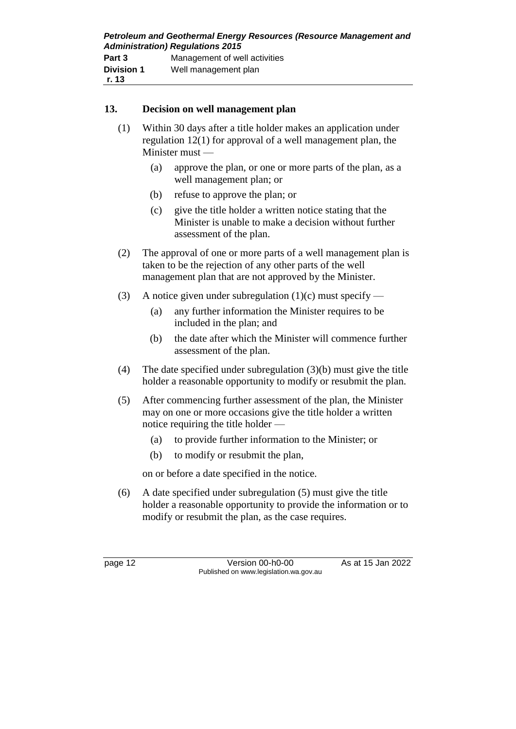| Petroleum and Geothermal Energy Resources (Resource Management and<br><b>Administration) Regulations 2015</b> |                               |
|---------------------------------------------------------------------------------------------------------------|-------------------------------|
| Part 3                                                                                                        | Management of well activities |
| <b>Division 1</b>                                                                                             | Well management plan          |
| r. 13                                                                                                         |                               |

### **13. Decision on well management plan**

- (1) Within 30 days after a title holder makes an application under regulation 12(1) for approval of a well management plan, the Minister must —
	- (a) approve the plan, or one or more parts of the plan, as a well management plan; or
	- (b) refuse to approve the plan; or
	- (c) give the title holder a written notice stating that the Minister is unable to make a decision without further assessment of the plan.
- (2) The approval of one or more parts of a well management plan is taken to be the rejection of any other parts of the well management plan that are not approved by the Minister.
- (3) A notice given under subregulation (1)(c) must specify
	- (a) any further information the Minister requires to be included in the plan; and
	- (b) the date after which the Minister will commence further assessment of the plan.
- (4) The date specified under subregulation (3)(b) must give the title holder a reasonable opportunity to modify or resubmit the plan.
- (5) After commencing further assessment of the plan, the Minister may on one or more occasions give the title holder a written notice requiring the title holder —
	- (a) to provide further information to the Minister; or
	- (b) to modify or resubmit the plan,

on or before a date specified in the notice.

(6) A date specified under subregulation (5) must give the title holder a reasonable opportunity to provide the information or to modify or resubmit the plan, as the case requires.

page 12 Version 00-h0-00 As at 15 Jan 2022 Published on www.legislation.wa.gov.au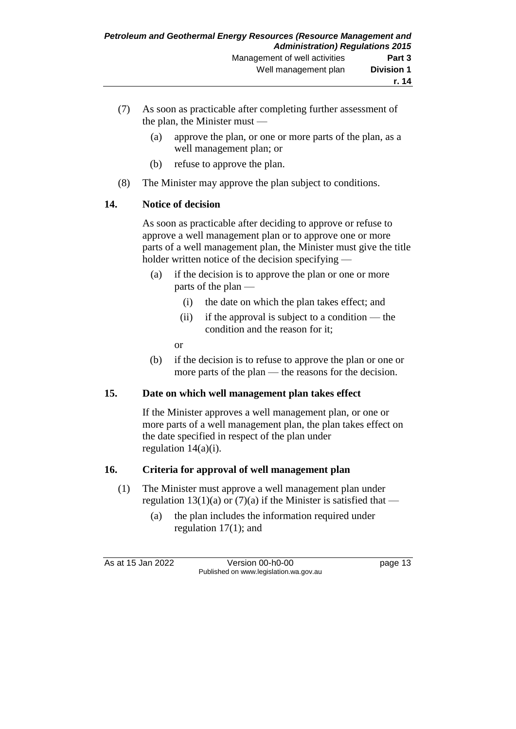- (7) As soon as practicable after completing further assessment of the plan, the Minister must —
	- (a) approve the plan, or one or more parts of the plan, as a well management plan; or
	- (b) refuse to approve the plan.
- (8) The Minister may approve the plan subject to conditions.

### **14. Notice of decision**

As soon as practicable after deciding to approve or refuse to approve a well management plan or to approve one or more parts of a well management plan, the Minister must give the title holder written notice of the decision specifying —

- (a) if the decision is to approve the plan or one or more parts of the plan —
	- (i) the date on which the plan takes effect; and
	- (ii) if the approval is subject to a condition the condition and the reason for it;

or

(b) if the decision is to refuse to approve the plan or one or more parts of the plan — the reasons for the decision.

## **15. Date on which well management plan takes effect**

If the Minister approves a well management plan, or one or more parts of a well management plan, the plan takes effect on the date specified in respect of the plan under regulation 14(a)(i).

## **16. Criteria for approval of well management plan**

- (1) The Minister must approve a well management plan under regulation 13(1)(a) or (7)(a) if the Minister is satisfied that —
	- (a) the plan includes the information required under regulation 17(1); and

As at 15 Jan 2022 Version 00-h0-00 page 13 Published on www.legislation.wa.gov.au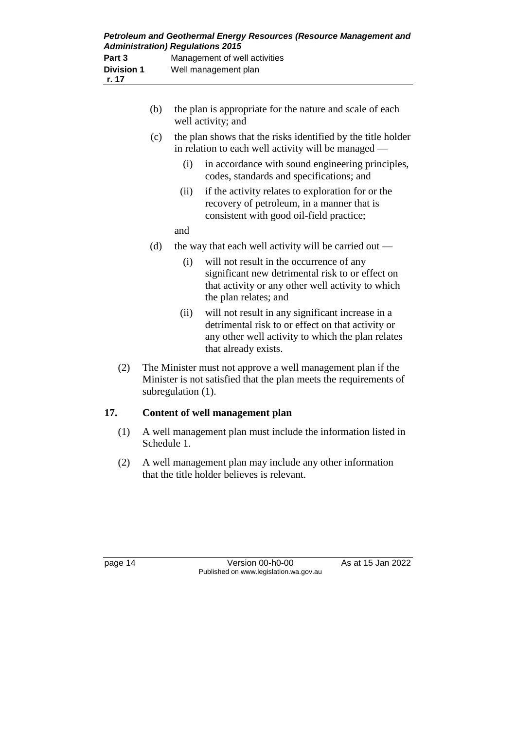| (b) | well activity; and | the plan is appropriate for the nature and scale of each                                                                                                                           |
|-----|--------------------|------------------------------------------------------------------------------------------------------------------------------------------------------------------------------------|
| (c) |                    | the plan shows that the risks identified by the title holder<br>in relation to each well activity will be managed —                                                                |
|     | (i)                | in accordance with sound engineering principles,<br>codes, standards and specifications; and                                                                                       |
|     | (ii)               | if the activity relates to exploration for or the<br>recovery of petroleum, in a manner that is<br>consistent with good oil-field practice;                                        |
|     | and                |                                                                                                                                                                                    |
| (d) |                    | the way that each well activity will be carried out $-$                                                                                                                            |
|     | (i)                | will not result in the occurrence of any<br>significant new detrimental risk to or effect on<br>that activity or any other well activity to which<br>the plan relates; and         |
|     | (ii)               | will not result in any significant increase in a<br>detrimental risk to or effect on that activity or<br>any other well activity to which the plan relates<br>that already exists. |

(2) The Minister must not approve a well management plan if the Minister is not satisfied that the plan meets the requirements of subregulation (1).

## **17. Content of well management plan**

- (1) A well management plan must include the information listed in Schedule 1.
- (2) A well management plan may include any other information that the title holder believes is relevant.

page 14 Version 00-h0-00 As at 15 Jan 2022 Published on www.legislation.wa.gov.au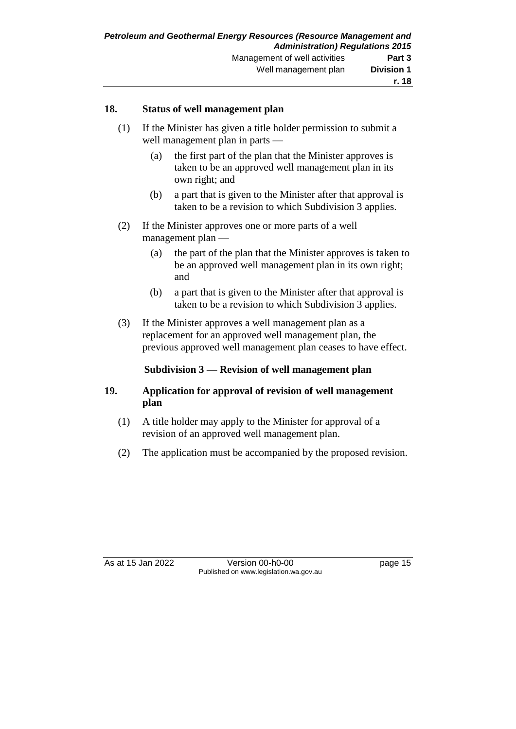## **18. Status of well management plan**

- (1) If the Minister has given a title holder permission to submit a well management plan in parts —
	- (a) the first part of the plan that the Minister approves is taken to be an approved well management plan in its own right; and
	- (b) a part that is given to the Minister after that approval is taken to be a revision to which Subdivision 3 applies.
- (2) If the Minister approves one or more parts of a well management plan —
	- (a) the part of the plan that the Minister approves is taken to be an approved well management plan in its own right; and
	- (b) a part that is given to the Minister after that approval is taken to be a revision to which Subdivision 3 applies.
- (3) If the Minister approves a well management plan as a replacement for an approved well management plan, the previous approved well management plan ceases to have effect.

## **Subdivision 3 — Revision of well management plan**

## **19. Application for approval of revision of well management plan**

- (1) A title holder may apply to the Minister for approval of a revision of an approved well management plan.
- (2) The application must be accompanied by the proposed revision.

As at 15 Jan 2022 Version 00-h0-00 page 15 Published on www.legislation.wa.gov.au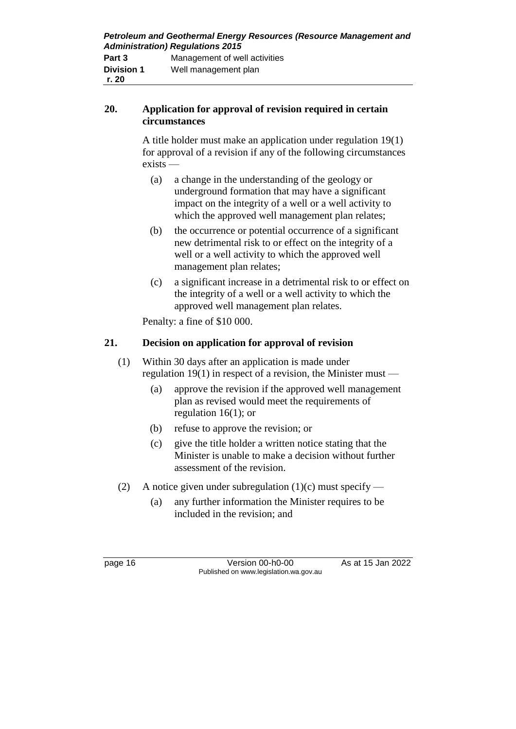| Petroleum and Geothermal Energy Resources (Resource Management and<br><b>Administration) Regulations 2015</b> |                               |
|---------------------------------------------------------------------------------------------------------------|-------------------------------|
| Part 3                                                                                                        | Management of well activities |
| <b>Division 1</b><br>r. 20                                                                                    | Well management plan          |

## **20. Application for approval of revision required in certain circumstances**

A title holder must make an application under regulation 19(1) for approval of a revision if any of the following circumstances exists —

- (a) a change in the understanding of the geology or underground formation that may have a significant impact on the integrity of a well or a well activity to which the approved well management plan relates;
- (b) the occurrence or potential occurrence of a significant new detrimental risk to or effect on the integrity of a well or a well activity to which the approved well management plan relates;
- (c) a significant increase in a detrimental risk to or effect on the integrity of a well or a well activity to which the approved well management plan relates.

Penalty: a fine of \$10 000.

## **21. Decision on application for approval of revision**

- (1) Within 30 days after an application is made under regulation 19(1) in respect of a revision, the Minister must —
	- (a) approve the revision if the approved well management plan as revised would meet the requirements of regulation 16(1); or
	- (b) refuse to approve the revision; or
	- (c) give the title holder a written notice stating that the Minister is unable to make a decision without further assessment of the revision.
- (2) A notice given under subregulation (1)(c) must specify
	- (a) any further information the Minister requires to be included in the revision; and

page 16 Version 00-h0-00 As at 15 Jan 2022 Published on www.legislation.wa.gov.au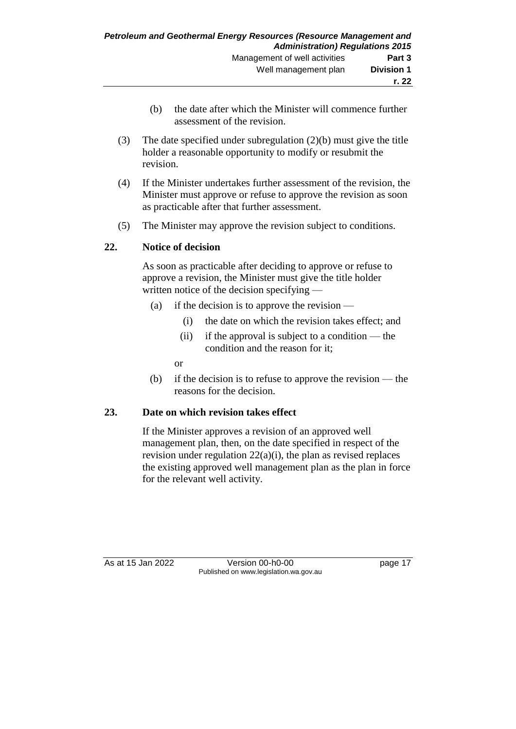- (b) the date after which the Minister will commence further assessment of the revision.
- (3) The date specified under subregulation (2)(b) must give the title holder a reasonable opportunity to modify or resubmit the revision.
- (4) If the Minister undertakes further assessment of the revision, the Minister must approve or refuse to approve the revision as soon as practicable after that further assessment.
- (5) The Minister may approve the revision subject to conditions.

## **22. Notice of decision**

As soon as practicable after deciding to approve or refuse to approve a revision, the Minister must give the title holder written notice of the decision specifying —

- (a) if the decision is to approve the revision
	- (i) the date on which the revision takes effect; and
	- (ii) if the approval is subject to a condition the condition and the reason for it;
	- or
- (b) if the decision is to refuse to approve the revision the reasons for the decision.

#### **23. Date on which revision takes effect**

If the Minister approves a revision of an approved well management plan, then, on the date specified in respect of the revision under regulation 22(a)(i), the plan as revised replaces the existing approved well management plan as the plan in force for the relevant well activity.

As at 15 Jan 2022 Version 00-h0-00 page 17 Published on www.legislation.wa.gov.au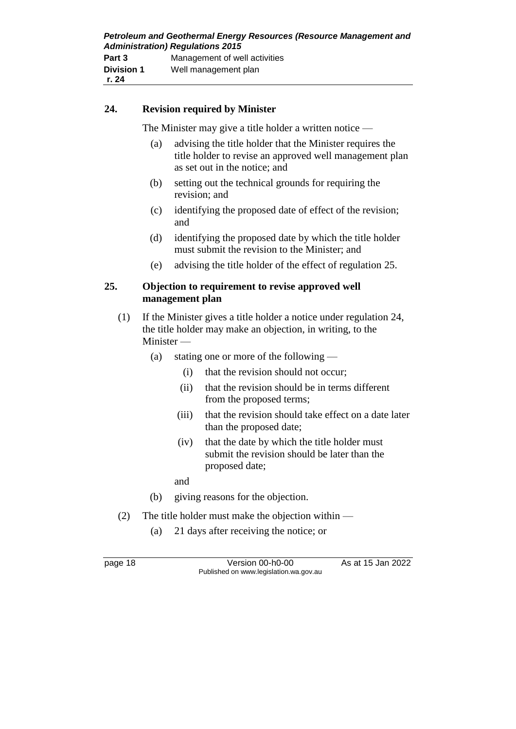| Petroleum and Geothermal Energy Resources (Resource Management and<br><b>Administration) Regulations 2015</b> |                               |  |
|---------------------------------------------------------------------------------------------------------------|-------------------------------|--|
| Part 3                                                                                                        | Management of well activities |  |
| <b>Division 1</b>                                                                                             | Well management plan          |  |
| r. 24                                                                                                         |                               |  |

## **24. Revision required by Minister**

The Minister may give a title holder a written notice —

- (a) advising the title holder that the Minister requires the title holder to revise an approved well management plan as set out in the notice; and
- (b) setting out the technical grounds for requiring the revision; and
- (c) identifying the proposed date of effect of the revision; and
- (d) identifying the proposed date by which the title holder must submit the revision to the Minister; and
- (e) advising the title holder of the effect of regulation 25.

#### **25. Objection to requirement to revise approved well management plan**

- (1) If the Minister gives a title holder a notice under regulation 24, the title holder may make an objection, in writing, to the Minister —
	- (a) stating one or more of the following
		- (i) that the revision should not occur;
		- (ii) that the revision should be in terms different from the proposed terms;
		- (iii) that the revision should take effect on a date later than the proposed date;
		- (iv) that the date by which the title holder must submit the revision should be later than the proposed date;
		- and
	- (b) giving reasons for the objection.
- (2) The title holder must make the objection within
	- (a) 21 days after receiving the notice; or

page 18 Version 00-h0-00 As at 15 Jan 2022 Published on www.legislation.wa.gov.au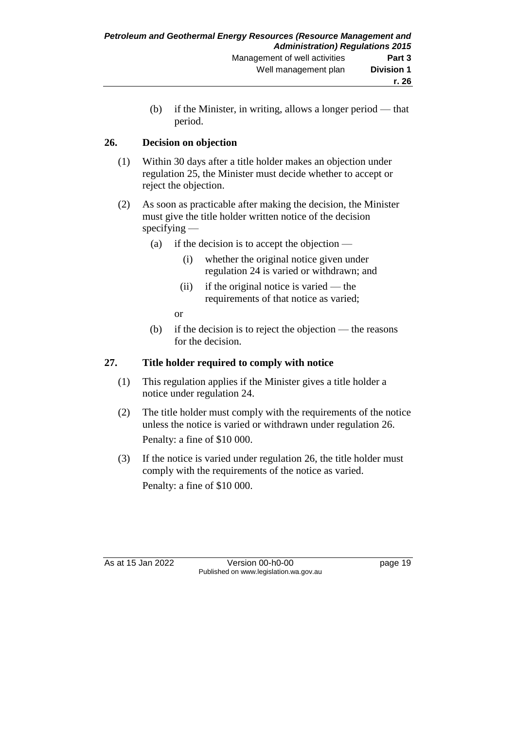(b) if the Minister, in writing, allows a longer period — that period.

## **26. Decision on objection**

- (1) Within 30 days after a title holder makes an objection under regulation 25, the Minister must decide whether to accept or reject the objection.
- (2) As soon as practicable after making the decision, the Minister must give the title holder written notice of the decision specifying —
	- (a) if the decision is to accept the objection
		- (i) whether the original notice given under regulation 24 is varied or withdrawn; and
		- (ii) if the original notice is varied the requirements of that notice as varied;

or

(b) if the decision is to reject the objection — the reasons for the decision.

## **27. Title holder required to comply with notice**

- (1) This regulation applies if the Minister gives a title holder a notice under regulation 24.
- (2) The title holder must comply with the requirements of the notice unless the notice is varied or withdrawn under regulation 26. Penalty: a fine of \$10 000.
- (3) If the notice is varied under regulation 26, the title holder must comply with the requirements of the notice as varied. Penalty: a fine of \$10 000.

As at 15 Jan 2022 Version 00-h0-00 page 19 Published on www.legislation.wa.gov.au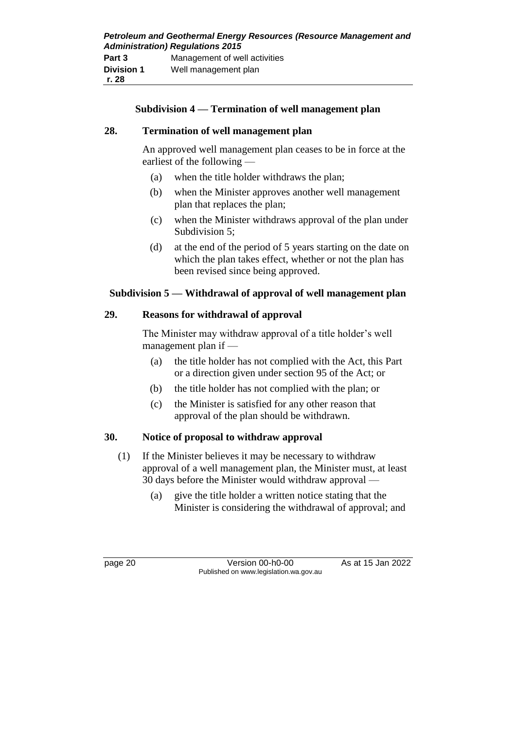## **Subdivision 4 — Termination of well management plan**

## **28. Termination of well management plan**

An approved well management plan ceases to be in force at the earliest of the following —

- (a) when the title holder withdraws the plan;
- (b) when the Minister approves another well management plan that replaces the plan;
- (c) when the Minister withdraws approval of the plan under Subdivision 5;
- (d) at the end of the period of 5 years starting on the date on which the plan takes effect, whether or not the plan has been revised since being approved.

## **Subdivision 5 — Withdrawal of approval of well management plan**

## **29. Reasons for withdrawal of approval**

The Minister may withdraw approval of a title holder's well management plan if —

- (a) the title holder has not complied with the Act, this Part or a direction given under section 95 of the Act; or
- (b) the title holder has not complied with the plan; or
- (c) the Minister is satisfied for any other reason that approval of the plan should be withdrawn.

## **30. Notice of proposal to withdraw approval**

- (1) If the Minister believes it may be necessary to withdraw approval of a well management plan, the Minister must, at least 30 days before the Minister would withdraw approval —
	- (a) give the title holder a written notice stating that the Minister is considering the withdrawal of approval; and

page 20 Version 00-h0-00 As at 15 Jan 2022 Published on www.legislation.wa.gov.au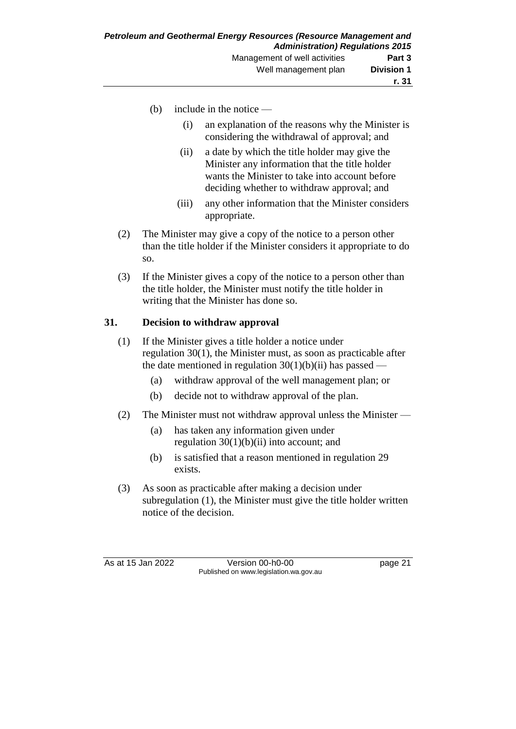- (b) include in the notice
	- (i) an explanation of the reasons why the Minister is considering the withdrawal of approval; and
	- (ii) a date by which the title holder may give the Minister any information that the title holder wants the Minister to take into account before deciding whether to withdraw approval; and
	- (iii) any other information that the Minister considers appropriate.
- (2) The Minister may give a copy of the notice to a person other than the title holder if the Minister considers it appropriate to do so.
- (3) If the Minister gives a copy of the notice to a person other than the title holder, the Minister must notify the title holder in writing that the Minister has done so.

## **31. Decision to withdraw approval**

- (1) If the Minister gives a title holder a notice under regulation 30(1), the Minister must, as soon as practicable after the date mentioned in regulation  $30(1)(b)(ii)$  has passed —
	- (a) withdraw approval of the well management plan; or
	- (b) decide not to withdraw approval of the plan.
- (2) The Minister must not withdraw approval unless the Minister
	- (a) has taken any information given under regulation  $30(1)(b)(ii)$  into account; and
	- (b) is satisfied that a reason mentioned in regulation 29 exists.
- (3) As soon as practicable after making a decision under subregulation (1), the Minister must give the title holder written notice of the decision.

As at 15 Jan 2022 Version 00-h0-00 page 21 Published on www.legislation.wa.gov.au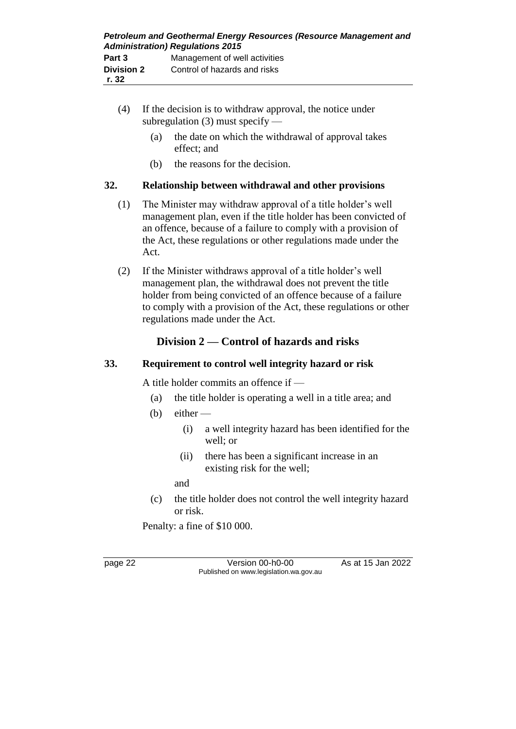- (4) If the decision is to withdraw approval, the notice under subregulation (3) must specify —
	- (a) the date on which the withdrawal of approval takes effect; and
	- (b) the reasons for the decision.

### **32. Relationship between withdrawal and other provisions**

- (1) The Minister may withdraw approval of a title holder's well management plan, even if the title holder has been convicted of an offence, because of a failure to comply with a provision of the Act, these regulations or other regulations made under the Act.
- (2) If the Minister withdraws approval of a title holder's well management plan, the withdrawal does not prevent the title holder from being convicted of an offence because of a failure to comply with a provision of the Act, these regulations or other regulations made under the Act.

## **Division 2 — Control of hazards and risks**

### **33. Requirement to control well integrity hazard or risk**

A title holder commits an offence if —

- (a) the title holder is operating a well in a title area; and
- $(b)$  either
	- (i) a well integrity hazard has been identified for the well; or
	- (ii) there has been a significant increase in an existing risk for the well;

and

(c) the title holder does not control the well integrity hazard or risk.

Penalty: a fine of \$10 000.

page 22 Version 00-h0-00 As at 15 Jan 2022 Published on www.legislation.wa.gov.au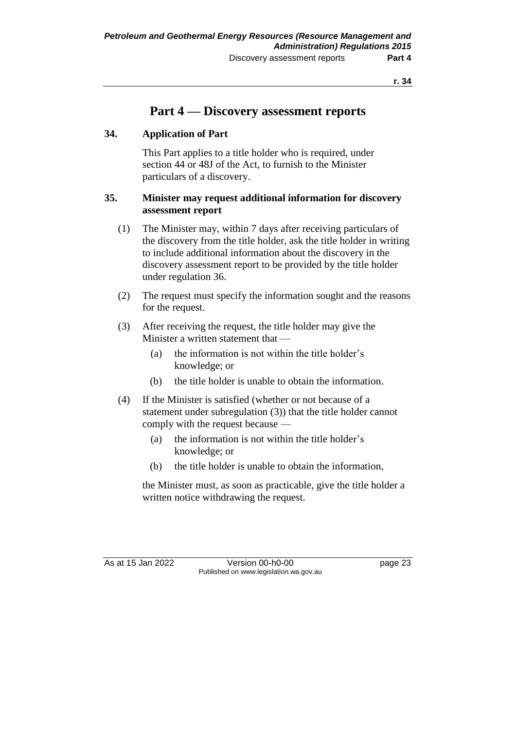## **Part 4 — Discovery assessment reports**

### **34. Application of Part**

This Part applies to a title holder who is required, under section 44 or 48J of the Act, to furnish to the Minister particulars of a discovery.

### **35. Minister may request additional information for discovery assessment report**

- (1) The Minister may, within 7 days after receiving particulars of the discovery from the title holder, ask the title holder in writing to include additional information about the discovery in the discovery assessment report to be provided by the title holder under regulation 36.
- (2) The request must specify the information sought and the reasons for the request.
- (3) After receiving the request, the title holder may give the Minister a written statement that —
	- (a) the information is not within the title holder's knowledge; or
	- (b) the title holder is unable to obtain the information.
- (4) If the Minister is satisfied (whether or not because of a statement under subregulation (3)) that the title holder cannot comply with the request because —
	- (a) the information is not within the title holder's knowledge; or
	- (b) the title holder is unable to obtain the information,

the Minister must, as soon as practicable, give the title holder a written notice withdrawing the request.

As at 15 Jan 2022 Version 00-h0-00 page 23 Published on www.legislation.wa.gov.au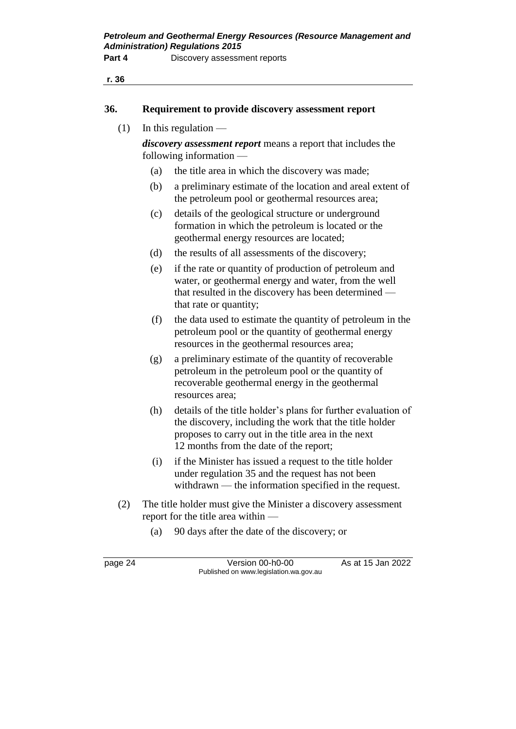|   | ۰, |
|---|----|
|   | ۰. |
|   | v  |
|   |    |
| × |    |

#### **36. Requirement to provide discovery assessment report**

 $(1)$  In this regulation —

*discovery assessment report* means a report that includes the following information —

- (a) the title area in which the discovery was made;
- (b) a preliminary estimate of the location and areal extent of the petroleum pool or geothermal resources area;
- (c) details of the geological structure or underground formation in which the petroleum is located or the geothermal energy resources are located;
- (d) the results of all assessments of the discovery;
- (e) if the rate or quantity of production of petroleum and water, or geothermal energy and water, from the well that resulted in the discovery has been determined that rate or quantity;
- (f) the data used to estimate the quantity of petroleum in the petroleum pool or the quantity of geothermal energy resources in the geothermal resources area;
- (g) a preliminary estimate of the quantity of recoverable petroleum in the petroleum pool or the quantity of recoverable geothermal energy in the geothermal resources area;
- (h) details of the title holder's plans for further evaluation of the discovery, including the work that the title holder proposes to carry out in the title area in the next 12 months from the date of the report;
- (i) if the Minister has issued a request to the title holder under regulation 35 and the request has not been withdrawn — the information specified in the request.
- (2) The title holder must give the Minister a discovery assessment report for the title area within —
	- (a) 90 days after the date of the discovery; or

| page 24 | Version 00-h0-00                       | As at 15 Jan 2022 |
|---------|----------------------------------------|-------------------|
|         | Published on www.legislation.wa.gov.au |                   |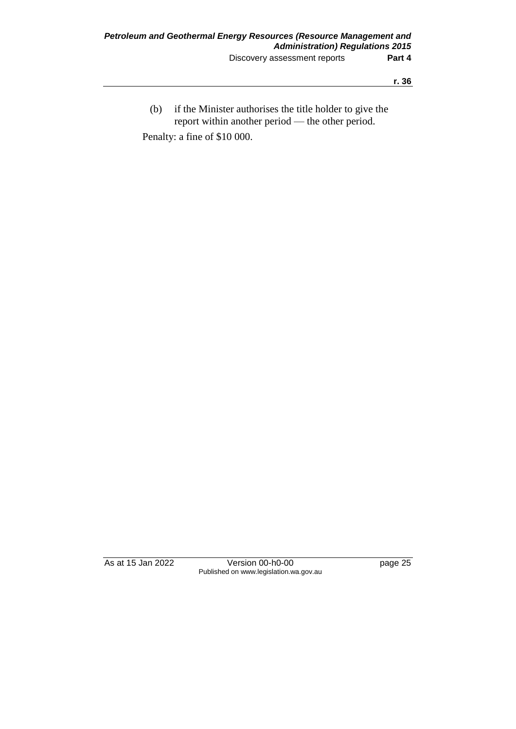(b) if the Minister authorises the title holder to give the report within another period — the other period. Penalty: a fine of \$10 000.

As at 15 Jan 2022 Version 00-h0-00 page 25 Published on www.legislation.wa.gov.au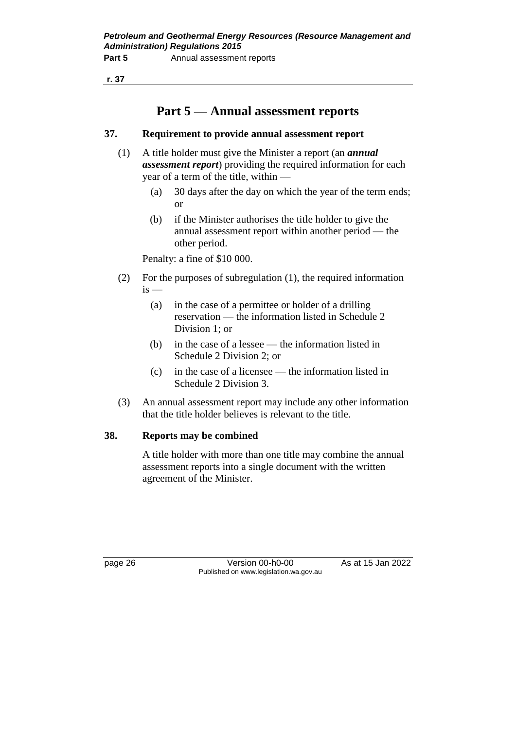## **Part 5 — Annual assessment reports**

### **37. Requirement to provide annual assessment report**

- (1) A title holder must give the Minister a report (an *annual assessment report*) providing the required information for each year of a term of the title, within —
	- (a) 30 days after the day on which the year of the term ends; or
	- (b) if the Minister authorises the title holder to give the annual assessment report within another period — the other period.

Penalty: a fine of \$10 000.

- (2) For the purposes of subregulation (1), the required information  $is$  —
	- (a) in the case of a permittee or holder of a drilling reservation — the information listed in Schedule 2 Division 1; or
	- (b) in the case of a lessee the information listed in Schedule 2 Division 2; or
	- (c) in the case of a licensee the information listed in Schedule 2 Division 3.
- (3) An annual assessment report may include any other information that the title holder believes is relevant to the title.

## **38. Reports may be combined**

A title holder with more than one title may combine the annual assessment reports into a single document with the written agreement of the Minister.

page 26 Version 00-h0-00 As at 15 Jan 2022 Published on www.legislation.wa.gov.au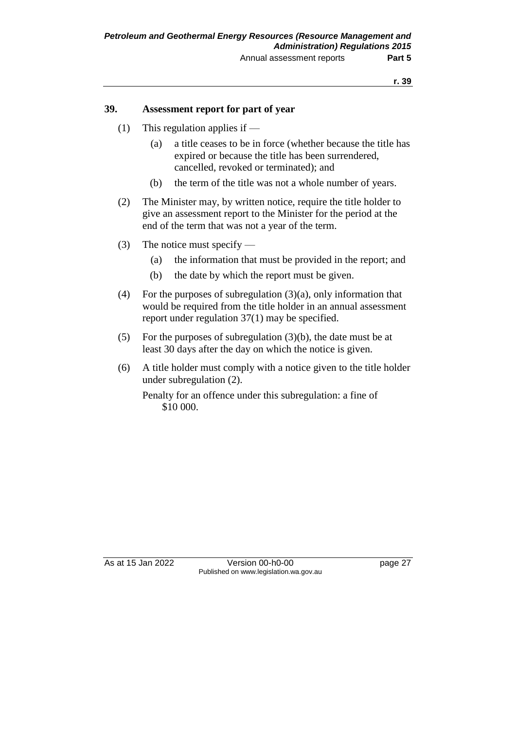#### **39. Assessment report for part of year**

- (1) This regulation applies if  $-$ 
	- (a) a title ceases to be in force (whether because the title has expired or because the title has been surrendered, cancelled, revoked or terminated); and
	- (b) the term of the title was not a whole number of years.
- (2) The Minister may, by written notice, require the title holder to give an assessment report to the Minister for the period at the end of the term that was not a year of the term.
- (3) The notice must specify
	- (a) the information that must be provided in the report; and
	- (b) the date by which the report must be given.
- (4) For the purposes of subregulation (3)(a), only information that would be required from the title holder in an annual assessment report under regulation 37(1) may be specified.
- (5) For the purposes of subregulation (3)(b), the date must be at least 30 days after the day on which the notice is given.
- (6) A title holder must comply with a notice given to the title holder under subregulation (2).

Penalty for an offence under this subregulation: a fine of \$10 000.

As at 15 Jan 2022 Version 00-h0-00 page 27 Published on www.legislation.wa.gov.au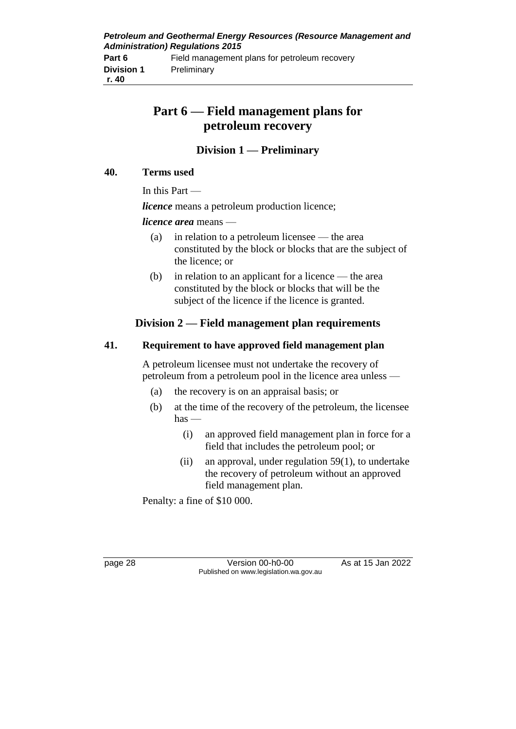# **Part 6 — Field management plans for petroleum recovery**

## **Division 1 — Preliminary**

#### **40. Terms used**

In this Part —

*licence* means a petroleum production licence;

*licence area* means —

- (a) in relation to a petroleum licensee the area constituted by the block or blocks that are the subject of the licence; or
- (b) in relation to an applicant for a licence the area constituted by the block or blocks that will be the subject of the licence if the licence is granted.

## **Division 2 — Field management plan requirements**

## **41. Requirement to have approved field management plan**

A petroleum licensee must not undertake the recovery of petroleum from a petroleum pool in the licence area unless —

- (a) the recovery is on an appraisal basis; or
- (b) at the time of the recovery of the petroleum, the licensee  $has$  —
	- (i) an approved field management plan in force for a field that includes the petroleum pool; or
	- (ii) an approval, under regulation  $59(1)$ , to undertake the recovery of petroleum without an approved field management plan.

Penalty: a fine of \$10 000.

page 28 Version 00-h0-00 As at 15 Jan 2022 Published on www.legislation.wa.gov.au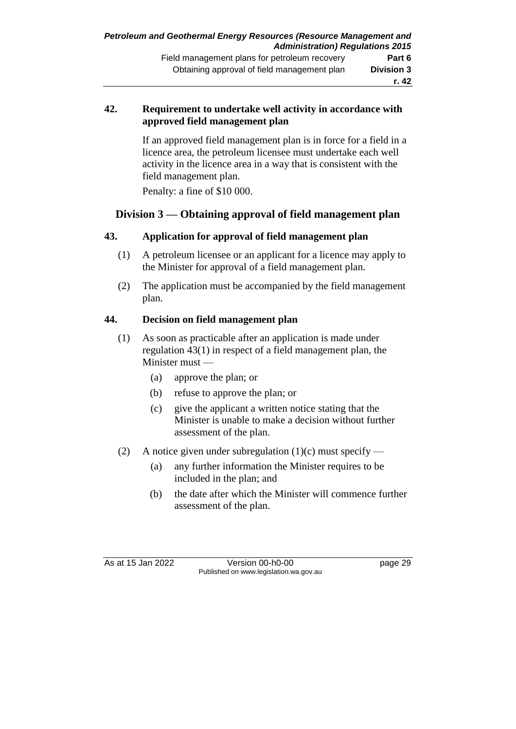#### **42. Requirement to undertake well activity in accordance with approved field management plan**

If an approved field management plan is in force for a field in a licence area, the petroleum licensee must undertake each well activity in the licence area in a way that is consistent with the field management plan.

Penalty: a fine of \$10 000.

## **Division 3 — Obtaining approval of field management plan**

## **43. Application for approval of field management plan**

- (1) A petroleum licensee or an applicant for a licence may apply to the Minister for approval of a field management plan.
- (2) The application must be accompanied by the field management plan.

## **44. Decision on field management plan**

- (1) As soon as practicable after an application is made under regulation 43(1) in respect of a field management plan, the Minister must —
	- (a) approve the plan; or
	- (b) refuse to approve the plan; or
	- (c) give the applicant a written notice stating that the Minister is unable to make a decision without further assessment of the plan.
- (2) A notice given under subregulation (1)(c) must specify
	- (a) any further information the Minister requires to be included in the plan; and
	- (b) the date after which the Minister will commence further assessment of the plan.

As at 15 Jan 2022 Version 00-h0-00 page 29 Published on www.legislation.wa.gov.au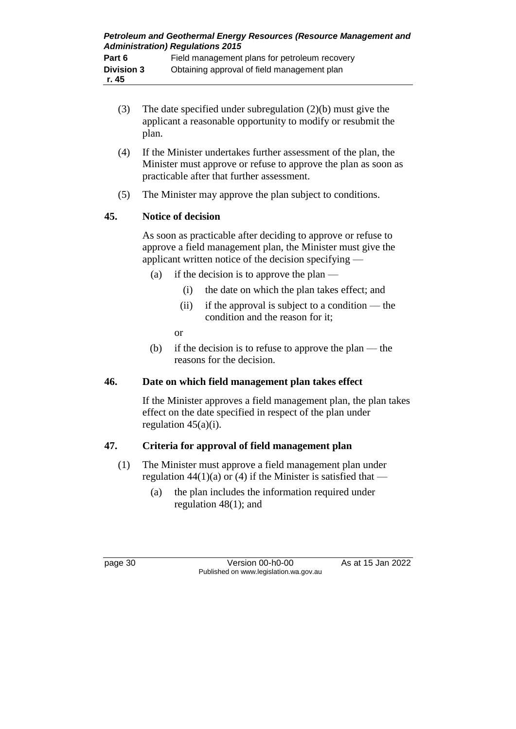| Petroleum and Geothermal Energy Resources (Resource Management and<br><b>Administration) Regulations 2015</b> |                                               |  |
|---------------------------------------------------------------------------------------------------------------|-----------------------------------------------|--|
| Part 6                                                                                                        | Field management plans for petroleum recovery |  |
| <b>Division 3</b>                                                                                             | Obtaining approval of field management plan   |  |
| r. 45                                                                                                         |                                               |  |

- (3) The date specified under subregulation (2)(b) must give the applicant a reasonable opportunity to modify or resubmit the plan.
- (4) If the Minister undertakes further assessment of the plan, the Minister must approve or refuse to approve the plan as soon as practicable after that further assessment.
- (5) The Minister may approve the plan subject to conditions.

#### **45. Notice of decision**

As soon as practicable after deciding to approve or refuse to approve a field management plan, the Minister must give the applicant written notice of the decision specifying —

- (a) if the decision is to approve the plan
	- (i) the date on which the plan takes effect; and
	- (ii) if the approval is subject to a condition the condition and the reason for it;

or

(b) if the decision is to refuse to approve the plan — the reasons for the decision.

#### **46. Date on which field management plan takes effect**

If the Minister approves a field management plan, the plan takes effect on the date specified in respect of the plan under regulation  $45(a)(i)$ .

#### **47. Criteria for approval of field management plan**

- (1) The Minister must approve a field management plan under regulation  $44(1)(a)$  or (4) if the Minister is satisfied that —
	- (a) the plan includes the information required under regulation 48(1); and

page 30 Version 00-h0-00 As at 15 Jan 2022 Published on www.legislation.wa.gov.au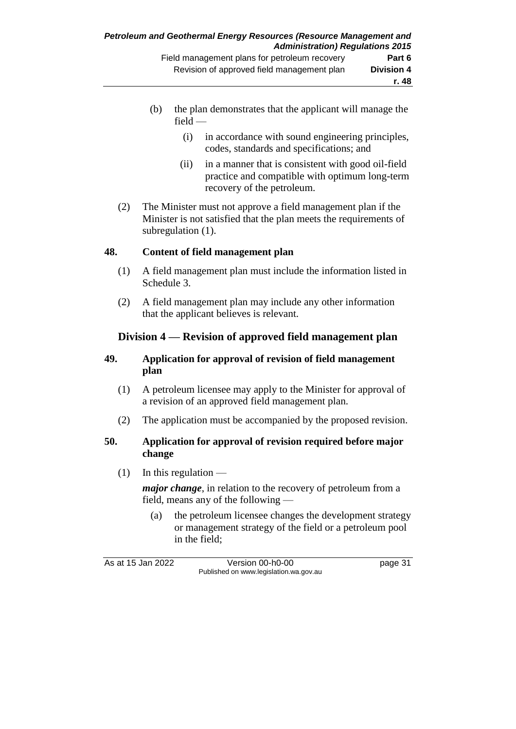- (b) the plan demonstrates that the applicant will manage the field —
	- (i) in accordance with sound engineering principles, codes, standards and specifications; and
	- (ii) in a manner that is consistent with good oil-field practice and compatible with optimum long-term recovery of the petroleum.
- (2) The Minister must not approve a field management plan if the Minister is not satisfied that the plan meets the requirements of subregulation (1).

#### **48. Content of field management plan**

- (1) A field management plan must include the information listed in Schedule 3.
- (2) A field management plan may include any other information that the applicant believes is relevant.

## **Division 4 — Revision of approved field management plan**

#### **49. Application for approval of revision of field management plan**

- (1) A petroleum licensee may apply to the Minister for approval of a revision of an approved field management plan.
- (2) The application must be accompanied by the proposed revision.

#### **50. Application for approval of revision required before major change**

 $(1)$  In this regulation —

*major change*, in relation to the recovery of petroleum from a field, means any of the following —

(a) the petroleum licensee changes the development strategy or management strategy of the field or a petroleum pool in the field;

As at 15 Jan 2022 Version 00-h0-00 page 31 Published on www.legislation.wa.gov.au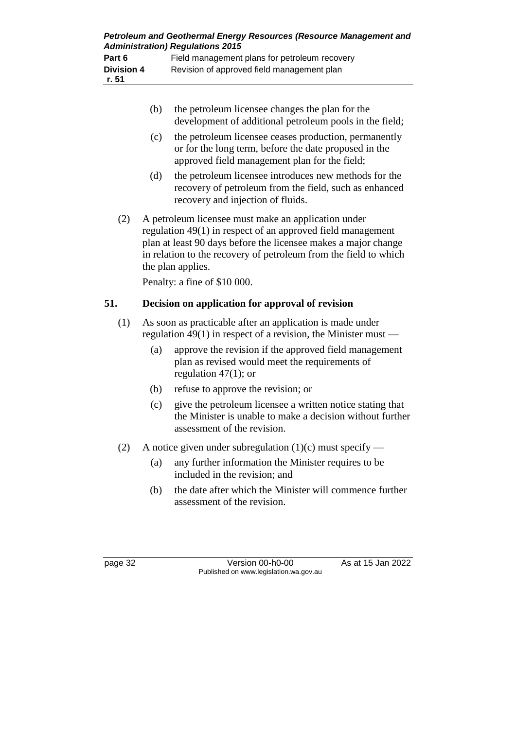|     | (b) | the petroleum licensee changes the plan for the<br>development of additional petroleum pools in the field;                                                                                                                                                                      |
|-----|-----|---------------------------------------------------------------------------------------------------------------------------------------------------------------------------------------------------------------------------------------------------------------------------------|
|     | (c) | the petroleum licensee ceases production, permanently<br>or for the long term, before the date proposed in the<br>approved field management plan for the field;                                                                                                                 |
|     | (d) | the petroleum licensee introduces new methods for the<br>recovery of petroleum from the field, such as enhanced<br>recovery and injection of fluids.                                                                                                                            |
| (2) |     | A petroleum licensee must make an application under<br>regulation $49(1)$ in respect of an approved field management<br>plan at least 90 days before the licensee makes a major change<br>in relation to the recovery of petroleum from the field to which<br>the plan applies. |
|     |     | Penalty: a fine of \$10 000.                                                                                                                                                                                                                                                    |
| 51. |     | Decision on application for approval of revision                                                                                                                                                                                                                                |
| (1) |     | As soon as practicable after an application is made under<br>regulation 49(1) in respect of a revision, the Minister must $-$                                                                                                                                                   |
|     | (a) | approve the revision if the approved field management<br>plan as revised would meet the requirements of<br>regulation $47(1)$ ; or                                                                                                                                              |
|     | (b) | refuse to approve the revision; or                                                                                                                                                                                                                                              |
|     | (c) | give the petroleum licensee a written notice stating that<br>the Minister is unable to make a decision without further<br>assessment of the revision.                                                                                                                           |

- (2) A notice given under subregulation  $(1)(c)$  must specify
	- (a) any further information the Minister requires to be included in the revision; and
	- (b) the date after which the Minister will commence further assessment of the revision.

page 32 Version 00-h0-00 As at 15 Jan 2022 Published on www.legislation.wa.gov.au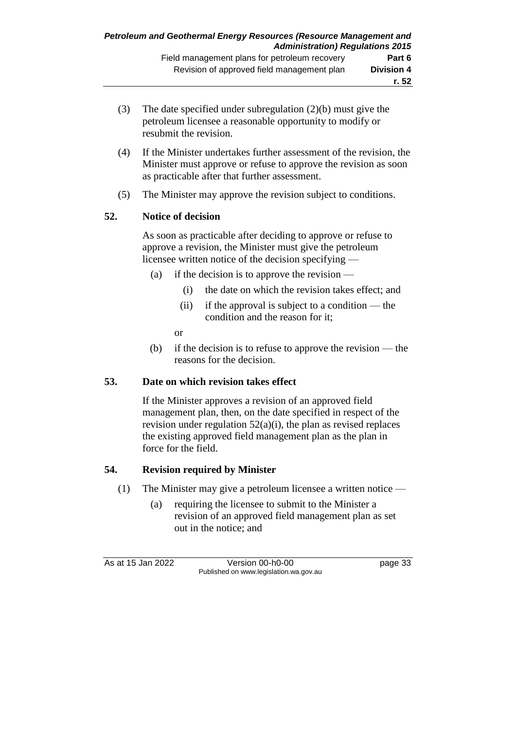- (3) The date specified under subregulation (2)(b) must give the petroleum licensee a reasonable opportunity to modify or resubmit the revision.
- (4) If the Minister undertakes further assessment of the revision, the Minister must approve or refuse to approve the revision as soon as practicable after that further assessment.
- (5) The Minister may approve the revision subject to conditions.

## **52. Notice of decision**

As soon as practicable after deciding to approve or refuse to approve a revision, the Minister must give the petroleum licensee written notice of the decision specifying —

- (a) if the decision is to approve the revision
	- (i) the date on which the revision takes effect; and
	- (ii) if the approval is subject to a condition the condition and the reason for it;

or

(b) if the decision is to refuse to approve the revision — the reasons for the decision.

#### **53. Date on which revision takes effect**

If the Minister approves a revision of an approved field management plan, then, on the date specified in respect of the revision under regulation  $52(a)(i)$ , the plan as revised replaces the existing approved field management plan as the plan in force for the field.

## **54. Revision required by Minister**

- (1) The Minister may give a petroleum licensee a written notice
	- (a) requiring the licensee to submit to the Minister a revision of an approved field management plan as set out in the notice; and

As at 15 Jan 2022 Version 00-h0-00 page 33 Published on www.legislation.wa.gov.au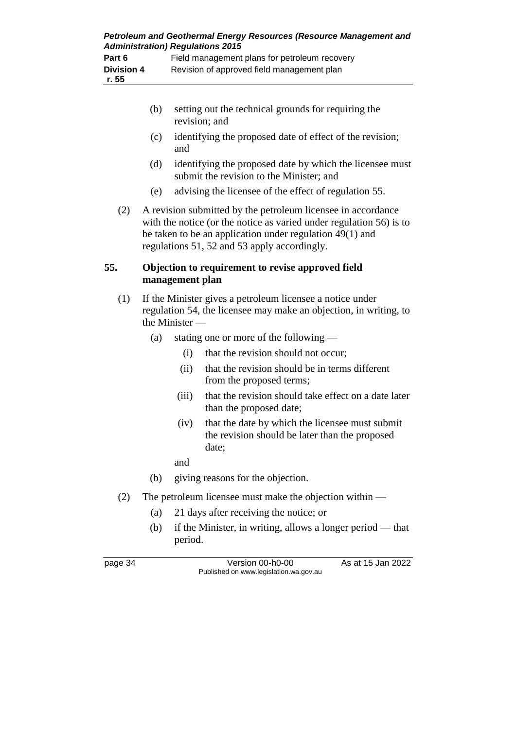| Petroleum and Geothermal Energy Resources (Resource Management and<br><b>Administration) Regulations 2015</b> |                                               |  |
|---------------------------------------------------------------------------------------------------------------|-----------------------------------------------|--|
| Part 6                                                                                                        | Field management plans for petroleum recovery |  |
| <b>Division 4</b><br>r. 55                                                                                    | Revision of approved field management plan    |  |

(b) setting out the technical grounds for requiring the revision; and (c) identifying the proposed date of effect of the revision; and (d) identifying the proposed date by which the licensee must submit the revision to the Minister; and (e) advising the licensee of the effect of regulation 55. (2) A revision submitted by the petroleum licensee in accordance with the notice (or the notice as varied under regulation 56) is to be taken to be an application under regulation 49(1) and regulations 51, 52 and 53 apply accordingly.

#### **55. Objection to requirement to revise approved field management plan**

- (1) If the Minister gives a petroleum licensee a notice under regulation 54, the licensee may make an objection, in writing, to the Minister —
	- (a) stating one or more of the following
		- (i) that the revision should not occur;
		- (ii) that the revision should be in terms different from the proposed terms;
		- (iii) that the revision should take effect on a date later than the proposed date;
		- (iv) that the date by which the licensee must submit the revision should be later than the proposed date;
		- and
	- (b) giving reasons for the objection.
- (2) The petroleum licensee must make the objection within
	- (a) 21 days after receiving the notice; or
	- (b) if the Minister, in writing, allows a longer period that period.

page 34 Version 00-h0-00 As at 15 Jan 2022 Published on www.legislation.wa.gov.au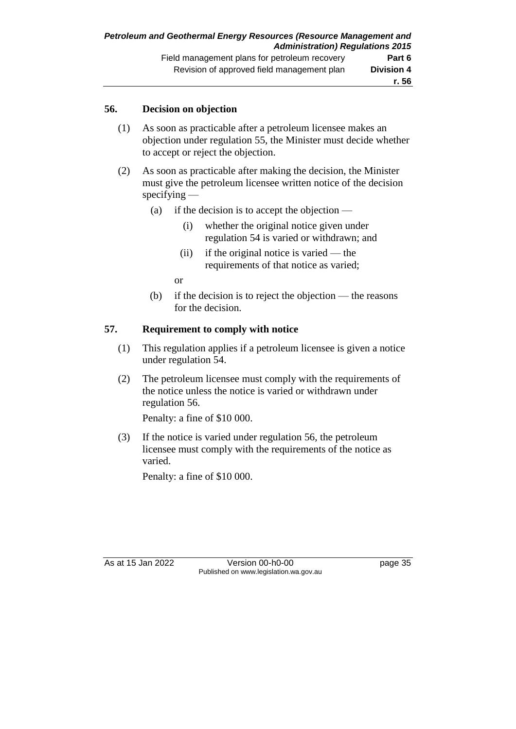## **56. Decision on objection**

- (1) As soon as practicable after a petroleum licensee makes an objection under regulation 55, the Minister must decide whether to accept or reject the objection.
- (2) As soon as practicable after making the decision, the Minister must give the petroleum licensee written notice of the decision specifying —
	- (a) if the decision is to accept the objection
		- (i) whether the original notice given under regulation 54 is varied or withdrawn; and
		- (ii) if the original notice is varied the requirements of that notice as varied;

or

(b) if the decision is to reject the objection — the reasons for the decision.

## **57. Requirement to comply with notice**

- (1) This regulation applies if a petroleum licensee is given a notice under regulation 54.
- (2) The petroleum licensee must comply with the requirements of the notice unless the notice is varied or withdrawn under regulation 56.

Penalty: a fine of \$10 000.

(3) If the notice is varied under regulation 56, the petroleum licensee must comply with the requirements of the notice as varied.

Penalty: a fine of \$10 000.

As at 15 Jan 2022 Version 00-h0-00 page 35 Published on www.legislation.wa.gov.au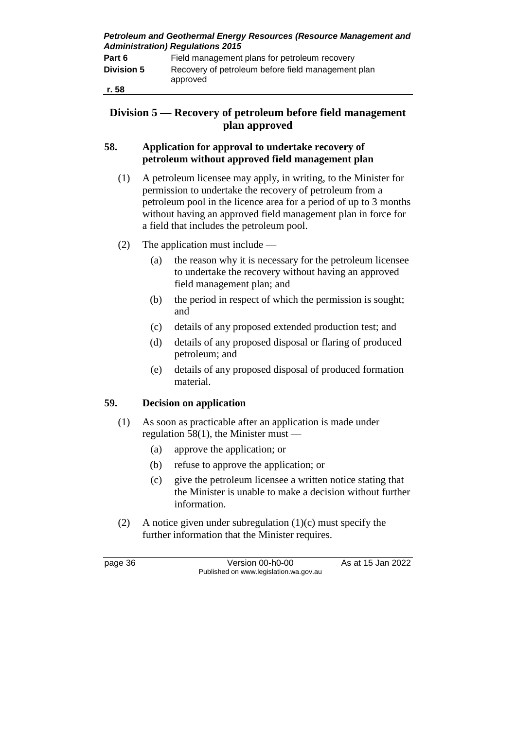*Petroleum and Geothermal Energy Resources (Resource Management and Administration) Regulations 2015*

| Part 6            | Field management plans for petroleum recovery                  |  |  |
|-------------------|----------------------------------------------------------------|--|--|
| <b>Division 5</b> | Recovery of petroleum before field management plan<br>approved |  |  |
| r. 58             |                                                                |  |  |

## **Division 5 — Recovery of petroleum before field management plan approved**

#### **58. Application for approval to undertake recovery of petroleum without approved field management plan**

- (1) A petroleum licensee may apply, in writing, to the Minister for permission to undertake the recovery of petroleum from a petroleum pool in the licence area for a period of up to 3 months without having an approved field management plan in force for a field that includes the petroleum pool.
- (2) The application must include
	- (a) the reason why it is necessary for the petroleum licensee to undertake the recovery without having an approved field management plan; and
	- (b) the period in respect of which the permission is sought; and
	- (c) details of any proposed extended production test; and
	- (d) details of any proposed disposal or flaring of produced petroleum; and
	- (e) details of any proposed disposal of produced formation material.

## **59. Decision on application**

- (1) As soon as practicable after an application is made under regulation 58(1), the Minister must —
	- (a) approve the application; or
	- (b) refuse to approve the application; or
	- (c) give the petroleum licensee a written notice stating that the Minister is unable to make a decision without further information.
- (2) A notice given under subregulation (1)(c) must specify the further information that the Minister requires.

page 36 Version 00-h0-00 As at 15 Jan 2022 Published on www.legislation.wa.gov.au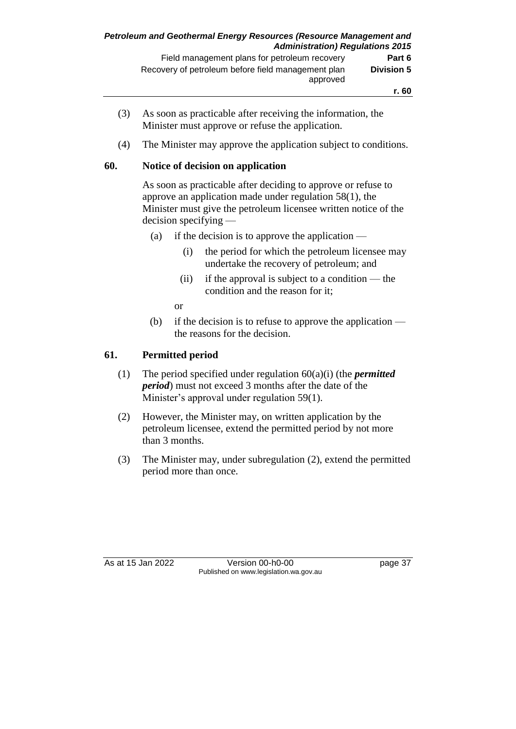- (3) As soon as practicable after receiving the information, the Minister must approve or refuse the application.
- (4) The Minister may approve the application subject to conditions.

#### **60. Notice of decision on application**

As soon as practicable after deciding to approve or refuse to approve an application made under regulation 58(1), the Minister must give the petroleum licensee written notice of the decision specifying —

- (a) if the decision is to approve the application
	- (i) the period for which the petroleum licensee may undertake the recovery of petroleum; and
	- (ii) if the approval is subject to a condition the condition and the reason for it;
	- or
- (b) if the decision is to refuse to approve the application the reasons for the decision.

#### **61. Permitted period**

- (1) The period specified under regulation 60(a)(i) (the *permitted period*) must not exceed 3 months after the date of the Minister's approval under regulation 59(1).
- (2) However, the Minister may, on written application by the petroleum licensee, extend the permitted period by not more than 3 months.
- (3) The Minister may, under subregulation (2), extend the permitted period more than once.

As at 15 Jan 2022 Version 00-h0-00 page 37 Published on www.legislation.wa.gov.au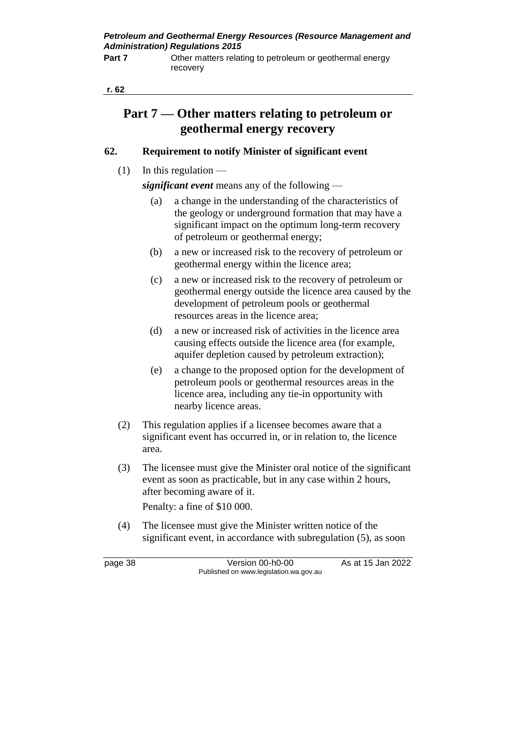*Petroleum and Geothermal Energy Resources (Resource Management and Administration) Regulations 2015*

| Part 7 | Other matters relating to petroleum or geothermal energy |
|--------|----------------------------------------------------------|
|        | recovery                                                 |

**r. 62**

## **Part 7 — Other matters relating to petroleum or geothermal energy recovery**

## **62. Requirement to notify Minister of significant event**

 $(1)$  In this regulation —

*significant event* means any of the following —

- (a) a change in the understanding of the characteristics of the geology or underground formation that may have a significant impact on the optimum long-term recovery of petroleum or geothermal energy;
- (b) a new or increased risk to the recovery of petroleum or geothermal energy within the licence area;
- (c) a new or increased risk to the recovery of petroleum or geothermal energy outside the licence area caused by the development of petroleum pools or geothermal resources areas in the licence area;
- (d) a new or increased risk of activities in the licence area causing effects outside the licence area (for example, aquifer depletion caused by petroleum extraction);
- (e) a change to the proposed option for the development of petroleum pools or geothermal resources areas in the licence area, including any tie-in opportunity with nearby licence areas.
- (2) This regulation applies if a licensee becomes aware that a significant event has occurred in, or in relation to, the licence area.
- (3) The licensee must give the Minister oral notice of the significant event as soon as practicable, but in any case within 2 hours, after becoming aware of it.

Penalty: a fine of \$10 000.

(4) The licensee must give the Minister written notice of the significant event, in accordance with subregulation (5), as soon

page 38 Version 00-h0-00 As at 15 Jan 2022 Published on www.legislation.wa.gov.au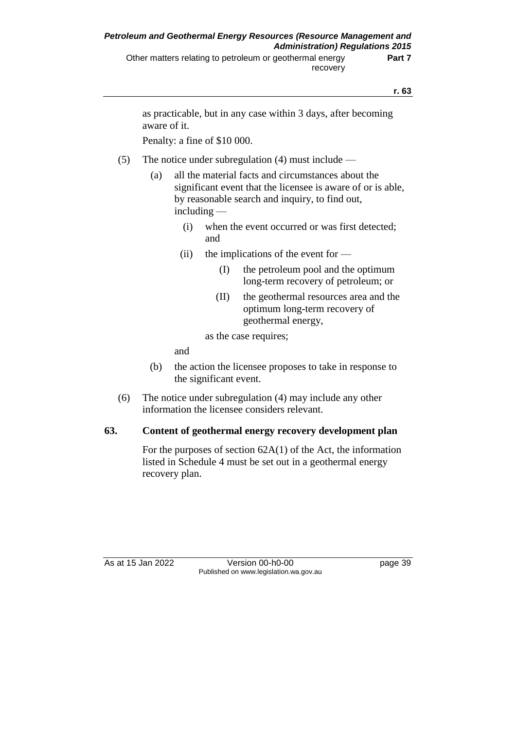Other matters relating to petroleum or geothermal energy recovery

**r. 63**

as practicable, but in any case within 3 days, after becoming aware of it.

Penalty: a fine of \$10 000.

- (5) The notice under subregulation (4) must include
	- (a) all the material facts and circumstances about the significant event that the licensee is aware of or is able, by reasonable search and inquiry, to find out, including —
		- (i) when the event occurred or was first detected; and
		- (ii) the implications of the event for  $-$ 
			- (I) the petroleum pool and the optimum long-term recovery of petroleum; or
			- (II) the geothermal resources area and the optimum long-term recovery of geothermal energy,

as the case requires;

and

- (b) the action the licensee proposes to take in response to the significant event.
- (6) The notice under subregulation (4) may include any other information the licensee considers relevant.

#### **63. Content of geothermal energy recovery development plan**

For the purposes of section 62A(1) of the Act, the information listed in Schedule 4 must be set out in a geothermal energy recovery plan.

As at 15 Jan 2022 Version 00-h0-00 page 39 Published on www.legislation.wa.gov.au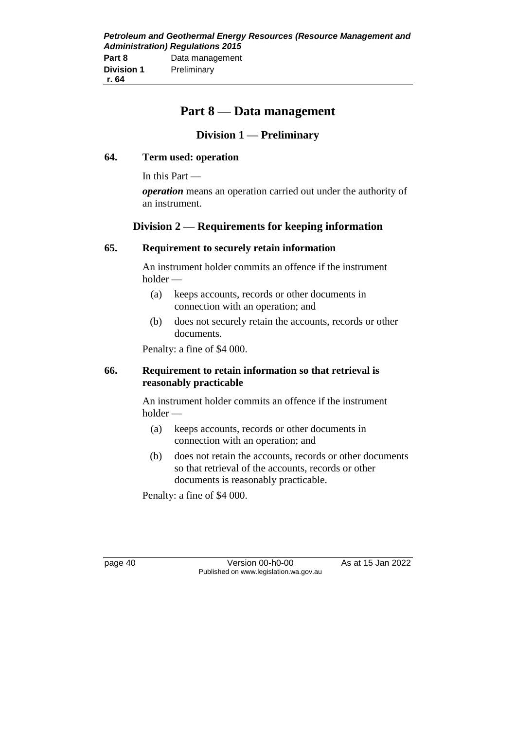| Petroleum and Geothermal Energy Resources (Resource Management and |                                         |  |  |  |
|--------------------------------------------------------------------|-----------------------------------------|--|--|--|
|                                                                    | <b>Administration) Regulations 2015</b> |  |  |  |
| Part 8                                                             | Data management                         |  |  |  |
| <b>Division 1</b>                                                  | Preliminary                             |  |  |  |
| r. 64                                                              |                                         |  |  |  |

# **Part 8 — Data management**

## **Division 1 — Preliminary**

#### **64. Term used: operation**

In this Part —

*operation* means an operation carried out under the authority of an instrument.

## **Division 2 — Requirements for keeping information**

#### **65. Requirement to securely retain information**

An instrument holder commits an offence if the instrument holder —

- (a) keeps accounts, records or other documents in connection with an operation; and
- (b) does not securely retain the accounts, records or other documents.

Penalty: a fine of \$4 000.

#### **66. Requirement to retain information so that retrieval is reasonably practicable**

An instrument holder commits an offence if the instrument holder —

- (a) keeps accounts, records or other documents in connection with an operation; and
- (b) does not retain the accounts, records or other documents so that retrieval of the accounts, records or other documents is reasonably practicable.

Penalty: a fine of \$4 000.

page 40 Version 00-h0-00 As at 15 Jan 2022 Published on www.legislation.wa.gov.au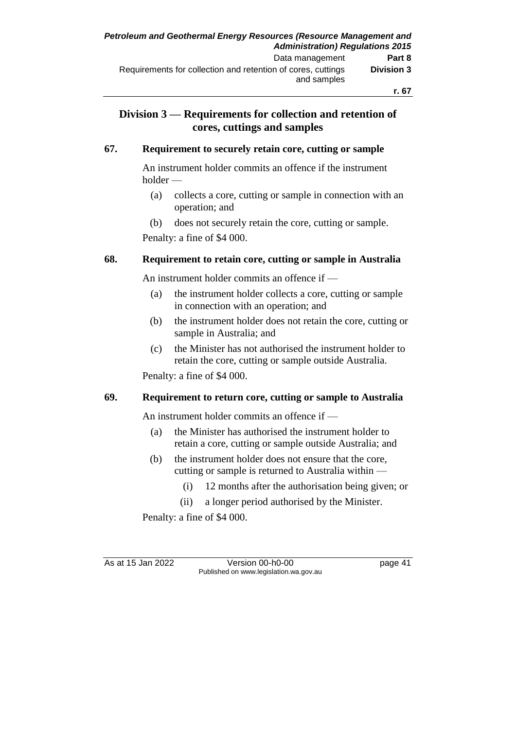## **Division 3 — Requirements for collection and retention of cores, cuttings and samples**

#### **67. Requirement to securely retain core, cutting or sample**

An instrument holder commits an offence if the instrument holder —

- (a) collects a core, cutting or sample in connection with an operation; and
- (b) does not securely retain the core, cutting or sample.

Penalty: a fine of \$4 000.

#### **68. Requirement to retain core, cutting or sample in Australia**

An instrument holder commits an offence if —

- (a) the instrument holder collects a core, cutting or sample in connection with an operation; and
- (b) the instrument holder does not retain the core, cutting or sample in Australia; and
- (c) the Minister has not authorised the instrument holder to retain the core, cutting or sample outside Australia.

Penalty: a fine of \$4 000.

#### **69. Requirement to return core, cutting or sample to Australia**

An instrument holder commits an offence if —

- (a) the Minister has authorised the instrument holder to retain a core, cutting or sample outside Australia; and
- (b) the instrument holder does not ensure that the core, cutting or sample is returned to Australia within —
	- (i) 12 months after the authorisation being given; or
	- (ii) a longer period authorised by the Minister.

Penalty: a fine of \$4 000.

As at 15 Jan 2022 Version 00-h0-00 page 41 Published on www.legislation.wa.gov.au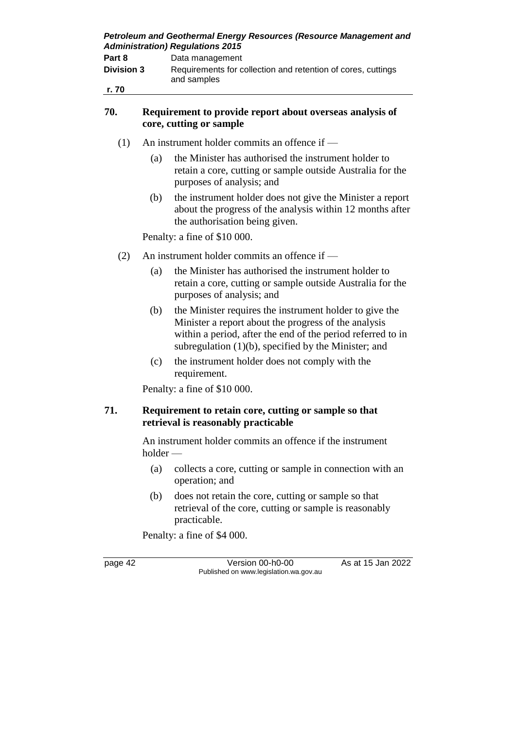*Petroleum and Geothermal Energy Resources (Resource Management and Administration) Regulations 2015*

| Part 8            | Data management                                                             |
|-------------------|-----------------------------------------------------------------------------|
| <b>Division 3</b> | Requirements for collection and retention of cores, cuttings<br>and samples |
| r. 70             |                                                                             |

#### **70. Requirement to provide report about overseas analysis of core, cutting or sample**

- (1) An instrument holder commits an offence if
	- (a) the Minister has authorised the instrument holder to retain a core, cutting or sample outside Australia for the purposes of analysis; and
	- (b) the instrument holder does not give the Minister a report about the progress of the analysis within 12 months after the authorisation being given.

Penalty: a fine of \$10 000.

- (2) An instrument holder commits an offence if
	- (a) the Minister has authorised the instrument holder to retain a core, cutting or sample outside Australia for the purposes of analysis; and
	- (b) the Minister requires the instrument holder to give the Minister a report about the progress of the analysis within a period, after the end of the period referred to in subregulation (1)(b), specified by the Minister; and
	- (c) the instrument holder does not comply with the requirement.

Penalty: a fine of \$10 000.

#### **71. Requirement to retain core, cutting or sample so that retrieval is reasonably practicable**

An instrument holder commits an offence if the instrument holder —

- (a) collects a core, cutting or sample in connection with an operation; and
- (b) does not retain the core, cutting or sample so that retrieval of the core, cutting or sample is reasonably practicable.

Penalty: a fine of \$4 000.

page 42 Version 00-h0-00 As at 15 Jan 2022 Published on www.legislation.wa.gov.au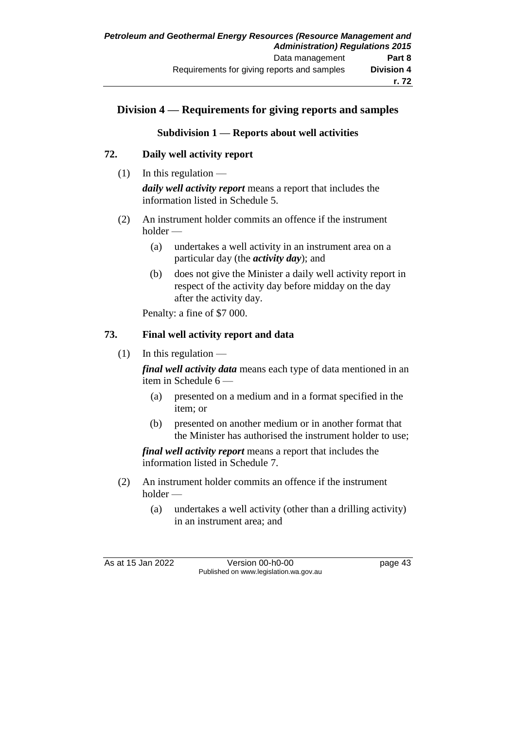## **Division 4 — Requirements for giving reports and samples**

#### **Subdivision 1 — Reports about well activities**

#### **72. Daily well activity report**

- $(1)$  In this regulation *daily well activity report* means a report that includes the information listed in Schedule 5.
- (2) An instrument holder commits an offence if the instrument holder —
	- (a) undertakes a well activity in an instrument area on a particular day (the *activity day*); and
	- (b) does not give the Minister a daily well activity report in respect of the activity day before midday on the day after the activity day.

Penalty: a fine of \$7 000.

#### **73. Final well activity report and data**

 $(1)$  In this regulation —

*final well activity data* means each type of data mentioned in an item in Schedule 6 —

- (a) presented on a medium and in a format specified in the item; or
- (b) presented on another medium or in another format that the Minister has authorised the instrument holder to use;

*final well activity report* means a report that includes the information listed in Schedule 7.

- (2) An instrument holder commits an offence if the instrument holder —
	- (a) undertakes a well activity (other than a drilling activity) in an instrument area; and

As at 15 Jan 2022 Version 00-h0-00 page 43 Published on www.legislation.wa.gov.au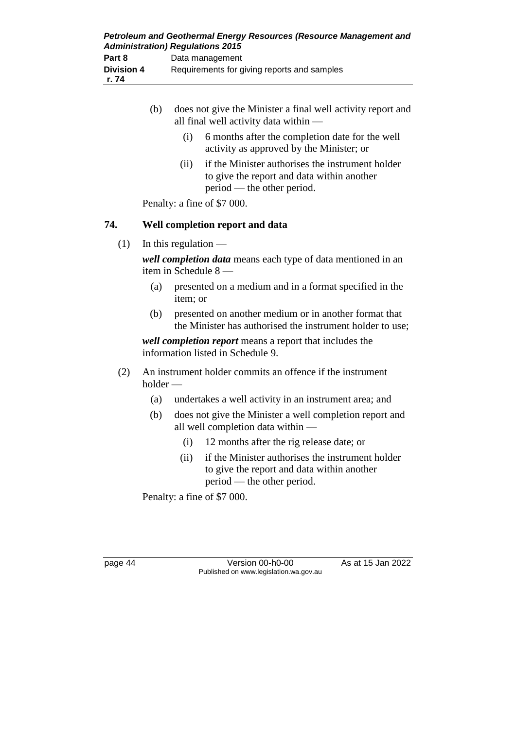- (b) does not give the Minister a final well activity report and all final well activity data within —
	- (i) 6 months after the completion date for the well activity as approved by the Minister; or
	- (ii) if the Minister authorises the instrument holder to give the report and data within another period — the other period.

Penalty: a fine of \$7 000.

#### **74. Well completion report and data**

 $(1)$  In this regulation —

*well completion data* means each type of data mentioned in an item in Schedule 8 —

- (a) presented on a medium and in a format specified in the item; or
- (b) presented on another medium or in another format that the Minister has authorised the instrument holder to use;

*well completion report* means a report that includes the information listed in Schedule 9.

- (2) An instrument holder commits an offence if the instrument holder —
	- (a) undertakes a well activity in an instrument area; and
	- (b) does not give the Minister a well completion report and all well completion data within —
		- (i) 12 months after the rig release date; or
		- (ii) if the Minister authorises the instrument holder to give the report and data within another period — the other period.

Penalty: a fine of \$7 000.

page 44 Version 00-h0-00 As at 15 Jan 2022 Published on www.legislation.wa.gov.au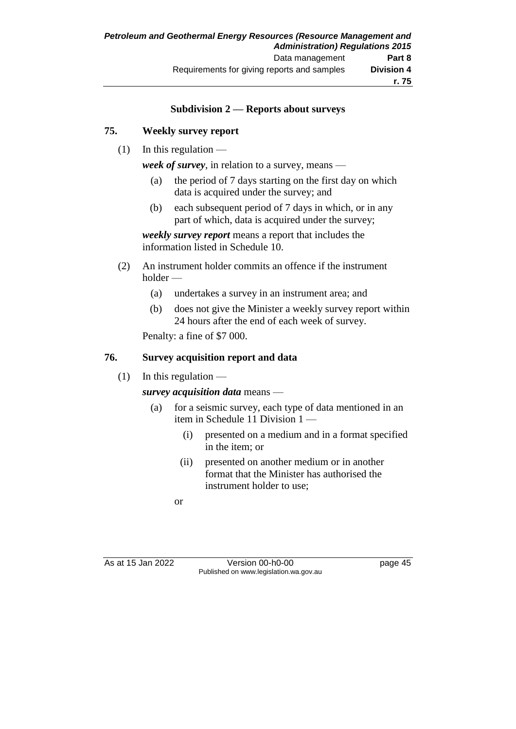# **Subdivision 2 — Reports about surveys**

## **75. Weekly survey report**

 $(1)$  In this regulation —

*week of survey*, in relation to a survey, means —

- (a) the period of 7 days starting on the first day on which data is acquired under the survey; and
- (b) each subsequent period of 7 days in which, or in any part of which, data is acquired under the survey;

*weekly survey report* means a report that includes the information listed in Schedule 10.

- (2) An instrument holder commits an offence if the instrument holder —
	- (a) undertakes a survey in an instrument area; and
	- (b) does not give the Minister a weekly survey report within 24 hours after the end of each week of survey.

Penalty: a fine of \$7 000.

#### **76. Survey acquisition report and data**

 $(1)$  In this regulation —

*survey acquisition data* means —

- (a) for a seismic survey, each type of data mentioned in an item in Schedule 11 Division 1 —
	- (i) presented on a medium and in a format specified in the item; or
	- (ii) presented on another medium or in another format that the Minister has authorised the instrument holder to use;

or

As at 15 Jan 2022 Version 00-h0-00 page 45 Published on www.legislation.wa.gov.au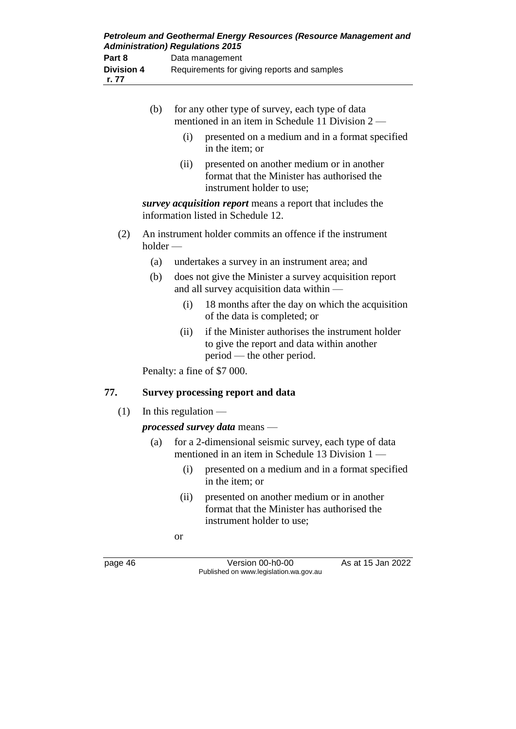|     | (b)        |      | for any other type of survey, each type of data<br>mentioned in an item in Schedule 11 Division 2 —                            |
|-----|------------|------|--------------------------------------------------------------------------------------------------------------------------------|
|     |            | (i)  | presented on a medium and in a format specified<br>in the item; or                                                             |
|     |            | (ii) | presented on another medium or in another<br>format that the Minister has authorised the<br>instrument holder to use;          |
|     |            |      | survey acquisition report means a report that includes the<br>information listed in Schedule 12.                               |
| (2) | $holder -$ |      | An instrument holder commits an offence if the instrument                                                                      |
|     | (a)        |      | undertakes a survey in an instrument area; and                                                                                 |
|     | (b)        |      | does not give the Minister a survey acquisition report<br>and all survey acquisition data within —                             |
|     |            | (i)  | 18 months after the day on which the acquisition<br>of the data is completed; or                                               |
|     |            | (ii) | if the Minister authorises the instrument holder<br>to give the report and data within another<br>$period$ — the other period. |
|     |            |      | Penalty: a fine of \$7 000.                                                                                                    |
| 77. |            |      | <b>Survey processing report and data</b>                                                                                       |

 $(1)$  In this regulation —

*processed survey data* means —

- (a) for a 2-dimensional seismic survey, each type of data mentioned in an item in Schedule 13 Division 1 —
	- (i) presented on a medium and in a format specified in the item; or
	- (ii) presented on another medium or in another format that the Minister has authorised the instrument holder to use;
	- or

page 46 Version 00-h0-00 As at 15 Jan 2022 Published on www.legislation.wa.gov.au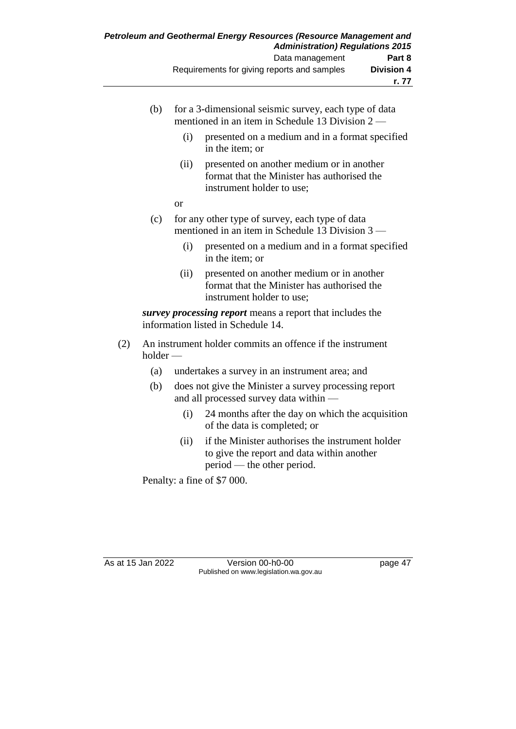- (b) for a 3-dimensional seismic survey, each type of data mentioned in an item in Schedule 13 Division 2 —
	- (i) presented on a medium and in a format specified in the item; or
	- (ii) presented on another medium or in another format that the Minister has authorised the instrument holder to use;
	- or
- (c) for any other type of survey, each type of data mentioned in an item in Schedule 13 Division 3 —
	- (i) presented on a medium and in a format specified in the item; or
	- (ii) presented on another medium or in another format that the Minister has authorised the instrument holder to use;

*survey processing report* means a report that includes the information listed in Schedule 14.

- (2) An instrument holder commits an offence if the instrument holder —
	- (a) undertakes a survey in an instrument area; and
	- (b) does not give the Minister a survey processing report and all processed survey data within —
		- (i) 24 months after the day on which the acquisition of the data is completed; or
		- (ii) if the Minister authorises the instrument holder to give the report and data within another period — the other period.

Penalty: a fine of \$7 000.

As at 15 Jan 2022 Version 00-h0-00 page 47 Published on www.legislation.wa.gov.au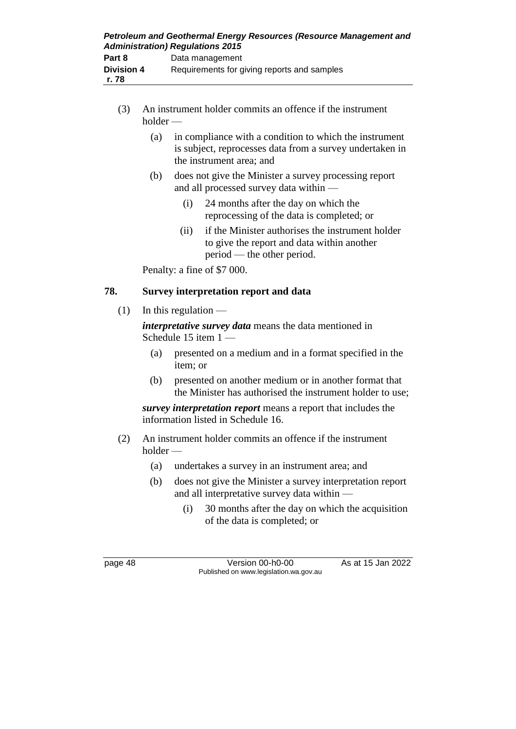| Petroleum and Geothermal Energy Resources (Resource Management and<br><b>Administration) Regulations 2015</b> |                                             |  |
|---------------------------------------------------------------------------------------------------------------|---------------------------------------------|--|
| Part 8                                                                                                        | Data management                             |  |
| <b>Division 4</b><br>r. 78                                                                                    | Requirements for giving reports and samples |  |

- (3) An instrument holder commits an offence if the instrument holder —
	- (a) in compliance with a condition to which the instrument is subject, reprocesses data from a survey undertaken in the instrument area; and
	- (b) does not give the Minister a survey processing report and all processed survey data within —
		- (i) 24 months after the day on which the reprocessing of the data is completed; or
		- (ii) if the Minister authorises the instrument holder to give the report and data within another period — the other period.

Penalty: a fine of \$7 000.

## **78. Survey interpretation report and data**

 $(1)$  In this regulation —

*interpretative survey data* means the data mentioned in Schedule 15 item 1 —

- (a) presented on a medium and in a format specified in the item; or
- (b) presented on another medium or in another format that the Minister has authorised the instrument holder to use;

*survey interpretation report* means a report that includes the information listed in Schedule 16.

- (2) An instrument holder commits an offence if the instrument holder —
	- (a) undertakes a survey in an instrument area; and
	- (b) does not give the Minister a survey interpretation report and all interpretative survey data within —
		- (i) 30 months after the day on which the acquisition of the data is completed; or

page 48 Version 00-h0-00 As at 15 Jan 2022 Published on www.legislation.wa.gov.au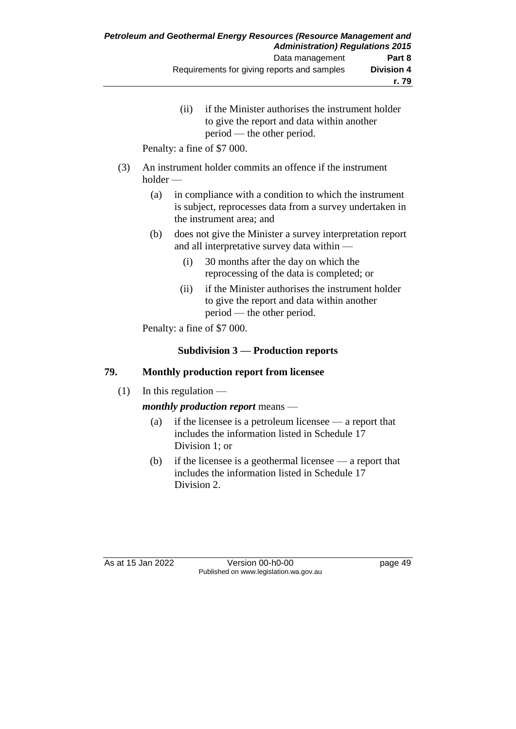(ii) if the Minister authorises the instrument holder to give the report and data within another period — the other period.

Penalty: a fine of \$7 000.

- (3) An instrument holder commits an offence if the instrument holder —
	- (a) in compliance with a condition to which the instrument is subject, reprocesses data from a survey undertaken in the instrument area; and
	- (b) does not give the Minister a survey interpretation report and all interpretative survey data within —
		- (i) 30 months after the day on which the reprocessing of the data is completed; or
		- (ii) if the Minister authorises the instrument holder to give the report and data within another period — the other period.

Penalty: a fine of \$7 000.

#### **Subdivision 3 — Production reports**

#### **79. Monthly production report from licensee**

 $(1)$  In this regulation —

#### *monthly production report* means —

- (a) if the licensee is a petroleum licensee a report that includes the information listed in Schedule 17 Division 1; or
- (b) if the licensee is a geothermal licensee a report that includes the information listed in Schedule 17 Division 2.

As at 15 Jan 2022 Version 00-h0-00 page 49 Published on www.legislation.wa.gov.au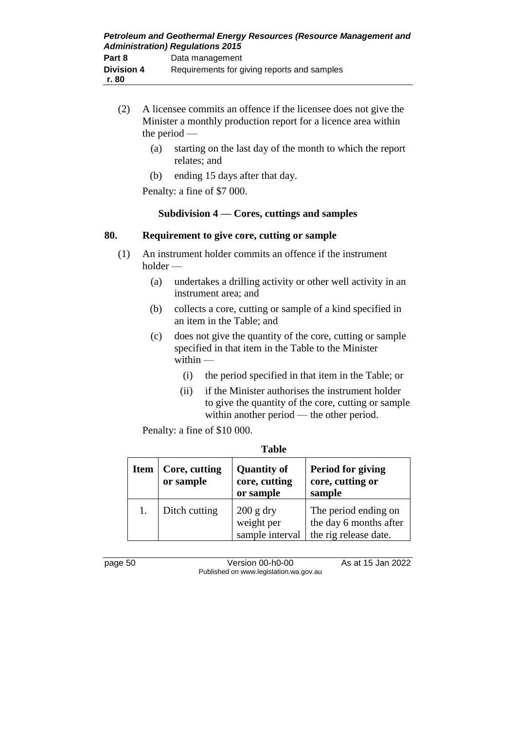- (2) A licensee commits an offence if the licensee does not give the Minister a monthly production report for a licence area within the period —
	- (a) starting on the last day of the month to which the report relates; and
	- (b) ending 15 days after that day.

Penalty: a fine of \$7 000.

#### **Subdivision 4 — Cores, cuttings and samples**

#### **80. Requirement to give core, cutting or sample**

- (1) An instrument holder commits an offence if the instrument holder —
	- (a) undertakes a drilling activity or other well activity in an instrument area; and
	- (b) collects a core, cutting or sample of a kind specified in an item in the Table; and
	- (c) does not give the quantity of the core, cutting or sample specified in that item in the Table to the Minister within —
		- (i) the period specified in that item in the Table; or
		- (ii) if the Minister authorises the instrument holder to give the quantity of the core, cutting or sample within another period — the other period.

Penalty: a fine of \$10 000.

|             |                            | танне                                            |                                                                         |
|-------------|----------------------------|--------------------------------------------------|-------------------------------------------------------------------------|
| <b>Item</b> | Core, cutting<br>or sample | <b>Quantity of</b><br>core, cutting<br>or sample | Period for giving<br>core, cutting or<br>sample                         |
| 1.          | Ditch cutting              | $200$ g dry<br>weight per<br>sample interval     | The period ending on<br>the day 6 months after<br>the rig release date. |

**Table**

page 50 Version 00-h0-00 As at 15 Jan 2022 Published on www.legislation.wa.gov.au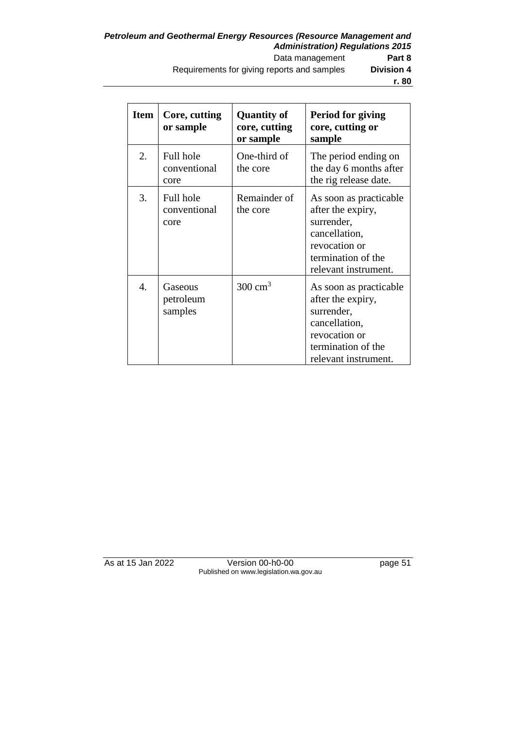*Petroleum and Geothermal Energy Resources (Resource Management and Administration) Regulations 2015* Data management **Part 8** Requirements for giving reports and samples **Division 4 r. 80**

| <b>Item</b> | Core, cutting<br>or sample        | <b>Quantity of</b><br>core, cutting<br>or sample | <b>Period for giving</b><br>core, cutting or<br>sample                                                                                    |
|-------------|-----------------------------------|--------------------------------------------------|-------------------------------------------------------------------------------------------------------------------------------------------|
| 2.          | Full hole<br>conventional<br>core | One-third of<br>the core                         | The period ending on<br>the day 6 months after<br>the rig release date.                                                                   |
| 3.          | Full hole<br>conventional<br>core | Remainder of<br>the core                         | As soon as practicable<br>after the expiry,<br>surrender,<br>cancellation,<br>revocation or<br>termination of the<br>relevant instrument. |
| 4.          | Gaseous<br>petroleum<br>samples   | $300 \text{ cm}^3$                               | As soon as practicable<br>after the expiry,<br>surrender,<br>cancellation,<br>revocation or<br>termination of the<br>relevant instrument. |

As at 15 Jan 2022 Version 00-h0-00 page 51 Published on www.legislation.wa.gov.au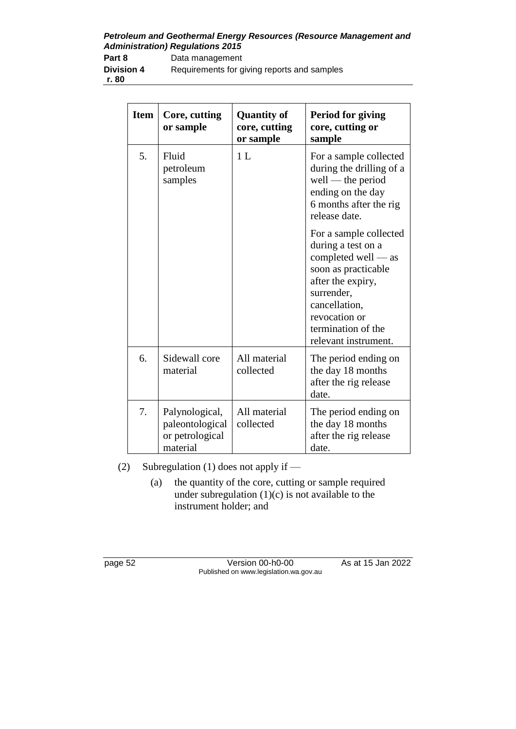*Petroleum and Geothermal Energy Resources (Resource Management and Administration) Regulations 2015*

**Data management Division 4** Requirements for giving reports and samples

| .  .              |  |
|-------------------|--|
| <b>Division 4</b> |  |
| r. 80             |  |

| <b>Item</b> | Core, cutting<br>or sample                                       | <b>Quantity of</b><br>core, cutting<br>or sample | <b>Period for giving</b><br>core, cutting or<br>sample                                                                                                                                                          |
|-------------|------------------------------------------------------------------|--------------------------------------------------|-----------------------------------------------------------------------------------------------------------------------------------------------------------------------------------------------------------------|
| 5.          | Fluid<br>petroleum<br>samples                                    | 1 <sub>L</sub>                                   | For a sample collected<br>during the drilling of a<br>$well$ — the period<br>ending on the day<br>6 months after the rig<br>release date.                                                                       |
|             |                                                                  |                                                  | For a sample collected<br>during a test on a<br>completed well $-$ as<br>soon as practicable<br>after the expiry,<br>surrender,<br>cancellation,<br>revocation or<br>termination of the<br>relevant instrument. |
| 6.          | Sidewall core<br>material                                        | All material<br>collected                        | The period ending on<br>the day 18 months<br>after the rig release<br>date.                                                                                                                                     |
| 7.          | Palynological,<br>paleontological<br>or petrological<br>material | All material<br>collected                        | The period ending on<br>the day 18 months<br>after the rig release<br>date.                                                                                                                                     |

(2) Subregulation (1) does not apply if —

(a) the quantity of the core, cutting or sample required under subregulation  $(1)(c)$  is not available to the instrument holder; and

page 52 Version 00-h0-00 As at 15 Jan 2022 Published on www.legislation.wa.gov.au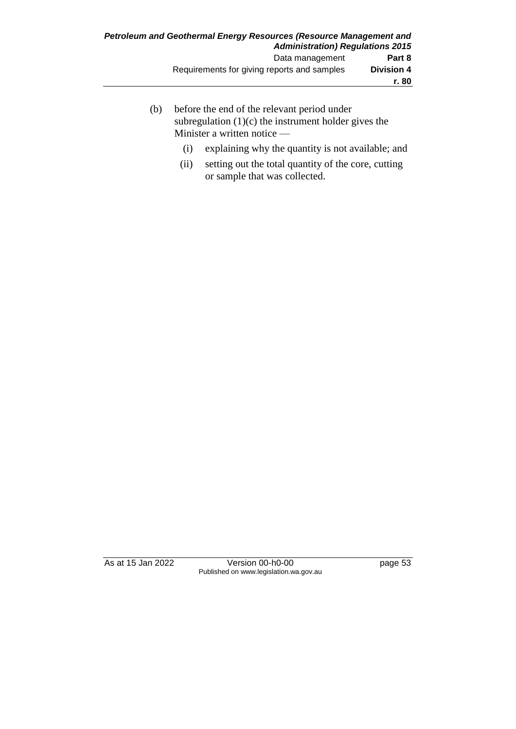- (b) before the end of the relevant period under subregulation  $(1)(c)$  the instrument holder gives the Minister a written notice —
	- (i) explaining why the quantity is not available; and
	- (ii) setting out the total quantity of the core, cutting or sample that was collected.

As at 15 Jan 2022 Version 00-h0-00 page 53 Published on www.legislation.wa.gov.au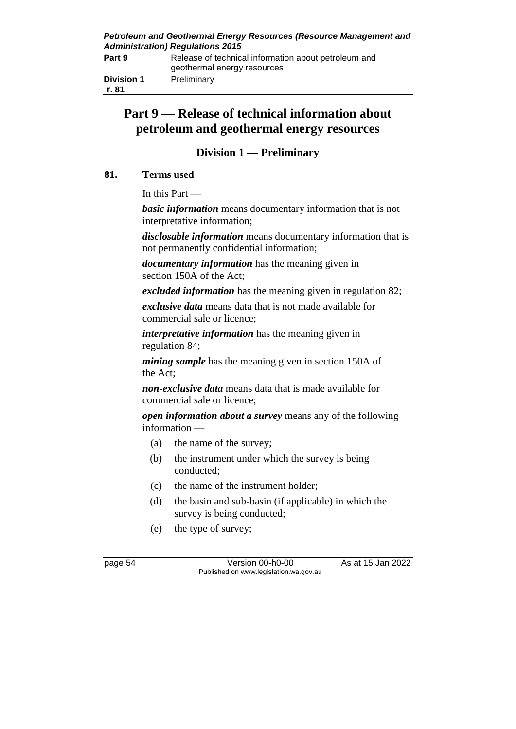| Petroleum and Geothermal Energy Resources (Resource Management and<br><b>Administration) Regulations 2015</b> |                                                                                     |  |
|---------------------------------------------------------------------------------------------------------------|-------------------------------------------------------------------------------------|--|
| Part 9                                                                                                        | Release of technical information about petroleum and<br>geothermal energy resources |  |
| <b>Division 1</b><br>r. 81                                                                                    | Preliminary                                                                         |  |

## **Part 9 — Release of technical information about petroleum and geothermal energy resources**

## **Division 1 — Preliminary**

#### **81. Terms used**

In this Part —

*basic information* means documentary information that is not interpretative information;

*disclosable information* means documentary information that is not permanently confidential information;

*documentary information* has the meaning given in section 150A of the Act;

*excluded information* has the meaning given in regulation 82;

*exclusive data* means data that is not made available for commercial sale or licence;

*interpretative information* has the meaning given in regulation 84;

*mining sample* has the meaning given in section 150A of the Act;

*non-exclusive data* means data that is made available for commercial sale or licence;

*open information about a survey* means any of the following information —

- (a) the name of the survey;
- (b) the instrument under which the survey is being conducted;
- (c) the name of the instrument holder;
- (d) the basin and sub-basin (if applicable) in which the survey is being conducted;
- (e) the type of survey;

page 54 Version 00-h0-00 As at 15 Jan 2022 Published on www.legislation.wa.gov.au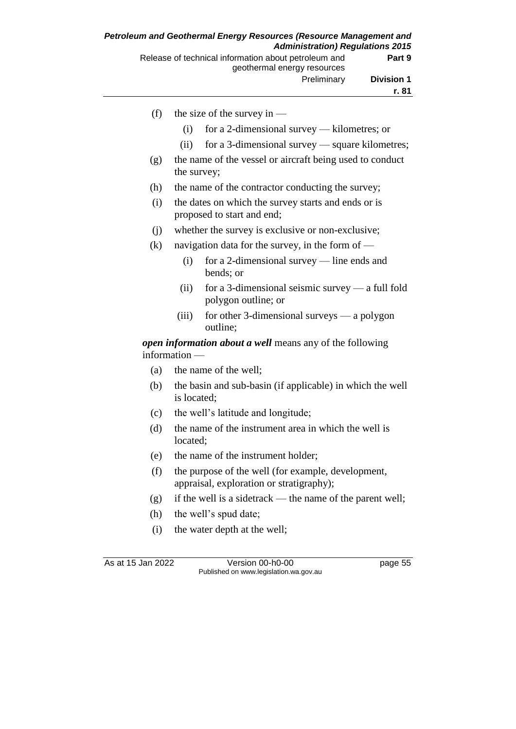- (f) the size of the survey in
	- (i) for a 2-dimensional survey kilometres; or
	- (ii) for a 3-dimensional survey square kilometres;
- (g) the name of the vessel or aircraft being used to conduct the survey;
- (h) the name of the contractor conducting the survey;
- (i) the dates on which the survey starts and ends or is proposed to start and end;
- (j) whether the survey is exclusive or non-exclusive;
- $(k)$  navigation data for the survey, in the form of
	- (i) for a 2-dimensional survey line ends and bends; or
	- (ii) for a 3-dimensional seismic survey a full fold polygon outline; or
	- (iii) for other 3-dimensional surveys a polygon outline;

*open information about a well* means any of the following information —

- (a) the name of the well;
- (b) the basin and sub-basin (if applicable) in which the well is located;
- (c) the well's latitude and longitude;
- (d) the name of the instrument area in which the well is located;
- (e) the name of the instrument holder;
- (f) the purpose of the well (for example, development, appraisal, exploration or stratigraphy);
- (g) if the well is a sidetrack the name of the parent well;
- (h) the well's spud date;
- (i) the water depth at the well;

As at 15 Jan 2022 Version 00-h0-00 page 55 Published on www.legislation.wa.gov.au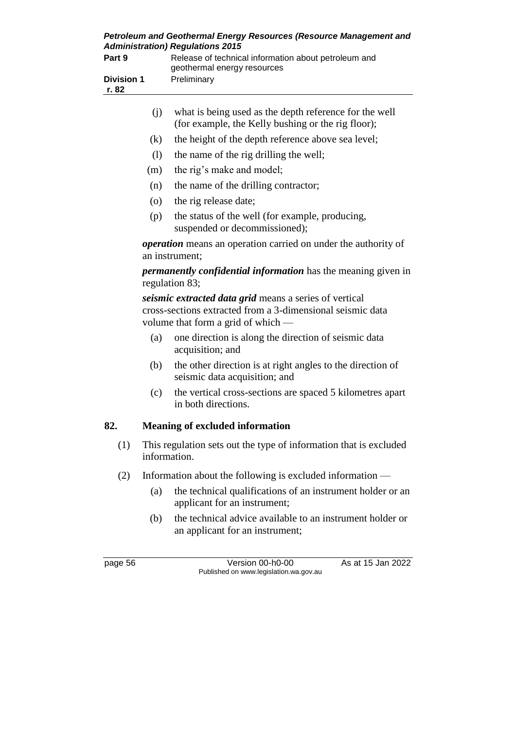| Part 9                     | Release of technical information about petroleum and<br>geothermal energy resources |                                                                                                                                                                     |  |
|----------------------------|-------------------------------------------------------------------------------------|---------------------------------------------------------------------------------------------------------------------------------------------------------------------|--|
| <b>Division 1</b><br>r. 82 |                                                                                     | Preliminary                                                                                                                                                         |  |
|                            | (j)                                                                                 | what is being used as the depth reference for the well<br>(for example, the Kelly bushing or the rig floor);                                                        |  |
|                            | (k)                                                                                 | the height of the depth reference above sea level;                                                                                                                  |  |
|                            | (1)                                                                                 | the name of the rig drilling the well;                                                                                                                              |  |
|                            | (m)                                                                                 | the rig's make and model;                                                                                                                                           |  |
|                            | (n)                                                                                 | the name of the drilling contractor;                                                                                                                                |  |
|                            | $\circ$                                                                             | the rig release date;                                                                                                                                               |  |
|                            | (p)                                                                                 | the status of the well (for example, producing,<br>suspended or decommissioned);                                                                                    |  |
|                            |                                                                                     | <i>operation</i> means an operation carried on under the authority of<br>an instrument;                                                                             |  |
|                            |                                                                                     | <i>permanently confidential information</i> has the meaning given in<br>regulation 83;                                                                              |  |
|                            |                                                                                     | <i>seismic extracted data grid</i> means a series of vertical<br>cross-sections extracted from a 3-dimensional seismic data<br>volume that form a grid of which $-$ |  |
|                            | (a)                                                                                 | one direction is along the direction of seismic data<br>acquisition; and                                                                                            |  |
|                            | (b)                                                                                 | the other direction is at right angles to the direction of<br>seismic data acquisition; and                                                                         |  |
|                            | (c)                                                                                 | the vertical cross-sections are spaced 5 kilometres apart<br>in both directions.                                                                                    |  |
| 82.                        |                                                                                     | <b>Meaning of excluded information</b>                                                                                                                              |  |
| (1)                        | This regulation sets out the type of information that is excluded<br>information.   |                                                                                                                                                                     |  |
| (2)                        | Information about the following is excluded information —                           |                                                                                                                                                                     |  |
|                            | (a)                                                                                 | the technical qualifications of an instrument holder or an<br>applicant for an instrument;                                                                          |  |
|                            | (b)                                                                                 | the technical advice available to an instrument holder or<br>an applicant for an instrument;                                                                        |  |
| page 56                    |                                                                                     | Version 00-h0-00<br>As at 15 Jan 2022<br>Published on www.legislation.wa.gov.au                                                                                     |  |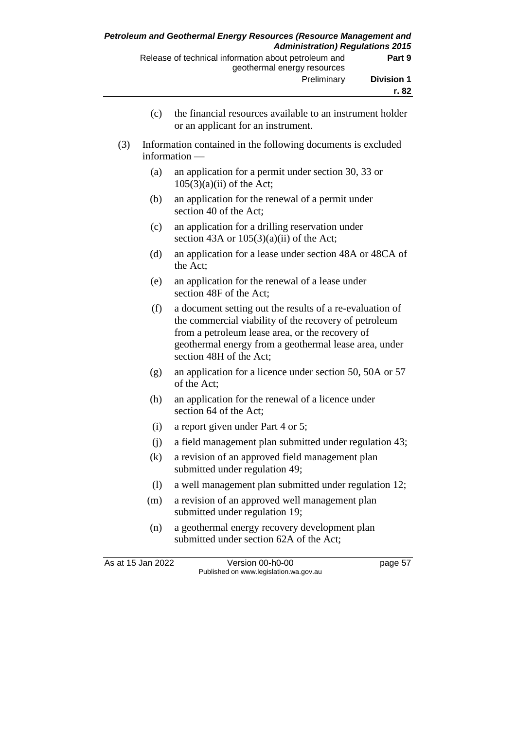- (c) the financial resources available to an instrument holder or an applicant for an instrument.
- (3) Information contained in the following documents is excluded information —
	- (a) an application for a permit under section 30, 33 or  $105(3)(a)(ii)$  of the Act;
	- (b) an application for the renewal of a permit under section 40 of the Act;
	- (c) an application for a drilling reservation under section 43A or  $105(3)(a)(ii)$  of the Act;
	- (d) an application for a lease under section 48A or 48CA of the Act;
	- (e) an application for the renewal of a lease under section 48F of the Act;
	- (f) a document setting out the results of a re-evaluation of the commercial viability of the recovery of petroleum from a petroleum lease area, or the recovery of geothermal energy from a geothermal lease area, under section 48H of the Act;
	- (g) an application for a licence under section 50, 50A or 57 of the Act;
	- (h) an application for the renewal of a licence under section 64 of the Act;
	- (i) a report given under Part 4 or 5;
	- (j) a field management plan submitted under regulation 43;
	- (k) a revision of an approved field management plan submitted under regulation 49;
	- (l) a well management plan submitted under regulation 12;
	- (m) a revision of an approved well management plan submitted under regulation 19;
	- (n) a geothermal energy recovery development plan submitted under section 62A of the Act;

As at 15 Jan 2022 Version 00-h0-00 page 57 Published on www.legislation.wa.gov.au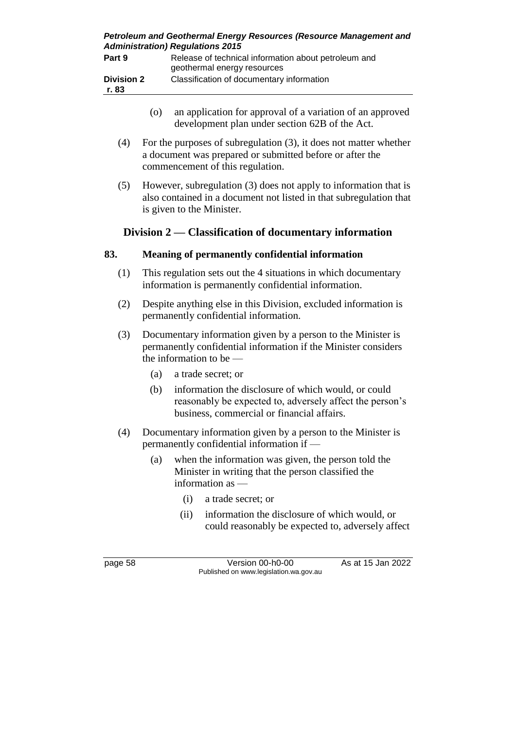| Petroleum and Geothermal Energy Resources (Resource Management and<br><b>Administration) Regulations 2015</b> |                                                                                     |  |
|---------------------------------------------------------------------------------------------------------------|-------------------------------------------------------------------------------------|--|
| Part 9                                                                                                        | Release of technical information about petroleum and<br>geothermal energy resources |  |
| <b>Division 2</b>                                                                                             | Classification of documentary information                                           |  |

| ш |  |  |
|---|--|--|
|   |  |  |

- (o) an application for approval of a variation of an approved development plan under section 62B of the Act.
- (4) For the purposes of subregulation (3), it does not matter whether a document was prepared or submitted before or after the commencement of this regulation.
- (5) However, subregulation (3) does not apply to information that is also contained in a document not listed in that subregulation that is given to the Minister.

## **Division 2 — Classification of documentary information**

#### **83. Meaning of permanently confidential information**

- (1) This regulation sets out the 4 situations in which documentary information is permanently confidential information.
- (2) Despite anything else in this Division, excluded information is permanently confidential information.
- (3) Documentary information given by a person to the Minister is permanently confidential information if the Minister considers the information to be —
	- (a) a trade secret; or
	- (b) information the disclosure of which would, or could reasonably be expected to, adversely affect the person's business, commercial or financial affairs.
- (4) Documentary information given by a person to the Minister is permanently confidential information if —
	- (a) when the information was given, the person told the Minister in writing that the person classified the information as —
		- (i) a trade secret; or
		- (ii) information the disclosure of which would, or could reasonably be expected to, adversely affect

page 58 Version 00-h0-00 As at 15 Jan 2022 Published on www.legislation.wa.gov.au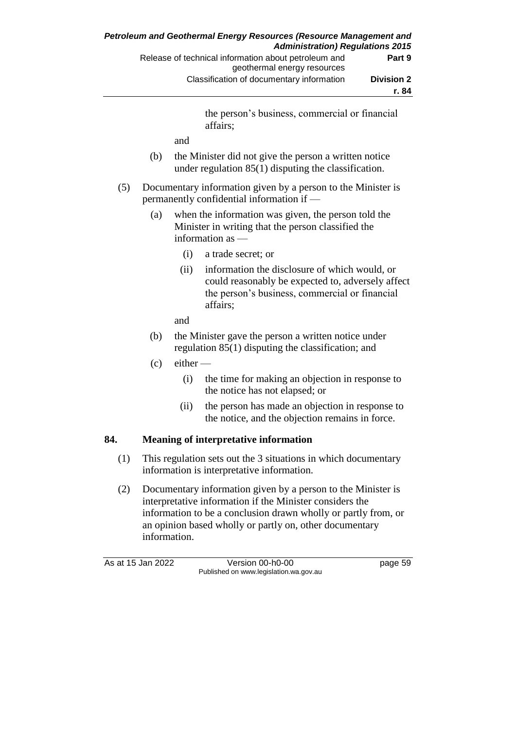the person's business, commercial or financial affairs;

and

- (b) the Minister did not give the person a written notice under regulation 85(1) disputing the classification.
- (5) Documentary information given by a person to the Minister is permanently confidential information if —
	- (a) when the information was given, the person told the Minister in writing that the person classified the information as —
		- (i) a trade secret; or
		- (ii) information the disclosure of which would, or could reasonably be expected to, adversely affect the person's business, commercial or financial affairs;

and

- (b) the Minister gave the person a written notice under regulation 85(1) disputing the classification; and
- $(c)$  either
	- (i) the time for making an objection in response to the notice has not elapsed; or
	- (ii) the person has made an objection in response to the notice, and the objection remains in force.

#### **84. Meaning of interpretative information**

- (1) This regulation sets out the 3 situations in which documentary information is interpretative information.
- (2) Documentary information given by a person to the Minister is interpretative information if the Minister considers the information to be a conclusion drawn wholly or partly from, or an opinion based wholly or partly on, other documentary information.

As at 15 Jan 2022 Version 00-h0-00 page 59 Published on www.legislation.wa.gov.au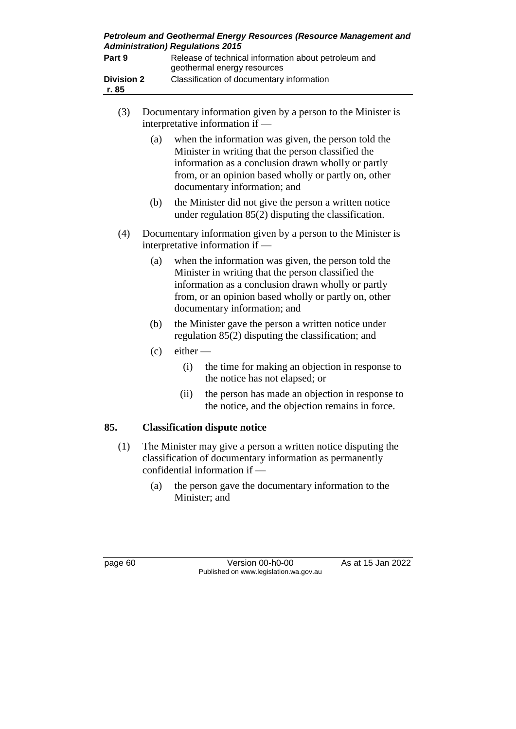| Part 9<br><b>Division 2</b><br>r. 85 |     |                                                                                                                                                            | Release of technical information about petroleum and<br>geothermal energy resources                                                                                                                                                                     |  |
|--------------------------------------|-----|------------------------------------------------------------------------------------------------------------------------------------------------------------|---------------------------------------------------------------------------------------------------------------------------------------------------------------------------------------------------------------------------------------------------------|--|
|                                      |     | Classification of documentary information                                                                                                                  |                                                                                                                                                                                                                                                         |  |
| (3)                                  |     |                                                                                                                                                            | Documentary information given by a person to the Minister is<br>interpretative information if —                                                                                                                                                         |  |
|                                      | (a) |                                                                                                                                                            | when the information was given, the person told the<br>Minister in writing that the person classified the<br>information as a conclusion drawn wholly or partly<br>from, or an opinion based wholly or partly on, other<br>documentary information; and |  |
|                                      | (b) |                                                                                                                                                            | the Minister did not give the person a written notice<br>under regulation $85(2)$ disputing the classification.                                                                                                                                         |  |
| (4)                                  |     |                                                                                                                                                            | Documentary information given by a person to the Minister is<br>interpretative information if -                                                                                                                                                         |  |
|                                      | (a) |                                                                                                                                                            | when the information was given, the person told the<br>Minister in writing that the person classified the<br>information as a conclusion drawn wholly or partly<br>from, or an opinion based wholly or partly on, other<br>documentary information; and |  |
|                                      | (b) |                                                                                                                                                            | the Minister gave the person a written notice under<br>regulation $85(2)$ disputing the classification; and                                                                                                                                             |  |
|                                      | (c) | $either$ —                                                                                                                                                 |                                                                                                                                                                                                                                                         |  |
|                                      |     | (i)                                                                                                                                                        | the time for making an objection in response to<br>the notice has not elapsed; or                                                                                                                                                                       |  |
|                                      |     | (ii)                                                                                                                                                       | the person has made an objection in response to<br>the notice, and the objection remains in force.                                                                                                                                                      |  |
| 85.                                  |     |                                                                                                                                                            | <b>Classification dispute notice</b>                                                                                                                                                                                                                    |  |
| (1)                                  |     | The Minister may give a person a written notice disputing the<br>classification of documentary information as permanently<br>confidential information if - |                                                                                                                                                                                                                                                         |  |

(a) the person gave the documentary information to the Minister; and

page 60 Version 00-h0-00 As at 15 Jan 2022 Published on www.legislation.wa.gov.au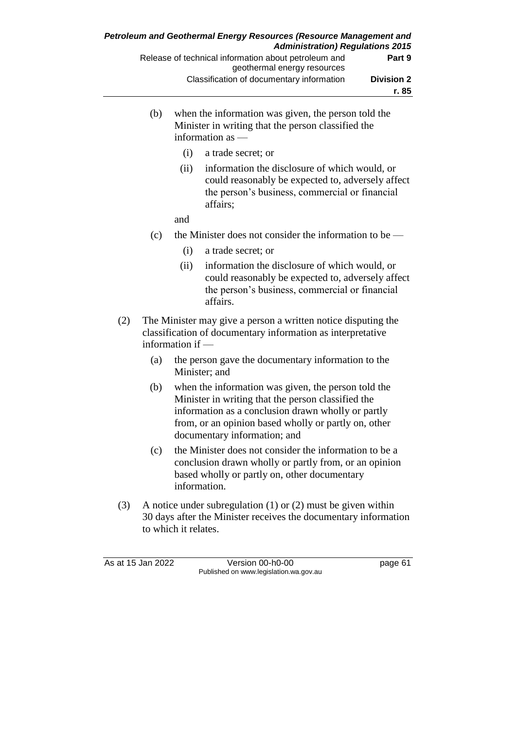- (b) when the information was given, the person told the Minister in writing that the person classified the information as —
	- (i) a trade secret; or
	- (ii) information the disclosure of which would, or could reasonably be expected to, adversely affect the person's business, commercial or financial affairs;
	- and
- (c) the Minister does not consider the information to be
	- (i) a trade secret; or
	- (ii) information the disclosure of which would, or could reasonably be expected to, adversely affect the person's business, commercial or financial affairs.
- (2) The Minister may give a person a written notice disputing the classification of documentary information as interpretative information if —
	- (a) the person gave the documentary information to the Minister; and
	- (b) when the information was given, the person told the Minister in writing that the person classified the information as a conclusion drawn wholly or partly from, or an opinion based wholly or partly on, other documentary information; and
	- (c) the Minister does not consider the information to be a conclusion drawn wholly or partly from, or an opinion based wholly or partly on, other documentary information.
- (3) A notice under subregulation (1) or (2) must be given within 30 days after the Minister receives the documentary information to which it relates.

As at 15 Jan 2022 Version 00-h0-00 page 61 Published on www.legislation.wa.gov.au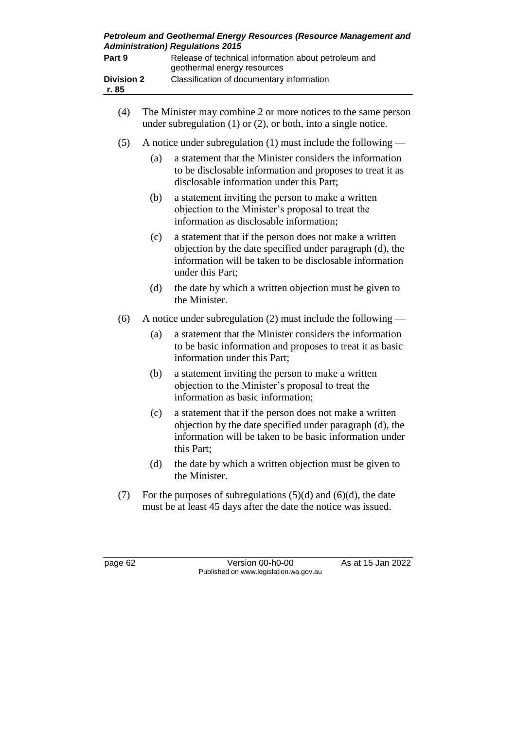| Petroleum and Geothermal Energy Resources (Resource Management and<br><b>Administration) Regulations 2015</b> |     |                                                                                                                                                                                                   |  |  |
|---------------------------------------------------------------------------------------------------------------|-----|---------------------------------------------------------------------------------------------------------------------------------------------------------------------------------------------------|--|--|
| Part 9                                                                                                        |     | Release of technical information about petroleum and<br>geothermal energy resources                                                                                                               |  |  |
| <b>Division 2</b><br>r. 85                                                                                    |     | Classification of documentary information                                                                                                                                                         |  |  |
| (4)                                                                                                           |     | The Minister may combine 2 or more notices to the same person<br>under subregulation $(1)$ or $(2)$ , or both, into a single notice.                                                              |  |  |
| (5)                                                                                                           |     | A notice under subregulation $(1)$ must include the following —                                                                                                                                   |  |  |
|                                                                                                               | (a) | a statement that the Minister considers the information<br>to be disclosable information and proposes to treat it as<br>disclosable information under this Part;                                  |  |  |
|                                                                                                               | (b) | a statement inviting the person to make a written<br>objection to the Minister's proposal to treat the<br>information as disclosable information:                                                 |  |  |
|                                                                                                               | (c) | a statement that if the person does not make a written<br>objection by the date specified under paragraph (d), the<br>information will be taken to be disclosable information<br>under this Part: |  |  |
|                                                                                                               | (d) | the date by which a written objection must be given to<br>the Minister.                                                                                                                           |  |  |
| (6)                                                                                                           |     | A notice under subregulation $(2)$ must include the following —                                                                                                                                   |  |  |
|                                                                                                               | (a) | a statement that the Minister considers the information<br>to be basic information and proposes to treat it as basic<br>information under this Part;                                              |  |  |
|                                                                                                               | (b) | a statement inviting the person to make a written<br>objection to the Minister's proposal to treat the<br>information as basic information;                                                       |  |  |
|                                                                                                               | (c) | a statement that if the person does not make a written<br>objection by the date specified under paragraph (d), the<br>information will be taken to be basic information under<br>this Part;       |  |  |
|                                                                                                               | (d) | the date by which a written objection must be given to<br>the Minister.                                                                                                                           |  |  |
|                                                                                                               |     |                                                                                                                                                                                                   |  |  |

(7) For the purposes of subregulations  $(5)(d)$  and  $(6)(d)$ , the date must be at least 45 days after the date the notice was issued.

page 62 Version 00-h0-00 As at 15 Jan 2022 Published on www.legislation.wa.gov.au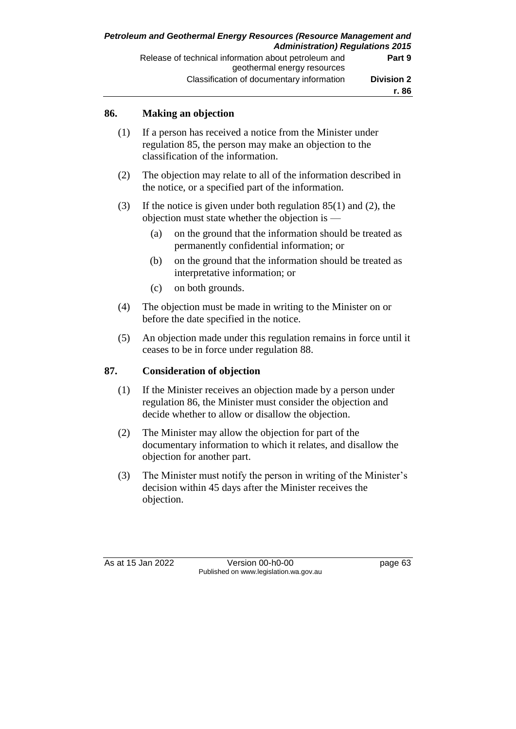#### **86. Making an objection**

- (1) If a person has received a notice from the Minister under regulation 85, the person may make an objection to the classification of the information.
- (2) The objection may relate to all of the information described in the notice, or a specified part of the information.
- (3) If the notice is given under both regulation 85(1) and (2), the objection must state whether the objection is —
	- (a) on the ground that the information should be treated as permanently confidential information; or
	- (b) on the ground that the information should be treated as interpretative information; or
	- (c) on both grounds.
- (4) The objection must be made in writing to the Minister on or before the date specified in the notice.
- (5) An objection made under this regulation remains in force until it ceases to be in force under regulation 88.

#### **87. Consideration of objection**

- (1) If the Minister receives an objection made by a person under regulation 86, the Minister must consider the objection and decide whether to allow or disallow the objection.
- (2) The Minister may allow the objection for part of the documentary information to which it relates, and disallow the objection for another part.
- (3) The Minister must notify the person in writing of the Minister's decision within 45 days after the Minister receives the objection.

As at 15 Jan 2022 Version 00-h0-00 page 63 Published on www.legislation.wa.gov.au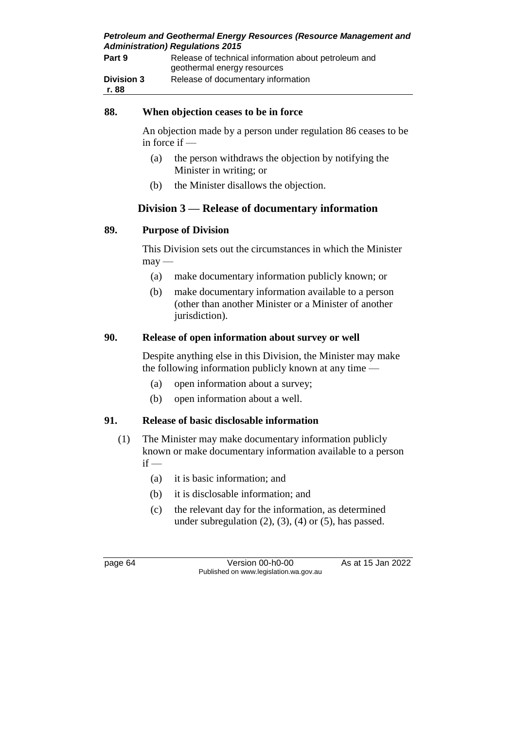|                            | Petroleum and Geothermal Energy Resources (Resource Management and<br><b>Administration) Regulations 2015</b> |
|----------------------------|---------------------------------------------------------------------------------------------------------------|
| Part 9                     | Release of technical information about petroleum and<br>geothermal energy resources                           |
| <b>Division 3</b><br>r. 88 | Release of documentary information                                                                            |

#### **88. When objection ceases to be in force**

An objection made by a person under regulation 86 ceases to be in force if —

- (a) the person withdraws the objection by notifying the Minister in writing; or
- (b) the Minister disallows the objection.

### **Division 3 — Release of documentary information**

#### **89. Purpose of Division**

This Division sets out the circumstances in which the Minister  $may$ —

- (a) make documentary information publicly known; or
- (b) make documentary information available to a person (other than another Minister or a Minister of another jurisdiction).

#### **90. Release of open information about survey or well**

Despite anything else in this Division, the Minister may make the following information publicly known at any time —

- (a) open information about a survey;
- (b) open information about a well.

#### **91. Release of basic disclosable information**

- (1) The Minister may make documentary information publicly known or make documentary information available to a person  $if -$ 
	- (a) it is basic information; and
	- (b) it is disclosable information; and
	- (c) the relevant day for the information, as determined under subregulation  $(2)$ ,  $(3)$ ,  $(4)$  or  $(5)$ , has passed.

page 64 Version 00-h0-00 As at 15 Jan 2022 Published on www.legislation.wa.gov.au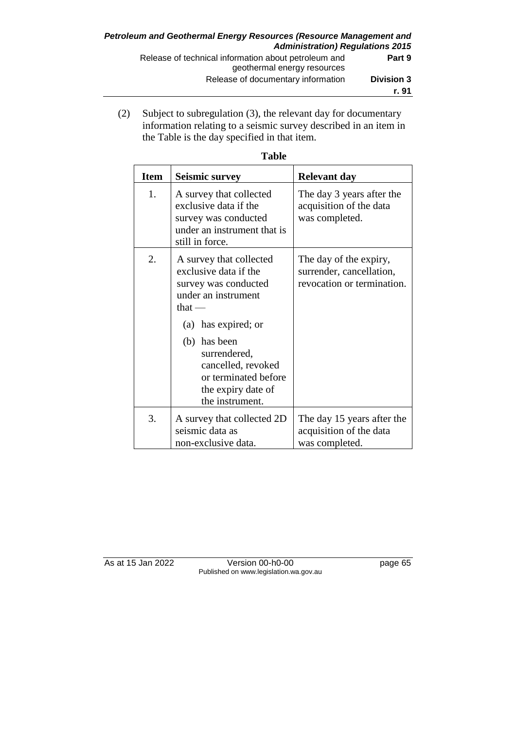(2) Subject to subregulation (3), the relevant day for documentary information relating to a seismic survey described in an item in the Table is the day specified in that item.

| <b>Item</b> | <b>Seismic survey</b>                                                                                                                                                                                                                                     | <b>Relevant day</b>                                                              |
|-------------|-----------------------------------------------------------------------------------------------------------------------------------------------------------------------------------------------------------------------------------------------------------|----------------------------------------------------------------------------------|
| 1.          | A survey that collected<br>exclusive data if the<br>survey was conducted<br>under an instrument that is<br>still in force.                                                                                                                                | The day 3 years after the<br>acquisition of the data<br>was completed.           |
| 2.          | A survey that collected<br>exclusive data if the<br>survey was conducted<br>under an instrument<br>that $-$<br>(a) has expired; or<br>(b) has been<br>surrendered,<br>cancelled, revoked<br>or terminated before<br>the expiry date of<br>the instrument. | The day of the expiry,<br>surrender, cancellation,<br>revocation or termination. |
| 3.          | A survey that collected 2D<br>seismic data as<br>non-exclusive data.                                                                                                                                                                                      | The day 15 years after the<br>acquisition of the data<br>was completed.          |

As at 15 Jan 2022 Version 00-h0-00 page 65 Published on www.legislation.wa.gov.au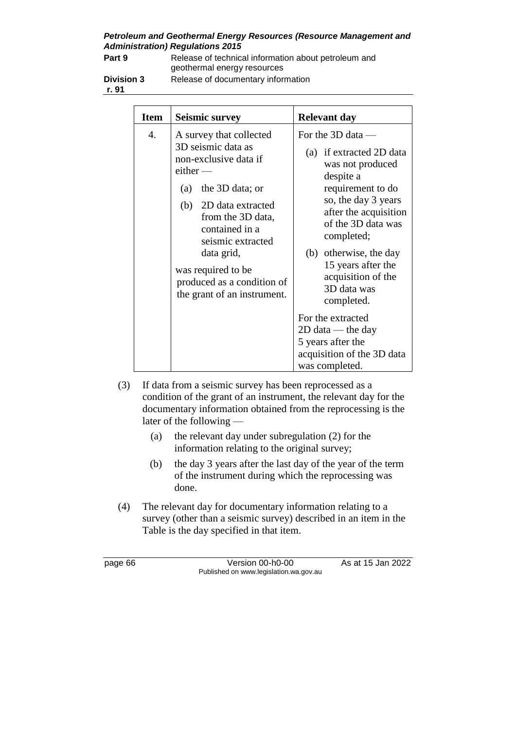**Part 9** Release of technical information about petroleum and geothermal energy resources

**Division 3** Release of documentary information

**r. 91**

| <b>Item</b> | <b>Seismic survey</b>                                                                                                                                                                                                                                                                              | <b>Relevant day</b>                                                                                                                                                                                                                                                                        |
|-------------|----------------------------------------------------------------------------------------------------------------------------------------------------------------------------------------------------------------------------------------------------------------------------------------------------|--------------------------------------------------------------------------------------------------------------------------------------------------------------------------------------------------------------------------------------------------------------------------------------------|
| 4.          | A survey that collected<br>3D seismic data as<br>non-exclusive data if<br>$e$ ither —<br>(a) the 3D data; or<br>(b) 2D data extracted<br>from the 3D data,<br>contained in a<br>seismic extracted<br>data grid,<br>was required to be<br>produced as a condition of<br>the grant of an instrument. | For the 3D data —<br>(a) if extracted 2D data<br>was not produced<br>despite a<br>requirement to do<br>so, the day 3 years<br>after the acquisition<br>of the 3D data was<br>completed;<br>(b) otherwise, the day<br>15 years after the<br>acquisition of the<br>3D data was<br>completed. |
|             |                                                                                                                                                                                                                                                                                                    | For the extracted<br>$2D$ data — the day<br>5 years after the<br>acquisition of the 3D data<br>was completed.                                                                                                                                                                              |

- (3) If data from a seismic survey has been reprocessed as a condition of the grant of an instrument, the relevant day for the documentary information obtained from the reprocessing is the later of the following —
	- (a) the relevant day under subregulation (2) for the information relating to the original survey;
	- (b) the day 3 years after the last day of the year of the term of the instrument during which the reprocessing was done.
- (4) The relevant day for documentary information relating to a survey (other than a seismic survey) described in an item in the Table is the day specified in that item.

page 66 **Version 00-h0-00** As at 15 Jan 2022 Published on www.legislation.wa.gov.au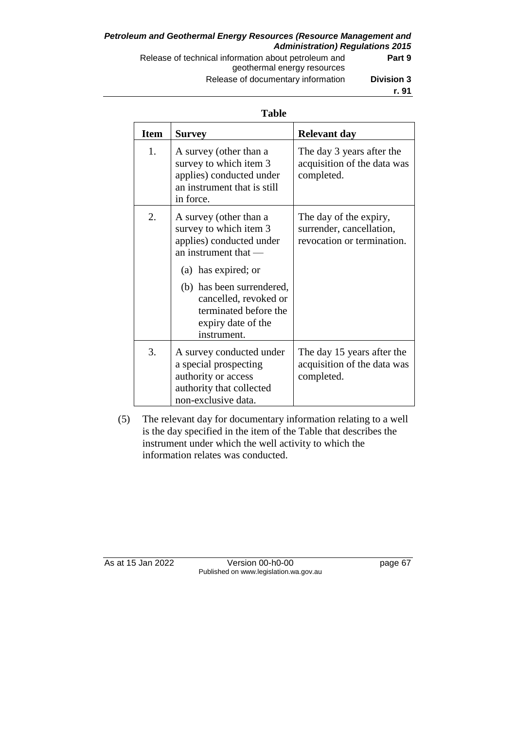*Petroleum and Geothermal Energy Resources (Resource Management and Administration) Regulations 2015* Release of technical information about petroleum and geothermal energy resources **Part 9** Release of documentary information **Division 3**

**r. 91**

#### **Table**

| <b>Item</b>    | <b>Survey</b>                                                                                                                 | <b>Relevant day</b>                                                              |
|----------------|-------------------------------------------------------------------------------------------------------------------------------|----------------------------------------------------------------------------------|
| $\mathbf{1}$ . | A survey (other than a<br>survey to which item 3<br>applies) conducted under<br>an instrument that is still<br>in force.      | The day 3 years after the<br>acquisition of the data was<br>completed.           |
| 2.             | A survey (other than a<br>survey to which item 3<br>applies) conducted under<br>an instrument that $-$<br>(a) has expired; or | The day of the expiry,<br>surrender, cancellation,<br>revocation or termination. |
|                | (b) has been surrendered,<br>cancelled, revoked or<br>terminated before the<br>expiry date of the<br>instrument.              |                                                                                  |
| 3.             | A survey conducted under<br>a special prospecting<br>authority or access<br>authority that collected<br>non-exclusive data.   | The day 15 years after the<br>acquisition of the data was<br>completed.          |

(5) The relevant day for documentary information relating to a well is the day specified in the item of the Table that describes the instrument under which the well activity to which the information relates was conducted.

As at 15 Jan 2022 Version 00-h0-00 page 67 Published on www.legislation.wa.gov.au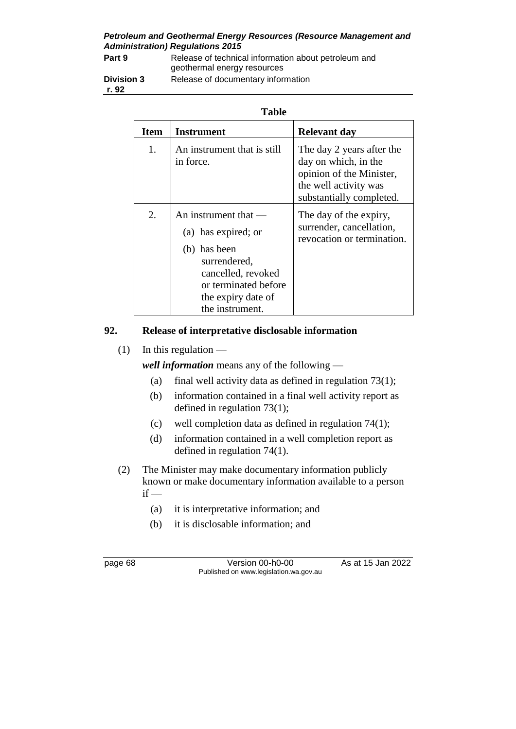**Part 9** Release of technical information about petroleum and geothermal energy resources **Division 3** Release of documentary information

**r. 92**

**Table**

| <b>Item</b> | Instrument                                                                                                                                                           | <b>Relevant day</b>                                                                                                                |
|-------------|----------------------------------------------------------------------------------------------------------------------------------------------------------------------|------------------------------------------------------------------------------------------------------------------------------------|
| 1.          | An instrument that is still<br>in force.                                                                                                                             | The day 2 years after the<br>day on which, in the<br>opinion of the Minister,<br>the well activity was<br>substantially completed. |
| 2.          | An instrument that $-$<br>(a) has expired; or<br>(b) has been<br>surrendered,<br>cancelled, revoked<br>or terminated before<br>the expiry date of<br>the instrument. | The day of the expiry,<br>surrender, cancellation,<br>revocation or termination.                                                   |

#### **92. Release of interpretative disclosable information**

 $(1)$  In this regulation —

*well information* means any of the following —

- (a) final well activity data as defined in regulation  $73(1)$ ;
- (b) information contained in a final well activity report as defined in regulation 73(1);
- (c) well completion data as defined in regulation 74(1);
- (d) information contained in a well completion report as defined in regulation 74(1).
- (2) The Minister may make documentary information publicly known or make documentary information available to a person  $if -$ 
	- (a) it is interpretative information; and
	- (b) it is disclosable information; and

page 68 Version 00-h0-00 As at 15 Jan 2022 Published on www.legislation.wa.gov.au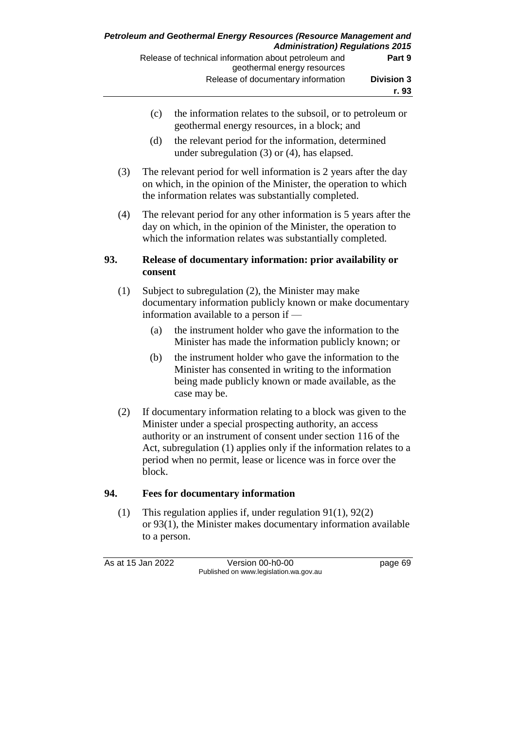- (c) the information relates to the subsoil, or to petroleum or geothermal energy resources, in a block; and
- (d) the relevant period for the information, determined under subregulation (3) or (4), has elapsed.
- (3) The relevant period for well information is 2 years after the day on which, in the opinion of the Minister, the operation to which the information relates was substantially completed.
- (4) The relevant period for any other information is 5 years after the day on which, in the opinion of the Minister, the operation to which the information relates was substantially completed.

#### **93. Release of documentary information: prior availability or consent**

- (1) Subject to subregulation (2), the Minister may make documentary information publicly known or make documentary information available to a person if —
	- (a) the instrument holder who gave the information to the Minister has made the information publicly known; or
	- (b) the instrument holder who gave the information to the Minister has consented in writing to the information being made publicly known or made available, as the case may be.
- (2) If documentary information relating to a block was given to the Minister under a special prospecting authority, an access authority or an instrument of consent under section 116 of the Act, subregulation (1) applies only if the information relates to a period when no permit, lease or licence was in force over the block.

#### **94. Fees for documentary information**

(1) This regulation applies if, under regulation 91(1), 92(2) or 93(1), the Minister makes documentary information available to a person.

As at 15 Jan 2022 Version 00-h0-00 page 69 Published on www.legislation.wa.gov.au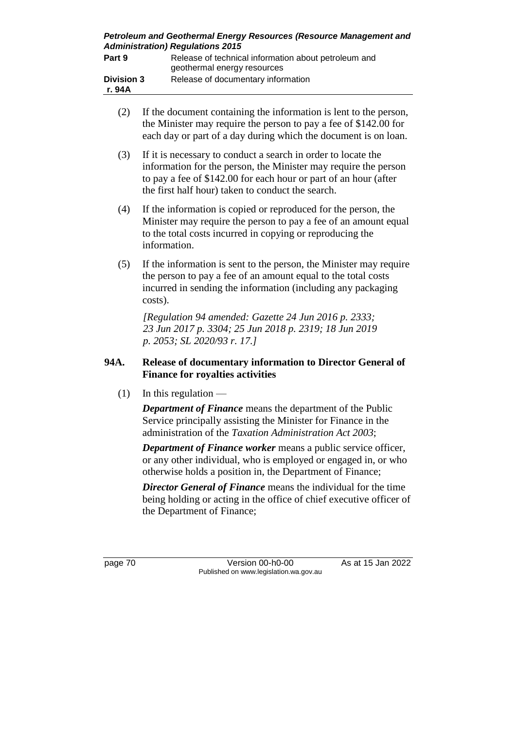| Petroleum and Geothermal Energy Resources (Resource Management and |                                                                                                                                                                                                                                                           |  |
|--------------------------------------------------------------------|-----------------------------------------------------------------------------------------------------------------------------------------------------------------------------------------------------------------------------------------------------------|--|
| Part 9                                                             | <b>Administration) Regulations 2015</b><br>Release of technical information about petroleum and<br>geothermal energy resources                                                                                                                            |  |
| <b>Division 3</b><br>r. 94A                                        | Release of documentary information                                                                                                                                                                                                                        |  |
| (2)                                                                | If the document containing the information is lent to the person,<br>the Minister may require the person to pay a fee of \$142.00 for<br>each day or part of a day during which the document is on loan.                                                  |  |
| (3)                                                                | If it is necessary to conduct a search in order to locate the<br>information for the person, the Minister may require the person<br>to pay a fee of \$142.00 for each hour or part of an hour (after<br>the first half hour) taken to conduct the search. |  |
| (4)                                                                | If the information is copied or reproduced for the person, the<br>Minister may require the person to pay a fee of an amount equal<br>to the total costs incurred in copying or reproducing the<br>information.                                            |  |
| (5)                                                                | If the information is sent to the person, the Minister may require<br>the person to pay a fee of an amount equal to the total costs<br>incurred in sending the information (including any packaging<br>costs).                                            |  |
|                                                                    | [Regulation 94 amended: Gazette 24 Jun 2016 p. 2333;<br>23 Jun 2017 p. 3304; 25 Jun 2018 p. 2319; 18 Jun 2019<br>p. 2053; SL 2020/93 r. 17.]                                                                                                              |  |
| 94A.                                                               | Release of documentary information to Director General of<br><b>Finance for royalties activities</b>                                                                                                                                                      |  |
| (1)                                                                | In this regulation<br>$\mathbf{D}$ $\mathbf{A}$ $\mathbf{C}$ $\mathbf{D}$<br>$\mathbf{d}$ is a case of $\mathbf{d}$                                                                                                                                       |  |

*Department of Finance* means the department of the Public Service principally assisting the Minister for Finance in the administration of the *Taxation Administration Act 2003*;

*Department of Finance worker* means a public service officer, or any other individual, who is employed or engaged in, or who otherwise holds a position in, the Department of Finance;

*Director General of Finance* means the individual for the time being holding or acting in the office of chief executive officer of the Department of Finance;

page 70 Version 00-h0-00 As at 15 Jan 2022 Published on www.legislation.wa.gov.au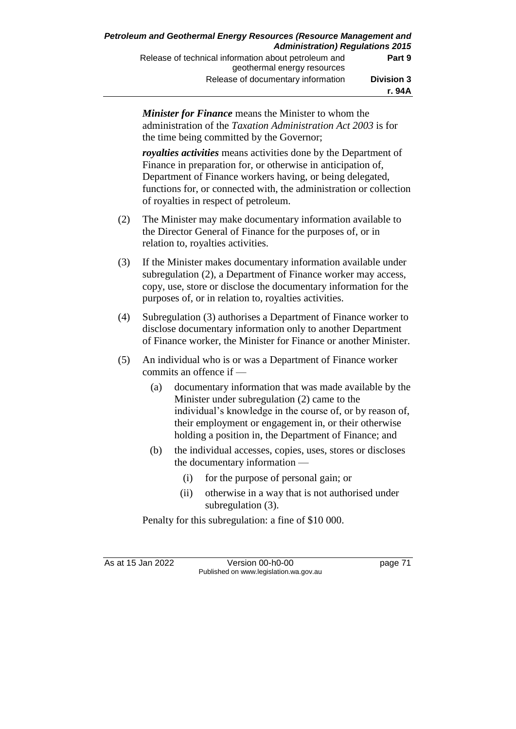*Minister for Finance* means the Minister to whom the administration of the *Taxation Administration Act 2003* is for the time being committed by the Governor;

*royalties activities* means activities done by the Department of Finance in preparation for, or otherwise in anticipation of, Department of Finance workers having, or being delegated, functions for, or connected with, the administration or collection of royalties in respect of petroleum.

- (2) The Minister may make documentary information available to the Director General of Finance for the purposes of, or in relation to, royalties activities.
- (3) If the Minister makes documentary information available under subregulation (2), a Department of Finance worker may access, copy, use, store or disclose the documentary information for the purposes of, or in relation to, royalties activities.
- (4) Subregulation (3) authorises a Department of Finance worker to disclose documentary information only to another Department of Finance worker, the Minister for Finance or another Minister.
- (5) An individual who is or was a Department of Finance worker commits an offence if —
	- (a) documentary information that was made available by the Minister under subregulation (2) came to the individual's knowledge in the course of, or by reason of, their employment or engagement in, or their otherwise holding a position in, the Department of Finance; and
	- (b) the individual accesses, copies, uses, stores or discloses the documentary information —
		- (i) for the purpose of personal gain; or
		- (ii) otherwise in a way that is not authorised under subregulation (3).

Penalty for this subregulation: a fine of \$10 000.

As at 15 Jan 2022 Version 00-h0-00 page 71 Published on www.legislation.wa.gov.au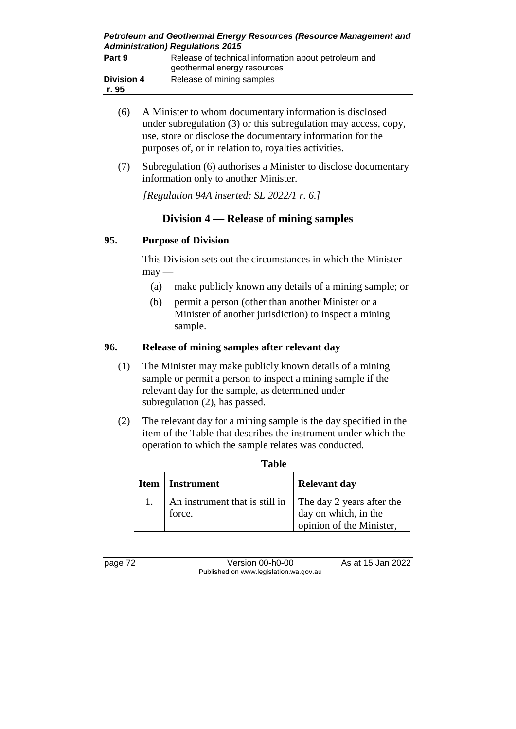|              | <b>Petroleum and Geothermal Energy Resources (Resource Management and</b> |
|--------------|---------------------------------------------------------------------------|
|              | <b>Administration) Regulations 2015</b>                                   |
| <b>D</b> -40 | Delegas of tagbaical information about notraleum and                      |

| Part 9                     | Release of technical information about petroleum and |  |
|----------------------------|------------------------------------------------------|--|
|                            | geothermal energy resources                          |  |
| <b>Division 4</b><br>r. 95 | Release of mining samples                            |  |

- (6) A Minister to whom documentary information is disclosed under subregulation (3) or this subregulation may access, copy, use, store or disclose the documentary information for the purposes of, or in relation to, royalties activities.
- (7) Subregulation (6) authorises a Minister to disclose documentary information only to another Minister.

*[Regulation 94A inserted: SL 2022/1 r. 6.]*

# **Division 4 — Release of mining samples**

#### **95. Purpose of Division**

This Division sets out the circumstances in which the Minister  $m$ ay —

- (a) make publicly known any details of a mining sample; or
- (b) permit a person (other than another Minister or a Minister of another jurisdiction) to inspect a mining sample.

### **96. Release of mining samples after relevant day**

- (1) The Minister may make publicly known details of a mining sample or permit a person to inspect a mining sample if the relevant day for the sample, as determined under subregulation (2), has passed.
- (2) The relevant day for a mining sample is the day specified in the item of the Table that describes the instrument under which the operation to which the sample relates was conducted.

| ×<br>×<br>۰,<br>۰,<br>۹<br>۰. |  |
|-------------------------------|--|
|-------------------------------|--|

| <b>Item</b>   Instrument                                           | <b>Relevant day</b>      |
|--------------------------------------------------------------------|--------------------------|
| An instrument that is still in The day 2 years after the<br>force. | day on which, in the     |
|                                                                    | opinion of the Minister, |

page 72 Version 00-h0-00 As at 15 Jan 2022 Published on www.legislation.wa.gov.au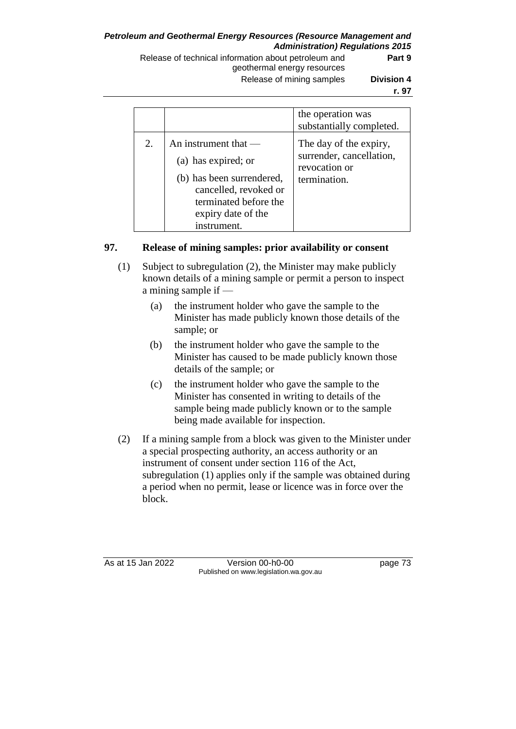Release of technical information about petroleum and geothermal energy resources **Part 9**

Release of mining samples **Division 4 r. 97**

|    |                                                                                                                                                                   | the operation was<br>substantially completed.                                       |
|----|-------------------------------------------------------------------------------------------------------------------------------------------------------------------|-------------------------------------------------------------------------------------|
| 2. | An instrument that $-$<br>(a) has expired; or<br>(b) has been surrendered,<br>cancelled, revoked or<br>terminated before the<br>expiry date of the<br>instrument. | The day of the expiry,<br>surrender, cancellation,<br>revocation or<br>termination. |

### **97. Release of mining samples: prior availability or consent**

- (1) Subject to subregulation (2), the Minister may make publicly known details of a mining sample or permit a person to inspect a mining sample if —
	- (a) the instrument holder who gave the sample to the Minister has made publicly known those details of the sample; or
	- (b) the instrument holder who gave the sample to the Minister has caused to be made publicly known those details of the sample; or
	- (c) the instrument holder who gave the sample to the Minister has consented in writing to details of the sample being made publicly known or to the sample being made available for inspection.
- (2) If a mining sample from a block was given to the Minister under a special prospecting authority, an access authority or an instrument of consent under section 116 of the Act, subregulation (1) applies only if the sample was obtained during a period when no permit, lease or licence was in force over the block.

As at 15 Jan 2022 Version 00-h0-00 page 73 Published on www.legislation.wa.gov.au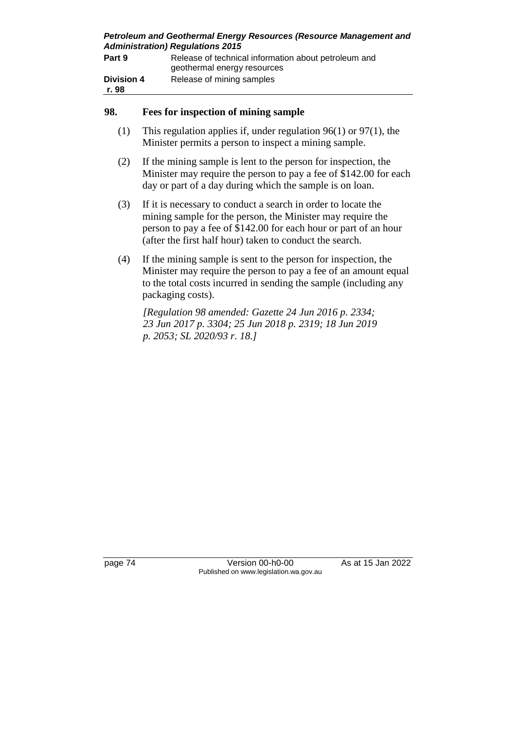| Petroleum and Geothermal Energy Resources (Resource Management and<br><b>Administration) Regulations 2015</b> |                                                                                     |  |
|---------------------------------------------------------------------------------------------------------------|-------------------------------------------------------------------------------------|--|
| Part 9                                                                                                        | Release of technical information about petroleum and<br>geothermal energy resources |  |
| <b>Division 4</b><br>r. 98                                                                                    | Release of mining samples                                                           |  |

#### **98. Fees for inspection of mining sample**

- (1) This regulation applies if, under regulation 96(1) or 97(1), the Minister permits a person to inspect a mining sample.
- (2) If the mining sample is lent to the person for inspection, the Minister may require the person to pay a fee of \$142.00 for each day or part of a day during which the sample is on loan.
- (3) If it is necessary to conduct a search in order to locate the mining sample for the person, the Minister may require the person to pay a fee of \$142.00 for each hour or part of an hour (after the first half hour) taken to conduct the search.
- (4) If the mining sample is sent to the person for inspection, the Minister may require the person to pay a fee of an amount equal to the total costs incurred in sending the sample (including any packaging costs).

*[Regulation 98 amended: Gazette 24 Jun 2016 p. 2334; 23 Jun 2017 p. 3304; 25 Jun 2018 p. 2319; 18 Jun 2019 p. 2053; SL 2020/93 r. 18.]*

page 74 Version 00-h0-00 As at 15 Jan 2022 Published on www.legislation.wa.gov.au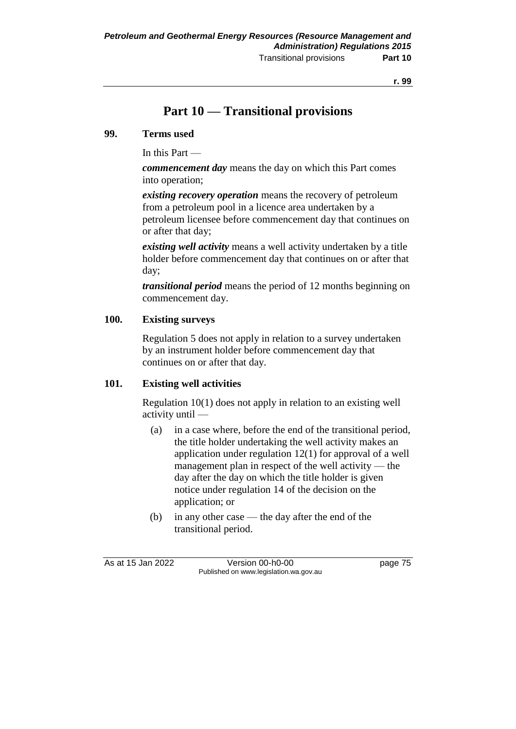# **Part 10 — Transitional provisions**

#### **99. Terms used**

In this Part —

*commencement day* means the day on which this Part comes into operation;

*existing recovery operation* means the recovery of petroleum from a petroleum pool in a licence area undertaken by a petroleum licensee before commencement day that continues on or after that day;

*existing well activity* means a well activity undertaken by a title holder before commencement day that continues on or after that day;

*transitional period* means the period of 12 months beginning on commencement day.

#### **100. Existing surveys**

Regulation 5 does not apply in relation to a survey undertaken by an instrument holder before commencement day that continues on or after that day.

#### **101. Existing well activities**

Regulation 10(1) does not apply in relation to an existing well activity until —

- (a) in a case where, before the end of the transitional period, the title holder undertaking the well activity makes an application under regulation 12(1) for approval of a well management plan in respect of the well activity — the day after the day on which the title holder is given notice under regulation 14 of the decision on the application; or
- (b) in any other case the day after the end of the transitional period.

As at 15 Jan 2022 Version 00-h0-00 page 75 Published on www.legislation.wa.gov.au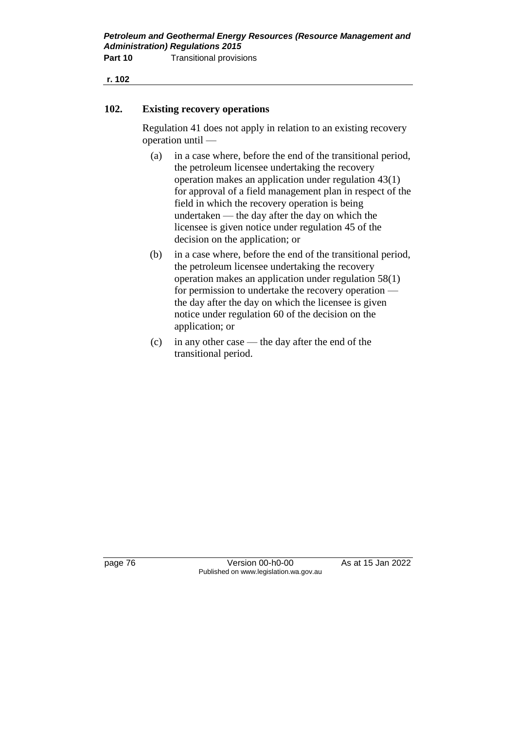**r. 102**

#### **102. Existing recovery operations**

Regulation 41 does not apply in relation to an existing recovery operation until —

- (a) in a case where, before the end of the transitional period, the petroleum licensee undertaking the recovery operation makes an application under regulation 43(1) for approval of a field management plan in respect of the field in which the recovery operation is being undertaken — the day after the day on which the licensee is given notice under regulation 45 of the decision on the application; or
- (b) in a case where, before the end of the transitional period, the petroleum licensee undertaking the recovery operation makes an application under regulation 58(1) for permission to undertake the recovery operation the day after the day on which the licensee is given notice under regulation 60 of the decision on the application; or
- (c) in any other case the day after the end of the transitional period.

page 76 Version 00-h0-00 As at 15 Jan 2022 Published on www.legislation.wa.gov.au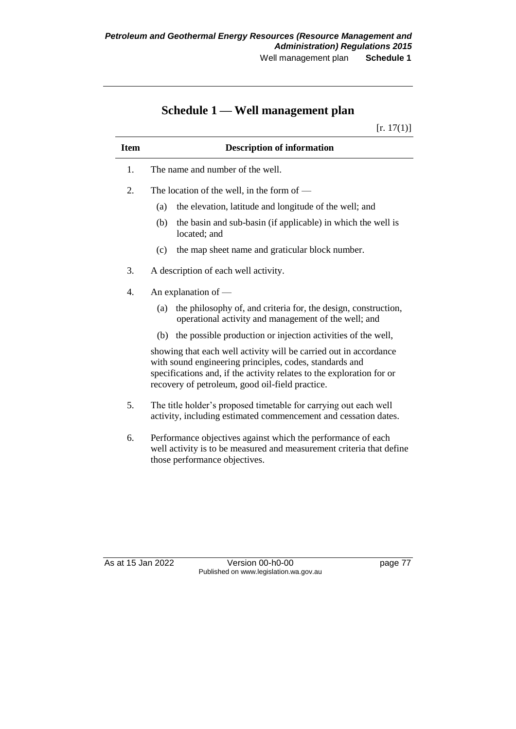# **Schedule 1 — Well management plan**

 $[r. 17(1)]$ 

| <b>Item</b> | <b>Description of information</b>                                                                                                                                                                                                                        |  |  |
|-------------|----------------------------------------------------------------------------------------------------------------------------------------------------------------------------------------------------------------------------------------------------------|--|--|
| 1.          | The name and number of the well.                                                                                                                                                                                                                         |  |  |
| 2.          | The location of the well, in the form of $-$                                                                                                                                                                                                             |  |  |
|             | the elevation, latitude and longitude of the well; and<br>(a)                                                                                                                                                                                            |  |  |
|             | (b)<br>the basin and sub-basin (if applicable) in which the well is<br>located; and                                                                                                                                                                      |  |  |
|             | the map sheet name and graticular block number.<br>(c)                                                                                                                                                                                                   |  |  |
| 3.          | A description of each well activity.                                                                                                                                                                                                                     |  |  |
| 4.          | An explanation of $-$                                                                                                                                                                                                                                    |  |  |
|             | the philosophy of, and criteria for, the design, construction,<br>(a)<br>operational activity and management of the well; and                                                                                                                            |  |  |
|             | the possible production or injection activities of the well,<br>(b)                                                                                                                                                                                      |  |  |
|             | showing that each well activity will be carried out in accordance<br>with sound engineering principles, codes, standards and<br>specifications and, if the activity relates to the exploration for or<br>recovery of petroleum, good oil-field practice. |  |  |
| 5.          | The title holder's proposed timetable for carrying out each well<br>activity, including estimated commencement and cessation dates.                                                                                                                      |  |  |
| 6.          | Performance objectives against which the performance of each                                                                                                                                                                                             |  |  |

6. Performance objectives against which the performance of each well activity is to be measured and measurement criteria that define those performance objectives.

As at 15 Jan 2022 Version 00-h0-00 page 77 Published on www.legislation.wa.gov.au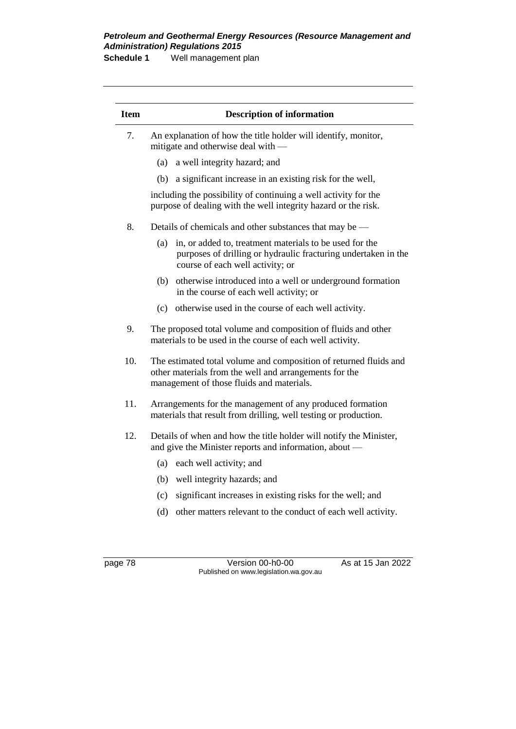**Schedule 1** Well management plan

| <b>Item</b> | <b>Description of information</b>                                                                                                                                        |  |  |
|-------------|--------------------------------------------------------------------------------------------------------------------------------------------------------------------------|--|--|
| 7.          | An explanation of how the title holder will identify, monitor,<br>mitigate and otherwise deal with -                                                                     |  |  |
|             | a well integrity hazard; and<br>(a)                                                                                                                                      |  |  |
|             | a significant increase in an existing risk for the well,<br>(b)                                                                                                          |  |  |
|             | including the possibility of continuing a well activity for the<br>purpose of dealing with the well integrity hazard or the risk.                                        |  |  |
| 8.          | Details of chemicals and other substances that may be -                                                                                                                  |  |  |
|             | in, or added to, treatment materials to be used for the<br>(a)<br>purposes of drilling or hydraulic fracturing undertaken in the<br>course of each well activity; or     |  |  |
|             | otherwise introduced into a well or underground formation<br>(b)<br>in the course of each well activity; or                                                              |  |  |
|             | otherwise used in the course of each well activity.<br>(c)                                                                                                               |  |  |
| 9.          | The proposed total volume and composition of fluids and other<br>materials to be used in the course of each well activity.                                               |  |  |
| 10.         | The estimated total volume and composition of returned fluids and<br>other materials from the well and arrangements for the<br>management of those fluids and materials. |  |  |
| 11.         | Arrangements for the management of any produced formation<br>materials that result from drilling, well testing or production.                                            |  |  |
| 12.         | Details of when and how the title holder will notify the Minister,<br>and give the Minister reports and information, about —                                             |  |  |
|             | each well activity; and<br>(a)                                                                                                                                           |  |  |
|             | well integrity hazards; and<br>(b)                                                                                                                                       |  |  |
|             | significant increases in existing risks for the well; and<br>(c)                                                                                                         |  |  |
|             | other matters relevant to the conduct of each well activity.<br>(d)                                                                                                      |  |  |
|             |                                                                                                                                                                          |  |  |
| page 78     | Version 00-h0-00<br>As at 15 Jan 2022                                                                                                                                    |  |  |

Published on www.legislation.wa.gov.au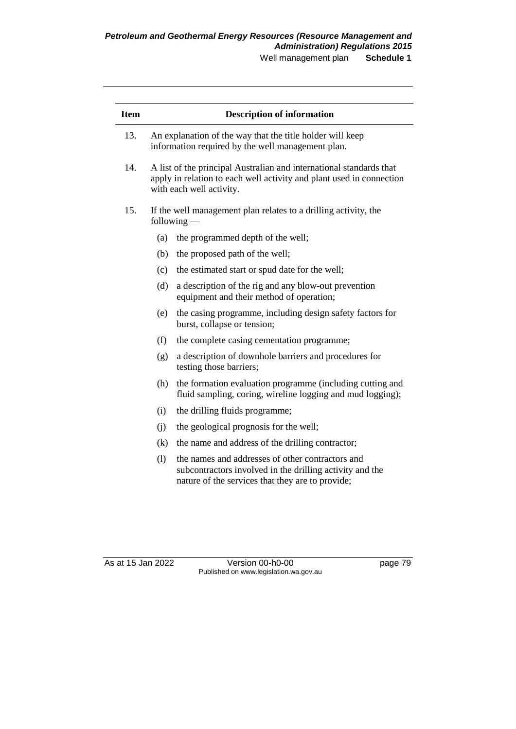| <b>Item</b> | <b>Description of information</b>                                                                                                                                       |                                                                                                                                                                  |  |
|-------------|-------------------------------------------------------------------------------------------------------------------------------------------------------------------------|------------------------------------------------------------------------------------------------------------------------------------------------------------------|--|
| 13.         | An explanation of the way that the title holder will keep<br>information required by the well management plan.                                                          |                                                                                                                                                                  |  |
| 14.         | A list of the principal Australian and international standards that<br>apply in relation to each well activity and plant used in connection<br>with each well activity. |                                                                                                                                                                  |  |
| 15.         | If the well management plan relates to a drilling activity, the<br>$following -$                                                                                        |                                                                                                                                                                  |  |
|             | (a)                                                                                                                                                                     | the programmed depth of the well;                                                                                                                                |  |
|             | (b)                                                                                                                                                                     | the proposed path of the well;                                                                                                                                   |  |
|             | (c)                                                                                                                                                                     | the estimated start or spud date for the well;                                                                                                                   |  |
|             | (d)                                                                                                                                                                     | a description of the rig and any blow-out prevention<br>equipment and their method of operation;                                                                 |  |
|             | (e)                                                                                                                                                                     | the casing programme, including design safety factors for<br>burst, collapse or tension;                                                                         |  |
|             | (f)                                                                                                                                                                     | the complete casing cementation programme;                                                                                                                       |  |
|             | (g)                                                                                                                                                                     | a description of downhole barriers and procedures for<br>testing those barriers;                                                                                 |  |
|             | (h)                                                                                                                                                                     | the formation evaluation programme (including cutting and<br>fluid sampling, coring, wireline logging and mud logging);                                          |  |
|             | (i)                                                                                                                                                                     | the drilling fluids programme;                                                                                                                                   |  |
|             | (i)                                                                                                                                                                     | the geological prognosis for the well;                                                                                                                           |  |
|             | (k)                                                                                                                                                                     | the name and address of the drilling contractor;                                                                                                                 |  |
|             | (1)                                                                                                                                                                     | the names and addresses of other contractors and<br>subcontractors involved in the drilling activity and the<br>nature of the services that they are to provide; |  |

As at 15 Jan 2022 Version 00-h0-00 page 79 Published on www.legislation.wa.gov.au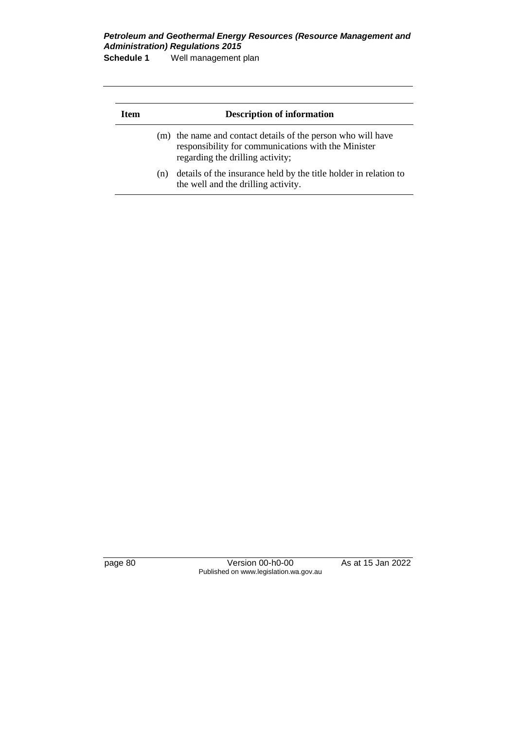**Schedule 1** Well management plan

| Item |     | <b>Description of information</b>                                                                                                                       |
|------|-----|---------------------------------------------------------------------------------------------------------------------------------------------------------|
|      |     | (m) the name and contact details of the person who will have<br>responsibility for communications with the Minister<br>regarding the drilling activity; |
|      | (n) | details of the insurance held by the title holder in relation to<br>the well and the drilling activity.                                                 |

page 80 Version 00-h0-00 As at 15 Jan 2022 Published on www.legislation.wa.gov.au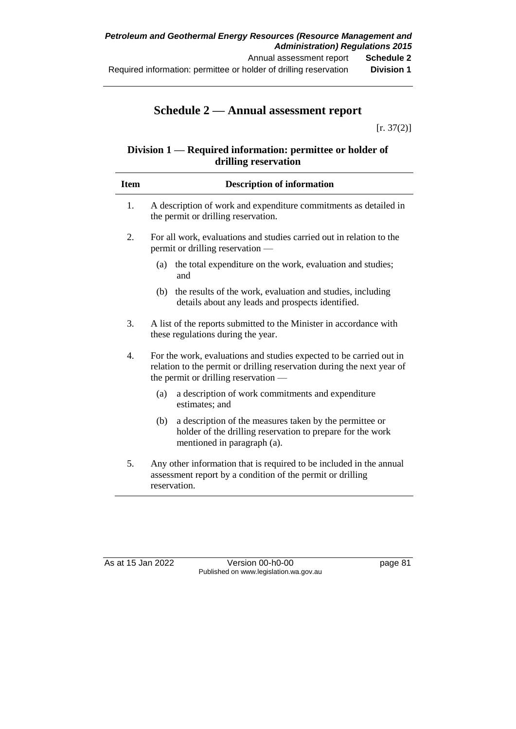# **Schedule 2 — Annual assessment report**

 $[r. 37(2)]$ 

## **Division 1 — Required information: permittee or holder of drilling reservation**

| <b>Item</b> | <b>Description of information</b>                                                                                                                                                     |  |
|-------------|---------------------------------------------------------------------------------------------------------------------------------------------------------------------------------------|--|
| 1.          | A description of work and expenditure commitments as detailed in<br>the permit or drilling reservation.                                                                               |  |
| 2.          | For all work, evaluations and studies carried out in relation to the<br>permit or drilling reservation —                                                                              |  |
|             | the total expenditure on the work, evaluation and studies;<br>(a)<br>and                                                                                                              |  |
|             | the results of the work, evaluation and studies, including<br>(b)<br>details about any leads and prospects identified.                                                                |  |
| 3.          | A list of the reports submitted to the Minister in accordance with<br>these regulations during the year.                                                                              |  |
| 4.          | For the work, evaluations and studies expected to be carried out in<br>relation to the permit or drilling reservation during the next year of<br>the permit or drilling reservation — |  |
|             | a description of work commitments and expenditure<br>(a)<br>estimates; and                                                                                                            |  |
|             | a description of the measures taken by the permittee or<br>(b)<br>holder of the drilling reservation to prepare for the work<br>mentioned in paragraph (a).                           |  |
| 5.          | Any other information that is required to be included in the annual<br>assessment report by a condition of the permit or drilling<br>reservation.                                     |  |

÷,

As at 15 Jan 2022 Version 00-h0-00 page 81 Published on www.legislation.wa.gov.au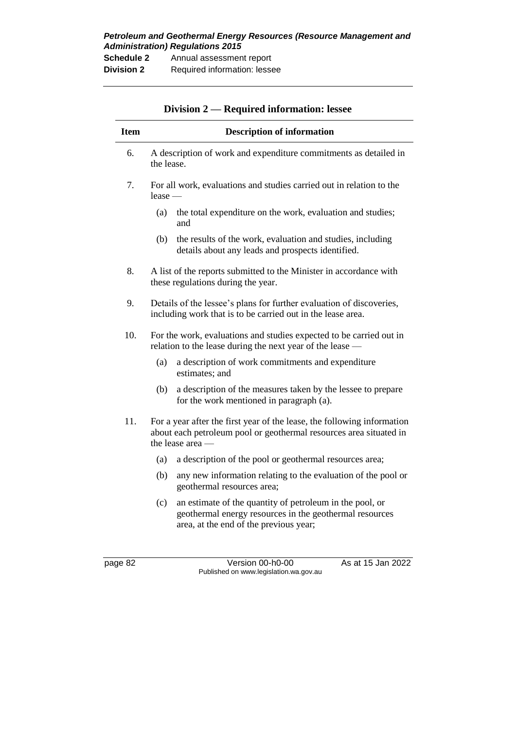|             |                                                                                                                                     | $Divsub$ $\mathcal{Z} \rightarrow \mathbb{R}$ $\mathbb{R}$ and $\mathbb{R}$ into the number of $\mathbb{R}$                                                       |
|-------------|-------------------------------------------------------------------------------------------------------------------------------------|-------------------------------------------------------------------------------------------------------------------------------------------------------------------|
| <b>Item</b> |                                                                                                                                     | <b>Description of information</b>                                                                                                                                 |
| 6.          | the lease.                                                                                                                          | A description of work and expenditure commitments as detailed in                                                                                                  |
| 7.          | $lease -$                                                                                                                           | For all work, evaluations and studies carried out in relation to the                                                                                              |
|             | (a)                                                                                                                                 | the total expenditure on the work, evaluation and studies;<br>and                                                                                                 |
|             | (b)                                                                                                                                 | the results of the work, evaluation and studies, including<br>details about any leads and prospects identified.                                                   |
| 8.          |                                                                                                                                     | A list of the reports submitted to the Minister in accordance with<br>these regulations during the year.                                                          |
| 9.          | Details of the lessee's plans for further evaluation of discoveries,<br>including work that is to be carried out in the lease area. |                                                                                                                                                                   |
| 10.         | For the work, evaluations and studies expected to be carried out in<br>relation to the lease during the next year of the lease -    |                                                                                                                                                                   |
|             | (a)                                                                                                                                 | a description of work commitments and expenditure<br>estimates; and                                                                                               |
|             | (b)                                                                                                                                 | a description of the measures taken by the lessee to prepare<br>for the work mentioned in paragraph (a).                                                          |
| 11.         |                                                                                                                                     | For a year after the first year of the lease, the following information<br>about each petroleum pool or geothermal resources area situated in<br>the lease area - |
|             | (a)                                                                                                                                 | a description of the pool or geothermal resources area;                                                                                                           |
|             | (b)                                                                                                                                 | any new information relating to the evaluation of the pool or<br>geothermal resources area;                                                                       |
|             | (c)                                                                                                                                 | an estimate of the quantity of petroleum in the pool, or<br>geothermal energy resources in the geothermal resources<br>area, at the end of the previous year;     |

#### **Division 2 — Required information: lessee**

page 82 Version 00-h0-00 As at 15 Jan 2022 Published on www.legislation.wa.gov.au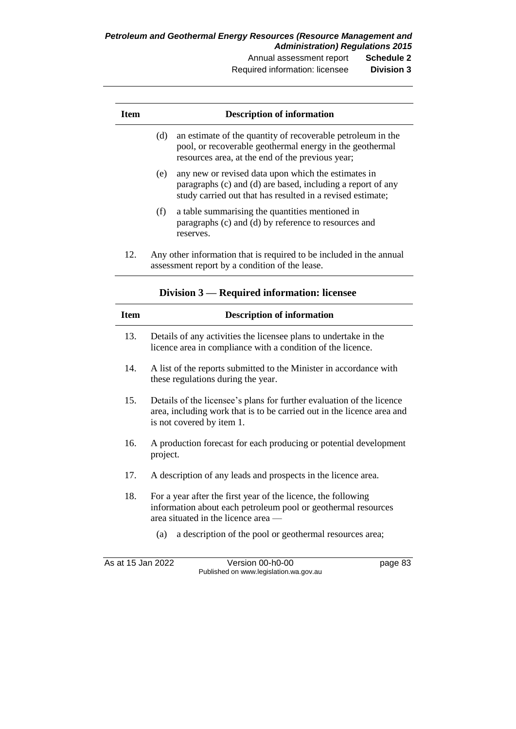*Petroleum and Geothermal Energy Resources (Resource Management and Administration) Regulations 2015* Annual assessment report **Schedule 2**

Required information: licensee **Division 3**

| <b>Item</b> |     | <b>Description of information</b>                                                                                                                                                |
|-------------|-----|----------------------------------------------------------------------------------------------------------------------------------------------------------------------------------|
|             | (d) | an estimate of the quantity of recoverable petroleum in the<br>pool, or recoverable geothermal energy in the geothermal<br>resources area, at the end of the previous year;      |
|             | (e) | any new or revised data upon which the estimates in<br>paragraphs (c) and (d) are based, including a report of any<br>study carried out that has resulted in a revised estimate; |
|             | (f) | a table summarising the quantities mentioned in<br>paragraphs (c) and (d) by reference to resources and<br>reserves.                                                             |
| 12.         |     | Any other information that is required to be included in the annual<br>assessment report by a condition of the lease.                                                            |

**Division 3 — Required information: licensee**

| <b>Item</b>       | <b>Description of information</b>                                                                                                                                            |
|-------------------|------------------------------------------------------------------------------------------------------------------------------------------------------------------------------|
| 13.               | Details of any activities the licensee plans to undertake in the<br>licence area in compliance with a condition of the licence.                                              |
| 14.               | A list of the reports submitted to the Minister in accordance with<br>these regulations during the year.                                                                     |
| 15.               | Details of the licensee's plans for further evaluation of the licence<br>area, including work that is to be carried out in the licence area and<br>is not covered by item 1. |
| 16.               | A production forecast for each producing or potential development<br>project.                                                                                                |
| 17.               | A description of any leads and prospects in the licence area.                                                                                                                |
| 18.               | For a year after the first year of the licence, the following<br>information about each petroleum pool or geothermal resources<br>area situated in the licence area —        |
|                   | a description of the pool or geothermal resources area;<br>(a)                                                                                                               |
| As at 15 Jan 2022 | Version 00-h0-00<br>page 83<br>Published on www.legislation.wa.gov.au                                                                                                        |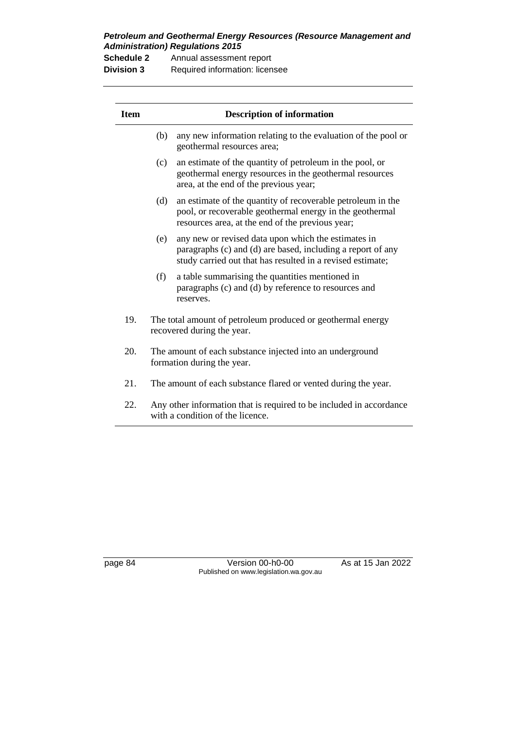| <b>Schedule 2</b> | Annual assessment report       |
|-------------------|--------------------------------|
| <b>Division 3</b> | Required information: licensee |

| <b>Item</b> | <b>Description of information</b> |                                                                                                                                                                                  |  |
|-------------|-----------------------------------|----------------------------------------------------------------------------------------------------------------------------------------------------------------------------------|--|
|             | (b)                               | any new information relating to the evaluation of the pool or<br>geothermal resources area;                                                                                      |  |
|             | (c)                               | an estimate of the quantity of petroleum in the pool, or<br>geothermal energy resources in the geothermal resources<br>area, at the end of the previous year;                    |  |
|             | (d)                               | an estimate of the quantity of recoverable petroleum in the<br>pool, or recoverable geothermal energy in the geothermal<br>resources area, at the end of the previous year;      |  |
|             | (e)                               | any new or revised data upon which the estimates in<br>paragraphs (c) and (d) are based, including a report of any<br>study carried out that has resulted in a revised estimate; |  |
|             | (f)                               | a table summarising the quantities mentioned in<br>paragraphs (c) and (d) by reference to resources and<br>reserves.                                                             |  |
| 19.         |                                   | The total amount of petroleum produced or geothermal energy<br>recovered during the year.                                                                                        |  |
| 20.         |                                   | The amount of each substance injected into an underground<br>formation during the year.                                                                                          |  |
| 21.         |                                   | The amount of each substance flared or vented during the year.                                                                                                                   |  |
| 22.         |                                   | Any other information that is required to be included in accordance<br>with a condition of the licence.                                                                          |  |

page 84 Version 00-h0-00 As at 15 Jan 2022 Published on www.legislation.wa.gov.au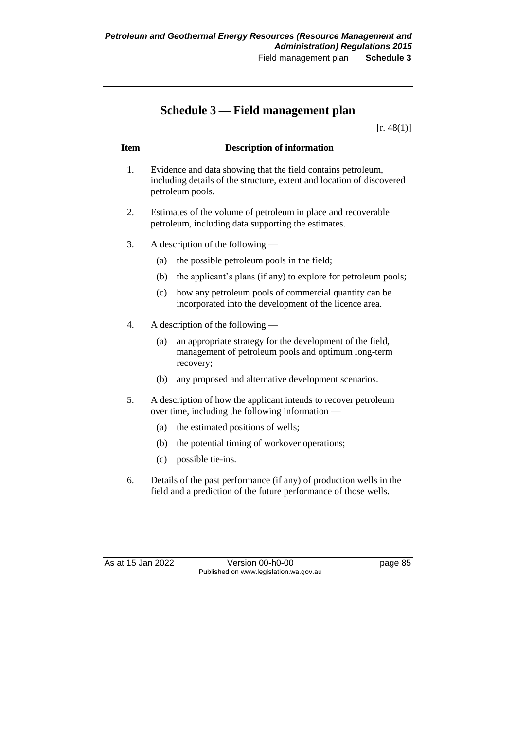# **Schedule 3 — Field management plan**

 $[r. 48(1)]$ 

| <b>Item</b> | <b>Description of information</b>                                                                                                                         |  |
|-------------|-----------------------------------------------------------------------------------------------------------------------------------------------------------|--|
| 1.          | Evidence and data showing that the field contains petroleum,<br>including details of the structure, extent and location of discovered<br>petroleum pools. |  |
| 2.          | Estimates of the volume of petroleum in place and recoverable<br>petroleum, including data supporting the estimates.                                      |  |
| 3.          | A description of the following $-$                                                                                                                        |  |
|             | the possible petroleum pools in the field;<br>(a)                                                                                                         |  |
|             | (b)<br>the applicant's plans (if any) to explore for petroleum pools;                                                                                     |  |
|             | how any petroleum pools of commercial quantity can be<br>(c)<br>incorporated into the development of the licence area.                                    |  |
| 4.          | A description of the following $-$                                                                                                                        |  |
|             | an appropriate strategy for the development of the field,<br>(a)<br>management of petroleum pools and optimum long-term<br>recovery;                      |  |
|             | any proposed and alternative development scenarios.<br>(b)                                                                                                |  |
| 5.          | A description of how the applicant intends to recover petroleum<br>over time, including the following information —                                       |  |
|             | the estimated positions of wells;<br>(a)                                                                                                                  |  |
|             | (b)<br>the potential timing of workover operations;                                                                                                       |  |
|             | (c)<br>possible tie-ins.                                                                                                                                  |  |
| 6.          | Details of the past performance (if any) of production wells in the<br>field and a prediction of the future performance of those wells.                   |  |

As at 15 Jan 2022 Version 00-h0-00 page 85 Published on www.legislation.wa.gov.au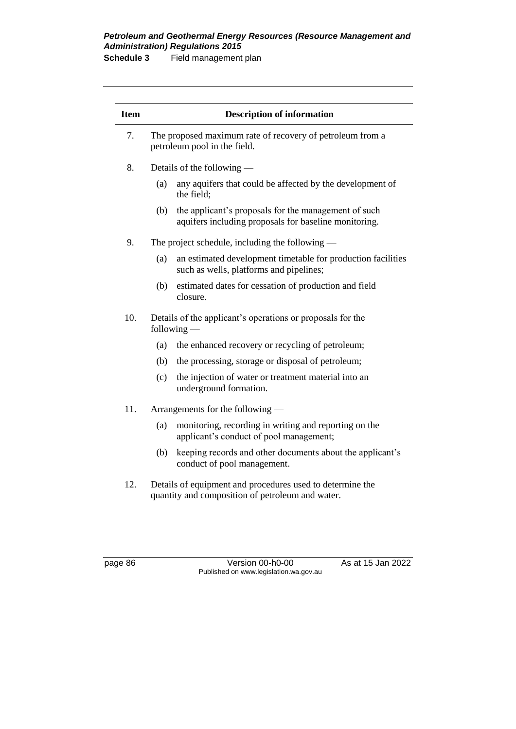**Schedule 3** Field management plan

| <b>Item</b> | <b>Description of information</b>                                                         |                                                                                                               |  |
|-------------|-------------------------------------------------------------------------------------------|---------------------------------------------------------------------------------------------------------------|--|
| 7.          | The proposed maximum rate of recovery of petroleum from a<br>petroleum pool in the field. |                                                                                                               |  |
| 8.          |                                                                                           | Details of the following —                                                                                    |  |
|             | any aquifers that could be affected by the development of<br>(a)<br>the field:            |                                                                                                               |  |
|             | (b)                                                                                       | the applicant's proposals for the management of such<br>aquifers including proposals for baseline monitoring. |  |
| 9.          |                                                                                           | The project schedule, including the following —                                                               |  |
|             | (a)                                                                                       | an estimated development timetable for production facilities<br>such as wells, platforms and pipelines;       |  |
|             | (b)                                                                                       | estimated dates for cessation of production and field<br>closure.                                             |  |
| 10.         | Details of the applicant's operations or proposals for the<br>$following$ —               |                                                                                                               |  |
|             | the enhanced recovery or recycling of petroleum;<br>(a)                                   |                                                                                                               |  |
|             | the processing, storage or disposal of petroleum;<br>(b)                                  |                                                                                                               |  |
|             | the injection of water or treatment material into an<br>(c)<br>underground formation.     |                                                                                                               |  |
| 11.         |                                                                                           | Arrangements for the following —                                                                              |  |
|             | (a)                                                                                       | monitoring, recording in writing and reporting on the<br>applicant's conduct of pool management;              |  |
|             | (b)                                                                                       | keeping records and other documents about the applicant's<br>conduct of pool management.                      |  |
| 12.         |                                                                                           | Details of equipment and procedures used to determine the<br>quantity and composition of petroleum and water. |  |

page 86 Version 00-h0-00 As at 15 Jan 2022 Published on www.legislation.wa.gov.au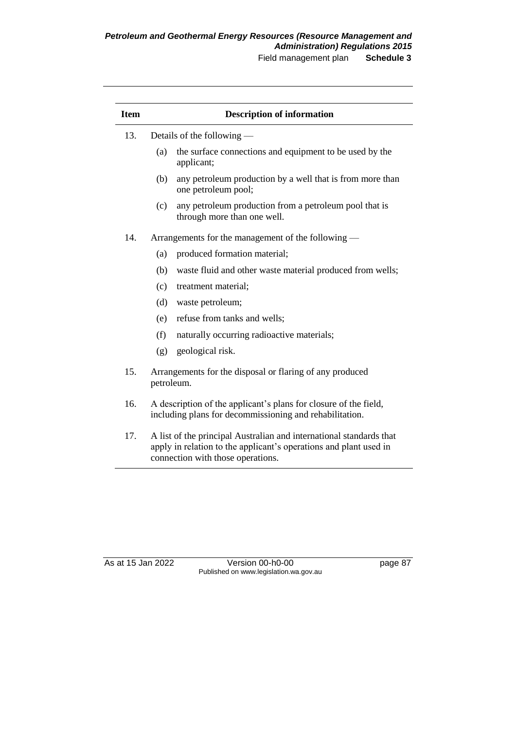| <b>Item</b> | <b>Description of information</b>                                                                                                                                             |                                                                                       |  |
|-------------|-------------------------------------------------------------------------------------------------------------------------------------------------------------------------------|---------------------------------------------------------------------------------------|--|
| 13.         | Details of the following —                                                                                                                                                    |                                                                                       |  |
|             | (a)                                                                                                                                                                           | the surface connections and equipment to be used by the<br>applicant;                 |  |
|             | (b)                                                                                                                                                                           | any petroleum production by a well that is from more than<br>one petroleum pool;      |  |
|             | (c)                                                                                                                                                                           | any petroleum production from a petroleum pool that is<br>through more than one well. |  |
| 14.         |                                                                                                                                                                               | Arrangements for the management of the following —                                    |  |
|             | (a)                                                                                                                                                                           | produced formation material;                                                          |  |
|             | (b)                                                                                                                                                                           | waste fluid and other waste material produced from wells;                             |  |
|             | (c)                                                                                                                                                                           | treatment material;                                                                   |  |
|             | (d)                                                                                                                                                                           | waste petroleum;                                                                      |  |
|             | (e)                                                                                                                                                                           | refuse from tanks and wells;                                                          |  |
|             | (f)                                                                                                                                                                           | naturally occurring radioactive materials;                                            |  |
|             | (g)                                                                                                                                                                           | geological risk.                                                                      |  |
| 15.         | petroleum.                                                                                                                                                                    | Arrangements for the disposal or flaring of any produced                              |  |
| 16.         | A description of the applicant's plans for closure of the field,<br>including plans for decommissioning and rehabilitation.                                                   |                                                                                       |  |
| 17.         | A list of the principal Australian and international standards that<br>apply in relation to the applicant's operations and plant used in<br>connection with those operations. |                                                                                       |  |

As at 15 Jan 2022 Version 00-h0-00 page 87 Published on www.legislation.wa.gov.au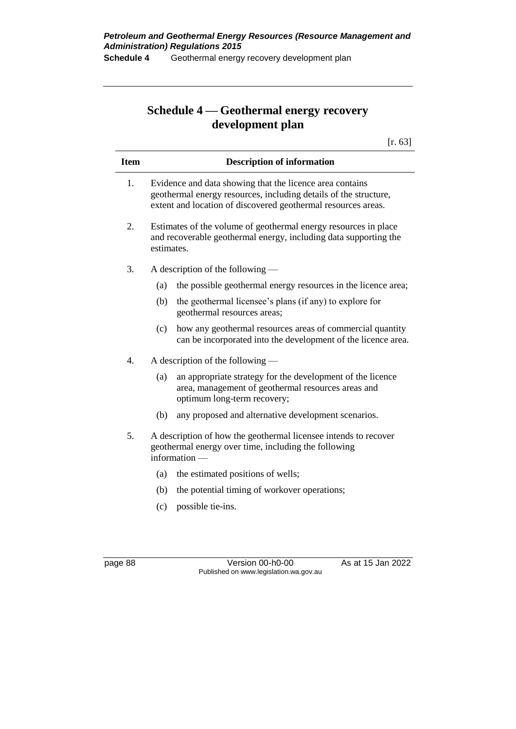# **Schedule 4 — Geothermal energy recovery development plan**

[r. 63]

| <b>Item</b>      | <b>Description of information</b>                                                                                                                                                             |                                                                                                                                                   |  |  |
|------------------|-----------------------------------------------------------------------------------------------------------------------------------------------------------------------------------------------|---------------------------------------------------------------------------------------------------------------------------------------------------|--|--|
| 1.               | Evidence and data showing that the licence area contains<br>geothermal energy resources, including details of the structure,<br>extent and location of discovered geothermal resources areas. |                                                                                                                                                   |  |  |
| 2.               |                                                                                                                                                                                               | Estimates of the volume of geothermal energy resources in place<br>and recoverable geothermal energy, including data supporting the<br>estimates. |  |  |
| 3.               |                                                                                                                                                                                               | A description of the following $-$                                                                                                                |  |  |
|                  | (a)                                                                                                                                                                                           | the possible geothermal energy resources in the licence area;                                                                                     |  |  |
|                  | (b)                                                                                                                                                                                           | the geothermal licensee's plans (if any) to explore for<br>geothermal resources areas;                                                            |  |  |
|                  | (c)                                                                                                                                                                                           | how any geothermal resources areas of commercial quantity<br>can be incorporated into the development of the licence area.                        |  |  |
| $\overline{4}$ . | A description of the following $-$                                                                                                                                                            |                                                                                                                                                   |  |  |
|                  | (a)                                                                                                                                                                                           | an appropriate strategy for the development of the licence<br>area, management of geothermal resources areas and<br>optimum long-term recovery;   |  |  |
|                  | (b)                                                                                                                                                                                           | any proposed and alternative development scenarios.                                                                                               |  |  |
| 5.               | A description of how the geothermal licensee intends to recover<br>geothermal energy over time, including the following<br>information -                                                      |                                                                                                                                                   |  |  |
|                  | (a)                                                                                                                                                                                           | the estimated positions of wells;                                                                                                                 |  |  |
|                  | (b)                                                                                                                                                                                           | the potential timing of workover operations;                                                                                                      |  |  |
|                  | (c)                                                                                                                                                                                           | possible tie-ins.                                                                                                                                 |  |  |
|                  |                                                                                                                                                                                               |                                                                                                                                                   |  |  |
|                  |                                                                                                                                                                                               |                                                                                                                                                   |  |  |

page 88 Version 00-h0-00 As at 15 Jan 2022 Published on www.legislation.wa.gov.au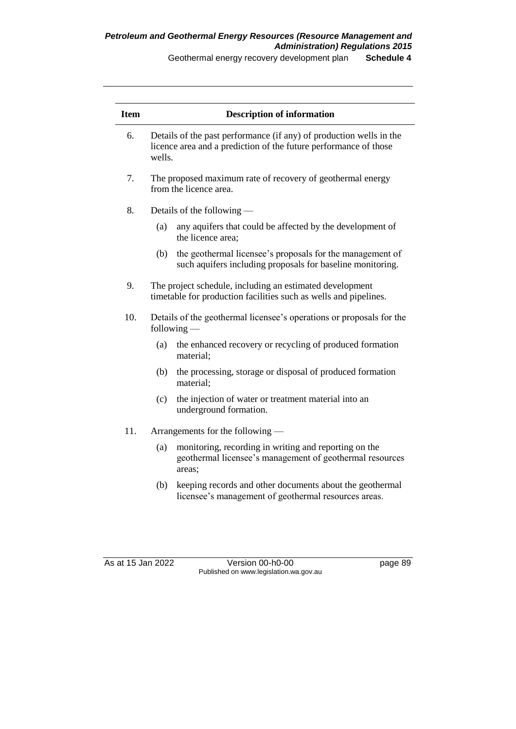Geothermal energy recovery development plan **Schedule 4** 

| <b>Item</b> | <b>Description of information</b>                                                                                                                 |                                                                                                                             |  |  |
|-------------|---------------------------------------------------------------------------------------------------------------------------------------------------|-----------------------------------------------------------------------------------------------------------------------------|--|--|
| 6.          | Details of the past performance (if any) of production wells in the<br>licence area and a prediction of the future performance of those<br>wells. |                                                                                                                             |  |  |
| 7.          | The proposed maximum rate of recovery of geothermal energy<br>from the licence area.                                                              |                                                                                                                             |  |  |
| 8.          |                                                                                                                                                   | Details of the following —                                                                                                  |  |  |
|             | (a)                                                                                                                                               | any aquifers that could be affected by the development of<br>the licence area;                                              |  |  |
|             | (b)                                                                                                                                               | the geothermal licensee's proposals for the management of<br>such aquifers including proposals for baseline monitoring.     |  |  |
| 9.          | The project schedule, including an estimated development<br>timetable for production facilities such as wells and pipelines.                      |                                                                                                                             |  |  |
| 10.         | Details of the geothermal licensee's operations or proposals for the<br>$following$ —                                                             |                                                                                                                             |  |  |
|             | (a)                                                                                                                                               | the enhanced recovery or recycling of produced formation<br>material;                                                       |  |  |
|             | the processing, storage or disposal of produced formation<br>(b)<br>material;                                                                     |                                                                                                                             |  |  |
|             | (c)                                                                                                                                               | the injection of water or treatment material into an<br>underground formation.                                              |  |  |
| 11.         | Arrangements for the following —                                                                                                                  |                                                                                                                             |  |  |
|             | (a)                                                                                                                                               | monitoring, recording in writing and reporting on the<br>geothermal licensee's management of geothermal resources<br>areas: |  |  |
|             | keeping records and other documents about the geothermal<br>(b)<br>licensee's management of geothermal resources areas.                           |                                                                                                                             |  |  |
|             |                                                                                                                                                   |                                                                                                                             |  |  |

As at 15 Jan 2022 Version 00-h0-00 page 89 Published on www.legislation.wa.gov.au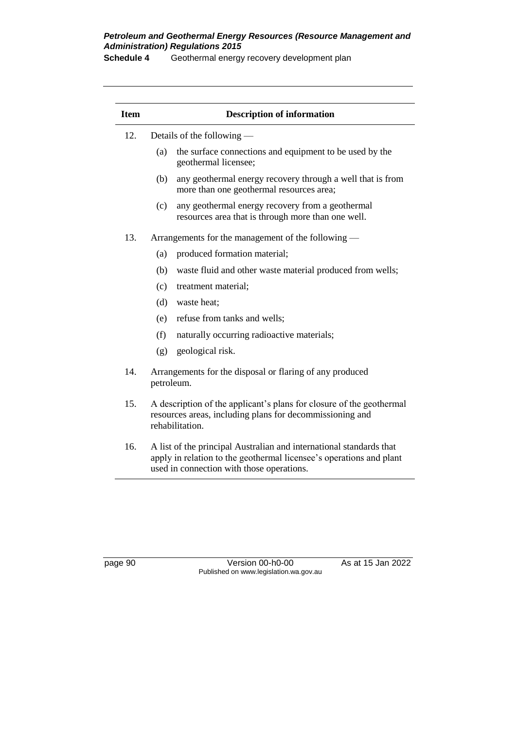**Schedule 4** Geothermal energy recovery development plan

| <b>Item</b> | <b>Description of information</b>                                                                                                                                                           |                                                                                                        |  |
|-------------|---------------------------------------------------------------------------------------------------------------------------------------------------------------------------------------------|--------------------------------------------------------------------------------------------------------|--|
| 12.         |                                                                                                                                                                                             | Details of the following —                                                                             |  |
|             | (a)                                                                                                                                                                                         | the surface connections and equipment to be used by the<br>geothermal licensee;                        |  |
|             | (b)                                                                                                                                                                                         | any geothermal energy recovery through a well that is from<br>more than one geothermal resources area; |  |
|             | (c)                                                                                                                                                                                         | any geothermal energy recovery from a geothermal<br>resources area that is through more than one well. |  |
| 13.         | Arrangements for the management of the following —<br>(a)<br>produced formation material;<br>(b)<br>waste fluid and other waste material produced from wells;<br>(c)<br>treatment material; |                                                                                                        |  |
|             |                                                                                                                                                                                             |                                                                                                        |  |
|             |                                                                                                                                                                                             |                                                                                                        |  |
|             |                                                                                                                                                                                             |                                                                                                        |  |
|             | (d)                                                                                                                                                                                         | waste heat;                                                                                            |  |
|             | (e)                                                                                                                                                                                         | refuse from tanks and wells;                                                                           |  |
|             | (f)                                                                                                                                                                                         | naturally occurring radioactive materials;                                                             |  |
|             | (g)                                                                                                                                                                                         | geological risk.                                                                                       |  |
| 14.         |                                                                                                                                                                                             | Arrangements for the disposal or flaring of any produced<br>petroleum.                                 |  |
| 15.         | A description of the applicant's plans for closure of the geothermal<br>resources areas, including plans for decommissioning and<br>rehabilitation.                                         |                                                                                                        |  |
| 16.         | A list of the principal Australian and international standards that<br>apply in relation to the geothermal licensee's operations and plant<br>used in connection with those operations.     |                                                                                                        |  |

page 90 Version 00-h0-00 As at 15 Jan 2022 Published on www.legislation.wa.gov.au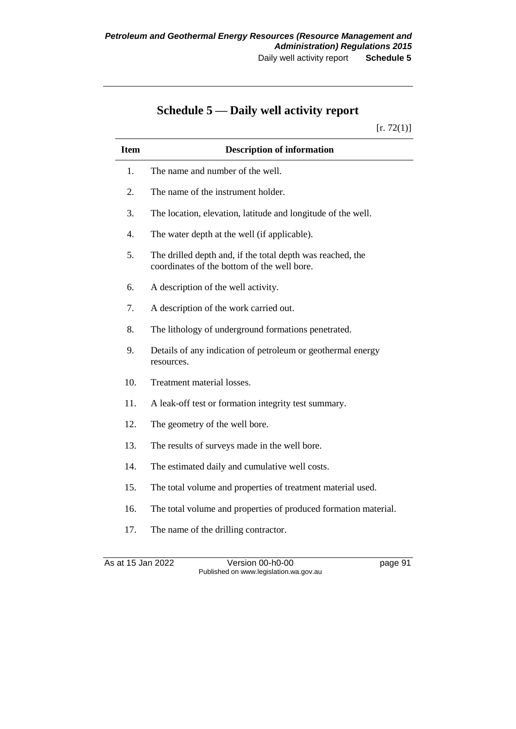# **Schedule 5 — Daily well activity report**

 $[r. 72(1)]$ 

| <b>Item</b> | <b>Description of information</b>                                                                         |
|-------------|-----------------------------------------------------------------------------------------------------------|
| 1.          | The name and number of the well.                                                                          |
| 2.          | The name of the instrument holder.                                                                        |
| 3.          | The location, elevation, latitude and longitude of the well.                                              |
| 4.          | The water depth at the well (if applicable).                                                              |
| 5.          | The drilled depth and, if the total depth was reached, the<br>coordinates of the bottom of the well bore. |
| 6.          | A description of the well activity.                                                                       |
| 7.          | A description of the work carried out.                                                                    |
| 8.          | The lithology of underground formations penetrated.                                                       |
| 9.          | Details of any indication of petroleum or geothermal energy<br>resources.                                 |
| 10.         | Treatment material losses.                                                                                |
| 11.         | A leak-off test or formation integrity test summary.                                                      |
| 12.         | The geometry of the well bore.                                                                            |
| 13.         | The results of surveys made in the well bore.                                                             |
| 14.         | The estimated daily and cumulative well costs.                                                            |
| 15.         | The total volume and properties of treatment material used.                                               |
| 16.         | The total volume and properties of produced formation material.                                           |
| 17.         | The name of the drilling contractor.                                                                      |
|             |                                                                                                           |

As at 15 Jan 2022 Version 00-h0-00 page 91 Published on www.legislation.wa.gov.au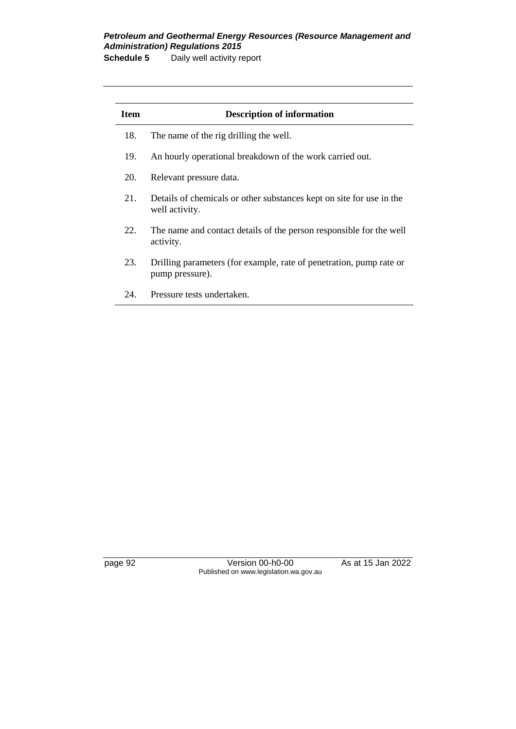**Schedule 5** Daily well activity report

| <b>Item</b> | <b>Description of information</b>                                                      |
|-------------|----------------------------------------------------------------------------------------|
| 18.         | The name of the rig drilling the well.                                                 |
| 19.         | An hourly operational breakdown of the work carried out.                               |
| 20.         | Relevant pressure data.                                                                |
| 21.         | Details of chemicals or other substances kept on site for use in the<br>well activity. |
| 22.         | The name and contact details of the person responsible for the well<br>activity.       |
| 23.         | Drilling parameters (for example, rate of penetration, pump rate or<br>pump pressure). |
| 24.         | Pressure tests undertaken.                                                             |

page 92 Version 00-h0-00 As at 15 Jan 2022 Published on www.legislation.wa.gov.au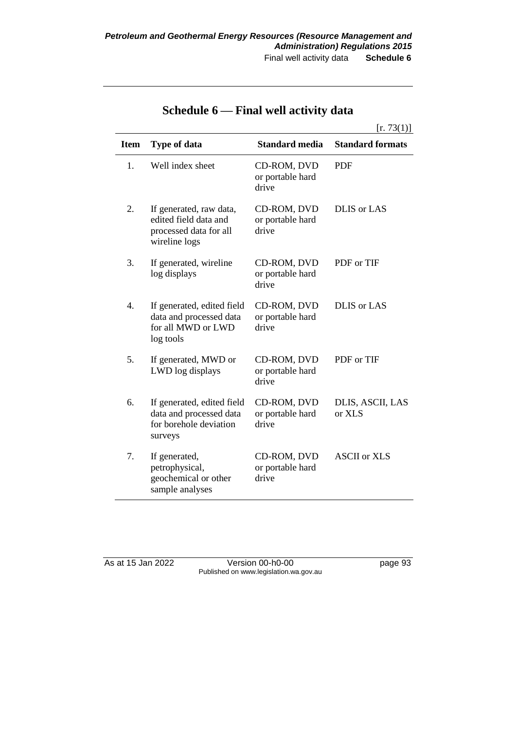|             |                                                                                             |                                          | [r. 73(1)]                 |
|-------------|---------------------------------------------------------------------------------------------|------------------------------------------|----------------------------|
| <b>Item</b> | <b>Type of data</b>                                                                         | <b>Standard media</b>                    | <b>Standard formats</b>    |
| 1.          | Well index sheet                                                                            | CD-ROM, DVD<br>or portable hard<br>drive | <b>PDF</b>                 |
| 2.          | If generated, raw data,<br>edited field data and<br>processed data for all<br>wireline logs | CD-ROM, DVD<br>or portable hard<br>drive | <b>DLIS</b> or LAS         |
| 3.          | If generated, wireline<br>log displays                                                      | CD-ROM, DVD<br>or portable hard<br>drive | PDF or TIF                 |
| 4.          | If generated, edited field<br>data and processed data<br>for all MWD or LWD<br>log tools    | CD-ROM, DVD<br>or portable hard<br>drive | <b>DLIS</b> or LAS         |
| 5.          | If generated, MWD or<br>LWD log displays                                                    | CD-ROM, DVD<br>or portable hard<br>drive | PDF or TIF                 |
| 6.          | If generated, edited field<br>data and processed data<br>for borehole deviation<br>surveys  | CD-ROM, DVD<br>or portable hard<br>drive | DLIS, ASCII, LAS<br>or XLS |
| 7.          | If generated,<br>petrophysical,<br>geochemical or other<br>sample analyses                  | CD-ROM, DVD<br>or portable hard<br>drive | <b>ASCII</b> or XLS        |

# **Schedule 6 — Final well activity data**

As at 15 Jan 2022 Version 00-h0-00 page 93 Published on www.legislation.wa.gov.au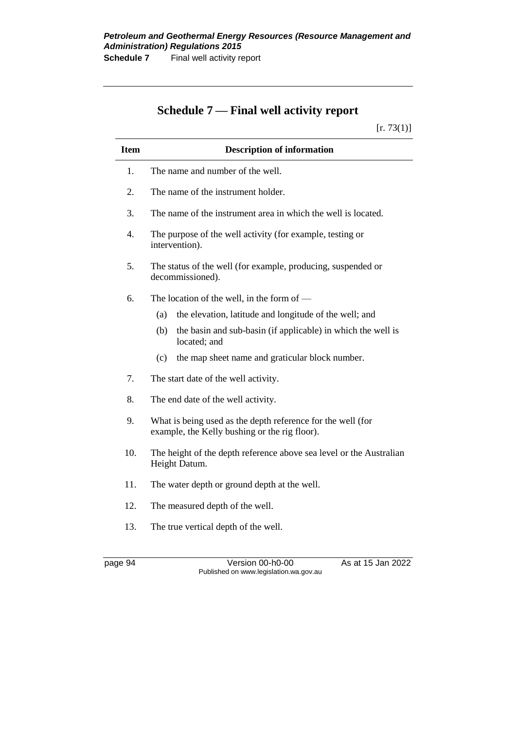# **Schedule 7 — Final well activity report**

 $[r. 73(1)]$ 

| <b>Item</b> | <b>Description of information</b>                                                                            |  |
|-------------|--------------------------------------------------------------------------------------------------------------|--|
| 1.          | The name and number of the well.                                                                             |  |
| 2.          | The name of the instrument holder.                                                                           |  |
| 3.          | The name of the instrument area in which the well is located.                                                |  |
| 4.          | The purpose of the well activity (for example, testing or<br>intervention).                                  |  |
| 5.          | The status of the well (for example, producing, suspended or<br>decommissioned).                             |  |
| 6.          | The location of the well, in the form of $-$                                                                 |  |
|             | the elevation, latitude and longitude of the well; and<br>(a)                                                |  |
|             | (b)<br>the basin and sub-basin (if applicable) in which the well is<br>located; and                          |  |
|             | the map sheet name and graticular block number.<br>(c)                                                       |  |
| 7.          | The start date of the well activity.                                                                         |  |
| 8.          | The end date of the well activity.                                                                           |  |
| 9.          | What is being used as the depth reference for the well (for<br>example, the Kelly bushing or the rig floor). |  |
| 10.         | The height of the depth reference above sea level or the Australian<br>Height Datum.                         |  |
| 11.         | The water depth or ground depth at the well.                                                                 |  |
| 12.         | The measured depth of the well.                                                                              |  |
| 13.         | The true vertical depth of the well.                                                                         |  |

page 94 Version 00-h0-00 As at 15 Jan 2022 Published on www.legislation.wa.gov.au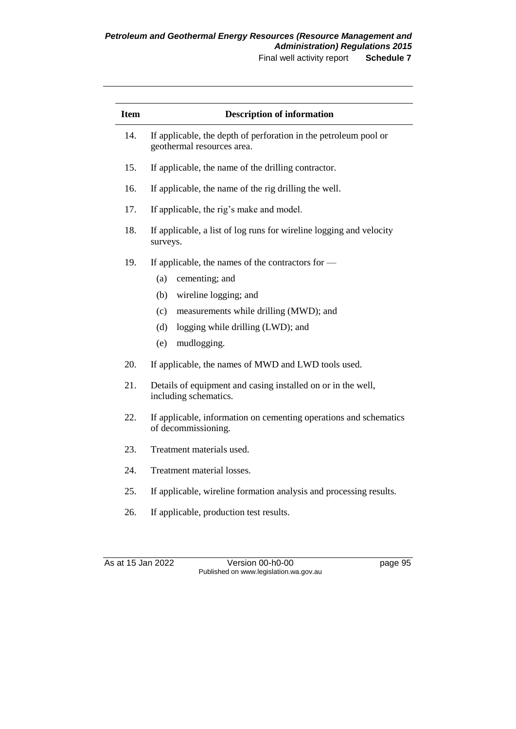| <b>Item</b> | <b>Description of information</b>                                                              |  |  |
|-------------|------------------------------------------------------------------------------------------------|--|--|
| 14.         | If applicable, the depth of perforation in the petroleum pool or<br>geothermal resources area. |  |  |
| 15.         | If applicable, the name of the drilling contractor.                                            |  |  |
| 16.         | If applicable, the name of the rig drilling the well.                                          |  |  |
| 17.         | If applicable, the rig's make and model.                                                       |  |  |
| 18.         | If applicable, a list of log runs for wireline logging and velocity<br>surveys.                |  |  |
| 19.         | If applicable, the names of the contractors for $-$                                            |  |  |
|             | cementing; and<br>(a)                                                                          |  |  |
|             | wireline logging; and<br>(b)                                                                   |  |  |
|             | measurements while drilling (MWD); and<br>(c)                                                  |  |  |
|             | logging while drilling (LWD); and<br>(d)                                                       |  |  |
|             | mudlogging.<br>(e)                                                                             |  |  |
| 20.         | If applicable, the names of MWD and LWD tools used.                                            |  |  |
| 21.         | Details of equipment and casing installed on or in the well,<br>including schematics.          |  |  |
| 22.         | If applicable, information on cementing operations and schematics<br>of decommissioning.       |  |  |
| 23.         | Treatment materials used.                                                                      |  |  |
| 24.         | Treatment material losses.                                                                     |  |  |
| 25.         | If applicable, wireline formation analysis and processing results.                             |  |  |
| 26.         | If applicable, production test results.                                                        |  |  |
|             |                                                                                                |  |  |

As at 15 Jan 2022 Version 00-h0-00 page 95 Published on www.legislation.wa.gov.au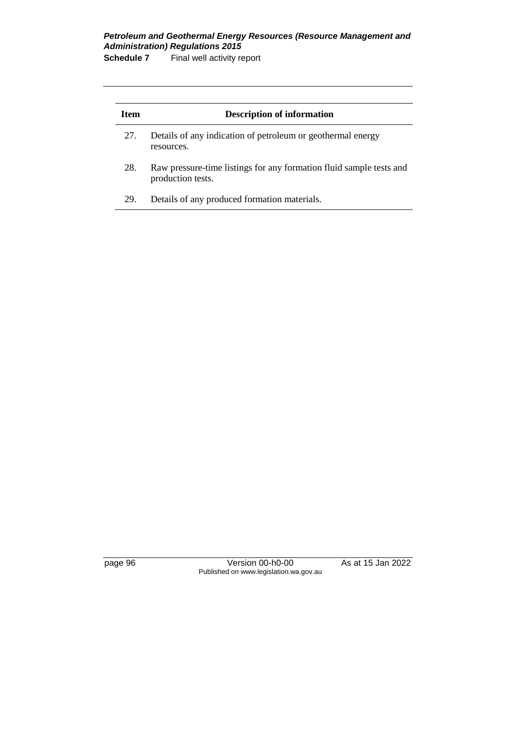**Schedule 7** Final well activity report

| Item | <b>Description of information</b>                                                        |
|------|------------------------------------------------------------------------------------------|
| 27.  | Details of any indication of petroleum or geothermal energy<br>resources.                |
| 28.  | Raw pressure-time listings for any formation fluid sample tests and<br>production tests. |
| 29.  | Details of any produced formation materials.                                             |

page 96 Version 00-h0-00 As at 15 Jan 2022 Published on www.legislation.wa.gov.au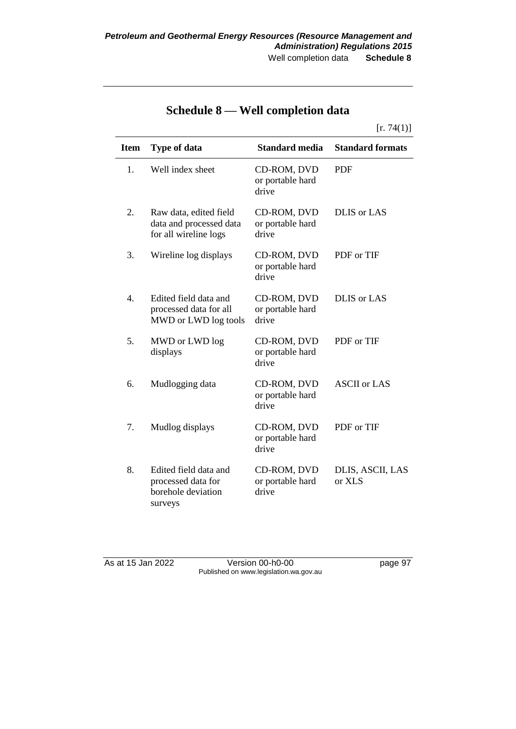| Item | <b>Type of data</b>                                                          | <b>Standard media</b>                    | <b>Standard formats</b>    |
|------|------------------------------------------------------------------------------|------------------------------------------|----------------------------|
| 1.   | Well index sheet                                                             | CD-ROM, DVD<br>or portable hard<br>drive | <b>PDF</b>                 |
| 2.   | Raw data, edited field<br>data and processed data<br>for all wireline logs   | CD-ROM, DVD<br>or portable hard<br>drive | <b>DLIS</b> or LAS         |
| 3.   | Wireline log displays                                                        | CD-ROM, DVD<br>or portable hard<br>drive | PDF or TIF                 |
| 4.   | Edited field data and<br>processed data for all<br>MWD or LWD log tools      | CD-ROM, DVD<br>or portable hard<br>drive | <b>DLIS</b> or LAS         |
| 5.   | MWD or LWD log<br>displays                                                   | CD-ROM, DVD<br>or portable hard<br>drive | PDF or TIF                 |
| 6.   | Mudlogging data                                                              | CD-ROM, DVD<br>or portable hard<br>drive | <b>ASCII</b> or LAS        |
| 7.   | Mudlog displays                                                              | CD-ROM, DVD<br>or portable hard<br>drive | PDF or TIF                 |
| 8.   | Edited field data and<br>processed data for<br>borehole deviation<br>surveys | CD-ROM, DVD<br>or portable hard<br>drive | DLIS, ASCII, LAS<br>or XLS |

# **Schedule 8 — Well completion data**

L,

As at 15 Jan 2022 Version 00-h0-00 page 97 Published on www.legislation.wa.gov.au

 $[r. 74(1)]$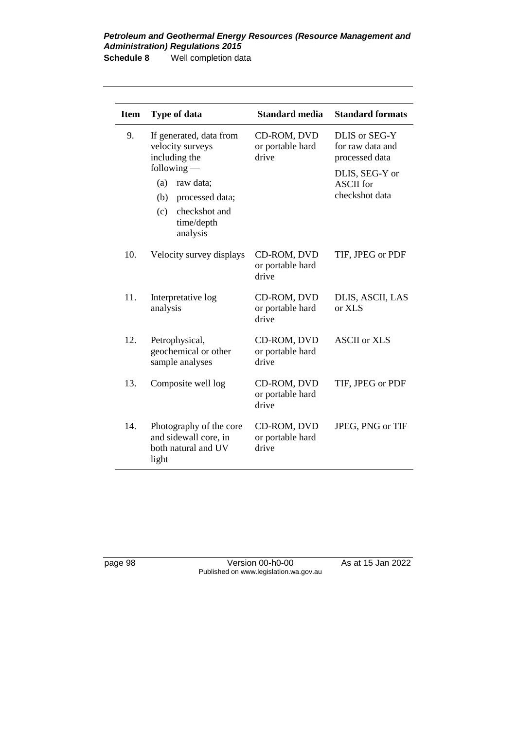**Schedule 8** Well completion data

| <b>Item</b> | <b>Type of data</b>                                                                                           | <b>Standard media</b>                    | <b>Standard formats</b>                              |
|-------------|---------------------------------------------------------------------------------------------------------------|------------------------------------------|------------------------------------------------------|
| 9.          | If generated, data from<br>velocity surveys<br>including the                                                  | CD-ROM, DVD<br>or portable hard<br>drive | DLIS or SEG-Y<br>for raw data and<br>processed data  |
|             | $following$ —<br>(a)<br>raw data;<br>(b)<br>processed data;<br>(c)<br>checkshot and<br>time/depth<br>analysis |                                          | DLIS, SEG-Y or<br><b>ASCII</b> for<br>checkshot data |
| 10.         | Velocity survey displays                                                                                      | CD-ROM, DVD<br>or portable hard<br>drive | TIF, JPEG or PDF                                     |
| 11.         | Interpretative log<br>analysis                                                                                | CD-ROM, DVD<br>or portable hard<br>drive | DLIS, ASCII, LAS<br>or XLS                           |
| 12.         | Petrophysical,<br>geochemical or other<br>sample analyses                                                     | CD-ROM, DVD<br>or portable hard<br>drive | <b>ASCII</b> or XLS                                  |
| 13.         | Composite well log                                                                                            | CD-ROM, DVD<br>or portable hard<br>drive | TIF, JPEG or PDF                                     |
| 14.         | Photography of the core<br>and sidewall core, in<br>both natural and UV<br>light                              | CD-ROM, DVD<br>or portable hard<br>drive | JPEG, PNG or TIF                                     |

page 98 Version 00-h0-00 As at 15 Jan 2022 Published on www.legislation.wa.gov.au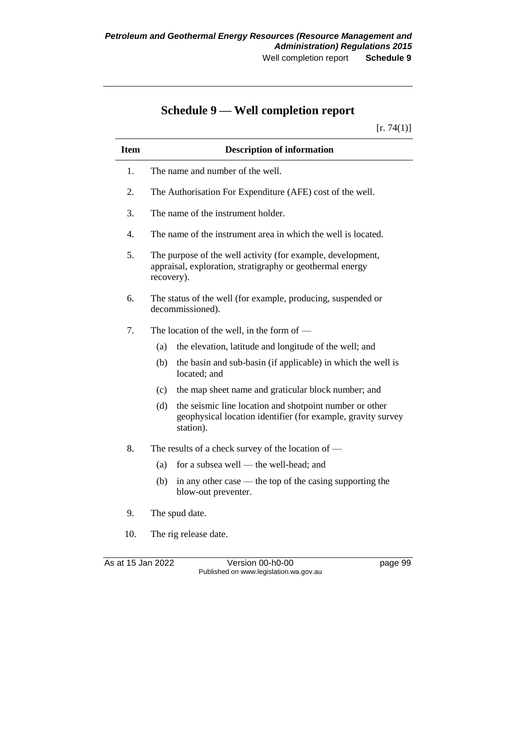# **Schedule 9 — Well completion report**

 $[r. 74(1)]$ 

| <b>Item</b>       | <b>Description of information</b>                                                                                                           |  |  |
|-------------------|---------------------------------------------------------------------------------------------------------------------------------------------|--|--|
| 1.                | The name and number of the well.                                                                                                            |  |  |
| 2.                | The Authorisation For Expenditure (AFE) cost of the well.                                                                                   |  |  |
| 3.                | The name of the instrument holder.                                                                                                          |  |  |
| 4.                | The name of the instrument area in which the well is located.                                                                               |  |  |
| 5.                | The purpose of the well activity (for example, development,<br>appraisal, exploration, stratigraphy or geothermal energy<br>recovery).      |  |  |
| 6.                | The status of the well (for example, producing, suspended or<br>decommissioned).                                                            |  |  |
| 7.                | The location of the well, in the form of $-$                                                                                                |  |  |
|                   | the elevation, latitude and longitude of the well; and<br>(a)                                                                               |  |  |
|                   | (b)<br>the basin and sub-basin (if applicable) in which the well is<br>located; and                                                         |  |  |
|                   | (c)<br>the map sheet name and graticular block number; and                                                                                  |  |  |
|                   | (d)<br>the seismic line location and shotpoint number or other<br>geophysical location identifier (for example, gravity survey<br>station). |  |  |
| 8.                | The results of a check survey of the location of $-$                                                                                        |  |  |
|                   | for a subsea well — the well-head; and<br>(a)                                                                                               |  |  |
|                   | (b)<br>in any other case $-$ the top of the casing supporting the<br>blow-out preventer.                                                    |  |  |
| 9.                | The spud date.                                                                                                                              |  |  |
| 10.               | The rig release date.                                                                                                                       |  |  |
| As at 15 Jan 2022 | Version 00-h0-00<br>page 99<br>Published on www.legislation.wa.gov.au                                                                       |  |  |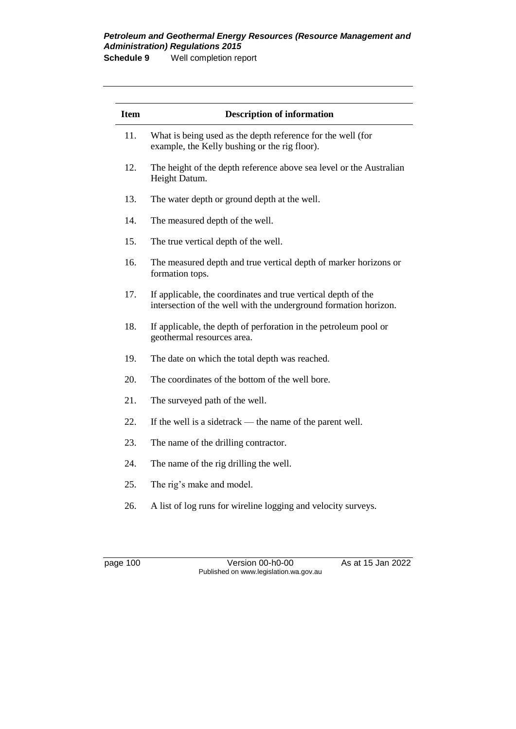**Schedule 9** Well completion report

| <b>Item</b> | <b>Description of information</b>                                                                                                 |
|-------------|-----------------------------------------------------------------------------------------------------------------------------------|
| 11.         | What is being used as the depth reference for the well (for<br>example, the Kelly bushing or the rig floor).                      |
| 12.         | The height of the depth reference above sea level or the Australian<br>Height Datum.                                              |
| 13.         | The water depth or ground depth at the well.                                                                                      |
| 14.         | The measured depth of the well.                                                                                                   |
| 15.         | The true vertical depth of the well.                                                                                              |
| 16.         | The measured depth and true vertical depth of marker horizons or<br>formation tops.                                               |
| 17.         | If applicable, the coordinates and true vertical depth of the<br>intersection of the well with the underground formation horizon. |
| 18.         | If applicable, the depth of perforation in the petroleum pool or<br>geothermal resources area.                                    |
| 19.         | The date on which the total depth was reached.                                                                                    |
| 20.         | The coordinates of the bottom of the well bore.                                                                                   |
| 21.         | The surveyed path of the well.                                                                                                    |
| 22.         | If the well is a side track — the name of the parent well.                                                                        |
| 23.         | The name of the drilling contractor.                                                                                              |
| 24.         | The name of the rig drilling the well.                                                                                            |
| 25.         | The rig's make and model.                                                                                                         |
| 26.         | A list of log runs for wireline logging and velocity surveys.                                                                     |

page 100 Version 00-h0-00 As at 15 Jan 2022 Published on www.legislation.wa.gov.au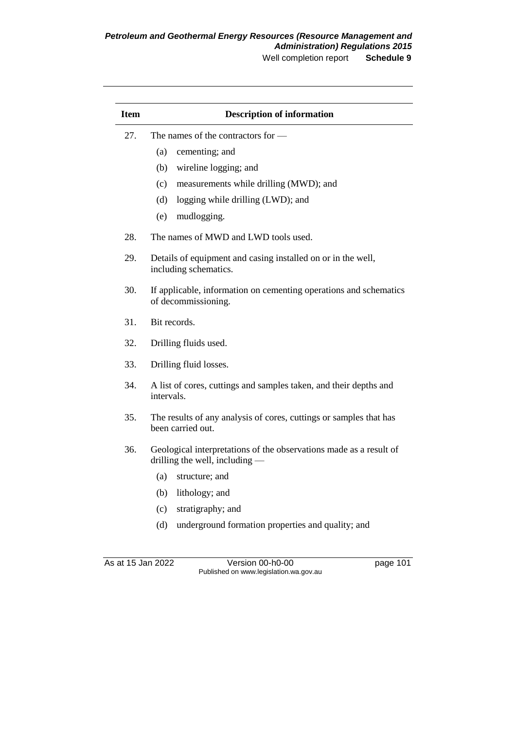| <b>Item</b> | <b>Description of information</b>                                                                    |  |  |
|-------------|------------------------------------------------------------------------------------------------------|--|--|
| 27.         | The names of the contractors for —                                                                   |  |  |
|             | (a)<br>cementing; and                                                                                |  |  |
|             | wireline logging; and<br>(b)                                                                         |  |  |
|             | (c)<br>measurements while drilling (MWD); and                                                        |  |  |
|             | (d)<br>logging while drilling (LWD); and                                                             |  |  |
|             | mudlogging.<br>(e)                                                                                   |  |  |
| 28.         | The names of MWD and LWD tools used.                                                                 |  |  |
| 29.         | Details of equipment and casing installed on or in the well,<br>including schematics.                |  |  |
| 30.         | If applicable, information on cementing operations and schematics<br>of decommissioning.             |  |  |
| 31.         | Bit records.                                                                                         |  |  |
| 32.         | Drilling fluids used.                                                                                |  |  |
| 33.         | Drilling fluid losses.                                                                               |  |  |
| 34.         | A list of cores, cuttings and samples taken, and their depths and<br>intervals.                      |  |  |
| 35.         | The results of any analysis of cores, cuttings or samples that has<br>been carried out.              |  |  |
| 36.         | Geological interpretations of the observations made as a result of<br>drilling the well, including - |  |  |
|             | (a)<br>structure; and                                                                                |  |  |
|             | lithology; and<br>(b)                                                                                |  |  |
|             | stratigraphy; and<br>(c)                                                                             |  |  |
|             | (d)<br>underground formation properties and quality; and                                             |  |  |

As at 15 Jan 2022 Version 00-h0-00 page 101 Published on www.legislation.wa.gov.au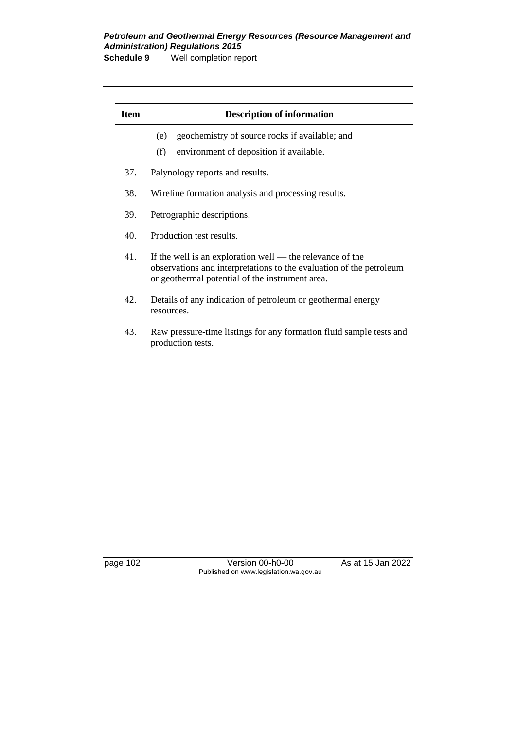**Schedule 9** Well completion report

| <b>Item</b> | <b>Description of information</b>                                                                                                                                                   |  |  |
|-------------|-------------------------------------------------------------------------------------------------------------------------------------------------------------------------------------|--|--|
|             | geochemistry of source rocks if available; and<br>(e)                                                                                                                               |  |  |
|             | environment of deposition if available.<br>(f)                                                                                                                                      |  |  |
| 37.         | Palynology reports and results.                                                                                                                                                     |  |  |
| 38.         | Wireline formation analysis and processing results.                                                                                                                                 |  |  |
| 39.         | Petrographic descriptions.                                                                                                                                                          |  |  |
| 40.         | Production test results.                                                                                                                                                            |  |  |
| 41.         | If the well is an exploration well — the relevance of the<br>observations and interpretations to the evaluation of the petroleum<br>or geothermal potential of the instrument area. |  |  |
| 42.         | Details of any indication of petroleum or geothermal energy<br>resources.                                                                                                           |  |  |
| 43.         | Raw pressure-time listings for any formation fluid sample tests and<br>production tests.                                                                                            |  |  |

page 102 Version 00-h0-00 As at 15 Jan 2022 Published on www.legislation.wa.gov.au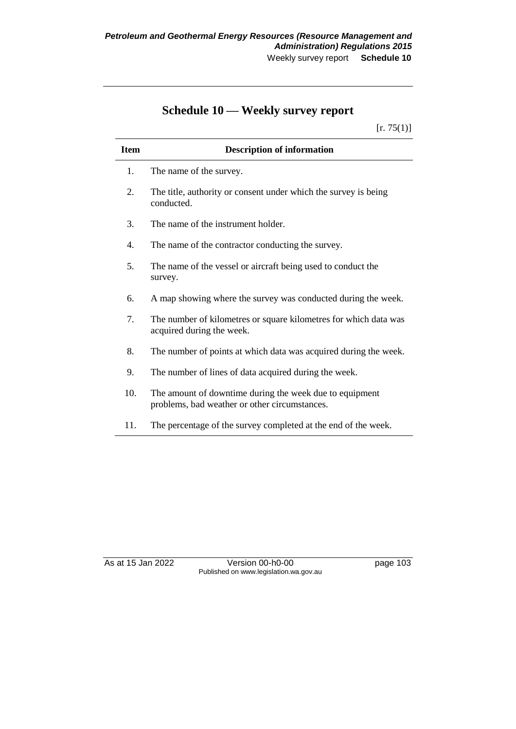# **Schedule 10 — Weekly survey report**

 $[r. 75(1)]$ 

| <b>Item</b> | <b>Description of information</b>                                                                        |
|-------------|----------------------------------------------------------------------------------------------------------|
| 1.          | The name of the survey.                                                                                  |
| 2.          | The title, authority or consent under which the survey is being<br>conducted.                            |
| 3.          | The name of the instrument holder.                                                                       |
| 4.          | The name of the contractor conducting the survey.                                                        |
| 5.          | The name of the vessel or aircraft being used to conduct the<br>survey.                                  |
| 6.          | A map showing where the survey was conducted during the week.                                            |
| 7.          | The number of kilometres or square kilometres for which data was<br>acquired during the week.            |
| 8.          | The number of points at which data was acquired during the week.                                         |
| 9.          | The number of lines of data acquired during the week.                                                    |
| 10.         | The amount of downtime during the week due to equipment<br>problems, bad weather or other circumstances. |
| 11.         | The percentage of the survey completed at the end of the week.                                           |

As at 15 Jan 2022 Version 00-h0-00 page 103 Published on www.legislation.wa.gov.au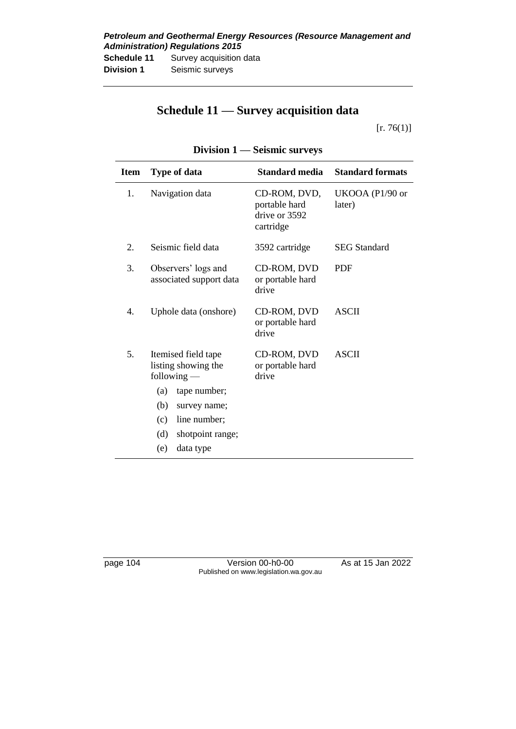#### *Petroleum and Geothermal Energy Resources (Resource Management and Administration) Regulations 2015* **Schedule 11** Survey acquisition data **Division 1** Seismic surveys

# **Schedule 11 — Survey acquisition data**

 $[r. 76(1)]$ 

| <b>Item</b> | <b>Type of data</b>                                         | Standard media                                              | <b>Standard formats</b>   |
|-------------|-------------------------------------------------------------|-------------------------------------------------------------|---------------------------|
| 1.          | Navigation data                                             | CD-ROM, DVD,<br>portable hard<br>drive or 3592<br>cartridge | UKOOA (P1/90 or<br>later) |
| 2.          | Seismic field data                                          | 3592 cartridge                                              | <b>SEG Standard</b>       |
| 3.          | Observers' logs and<br>associated support data              | CD-ROM, DVD<br>or portable hard<br>drive                    | <b>PDF</b>                |
| 4.          | Uphole data (onshore)                                       | CD-ROM, DVD<br>or portable hard<br>drive                    | <b>ASCII</b>              |
| 5.          | Itemised field tape<br>listing showing the<br>$following -$ | CD-ROM, DVD<br>or portable hard<br>drive                    | <b>ASCII</b>              |
|             | tape number;<br>(a)                                         |                                                             |                           |
|             | (b)<br>survey name;                                         |                                                             |                           |
|             | line number;<br>(c)                                         |                                                             |                           |
|             | (d)<br>shotpoint range;                                     |                                                             |                           |
|             | data type<br>(e)                                            |                                                             |                           |

## **Division 1 — Seismic surveys**

page 104 Version 00-h0-00 As at 15 Jan 2022 Published on www.legislation.wa.gov.au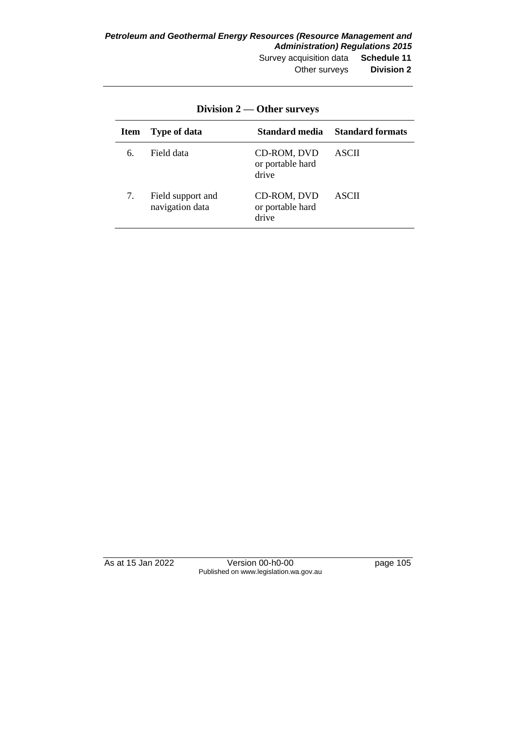| <b>Item</b> | <b>Type of data</b>                  | Standard media                           | <b>Standard formats</b> |
|-------------|--------------------------------------|------------------------------------------|-------------------------|
| 6.          | Field data                           | CD-ROM, DVD<br>or portable hard<br>drive | <b>ASCII</b>            |
| 7.          | Field support and<br>navigation data | CD-ROM, DVD<br>or portable hard<br>drive | ASCII                   |

**Division 2 — Other surveys**

As at 15 Jan 2022 Version 00-h0-00 page 105 Published on www.legislation.wa.gov.au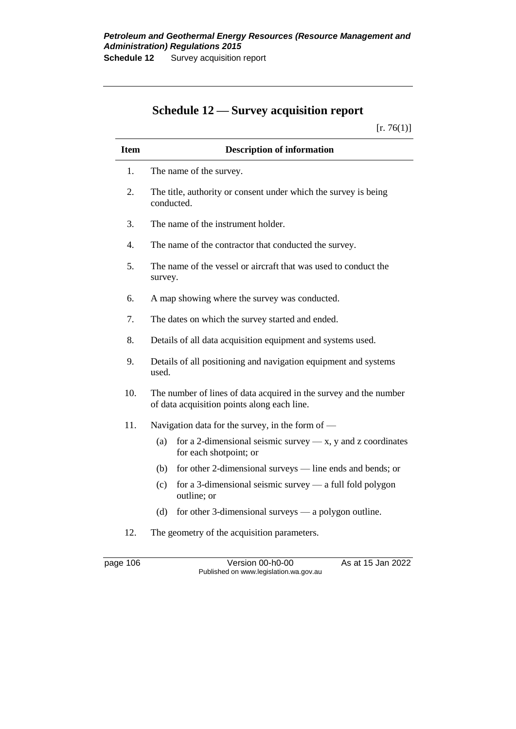# **Schedule 12 — Survey acquisition report**

 $[r. 76(1)]$ 

| <b>Item</b> | <b>Description of information</b>                                                                                |  |  |
|-------------|------------------------------------------------------------------------------------------------------------------|--|--|
| 1.          | The name of the survey.                                                                                          |  |  |
| 2.          | The title, authority or consent under which the survey is being<br>conducted.                                    |  |  |
| 3.          | The name of the instrument holder.                                                                               |  |  |
| 4.          | The name of the contractor that conducted the survey.                                                            |  |  |
| 5.          | The name of the vessel or aircraft that was used to conduct the<br>survey.                                       |  |  |
| 6.          | A map showing where the survey was conducted.                                                                    |  |  |
| 7.          | The dates on which the survey started and ended.                                                                 |  |  |
| 8.          | Details of all data acquisition equipment and systems used.                                                      |  |  |
| 9.          | Details of all positioning and navigation equipment and systems<br>used.                                         |  |  |
| 10.         | The number of lines of data acquired in the survey and the number<br>of data acquisition points along each line. |  |  |
| 11.         | Navigation data for the survey, in the form of —                                                                 |  |  |
|             | for a 2-dimensional seismic survey $-x$ , y and z coordinates<br>(a)<br>for each shotpoint; or                   |  |  |
|             | for other 2-dimensional surveys — line ends and bends; or<br>(b)                                                 |  |  |
|             | for a 3-dimensional seismic survey $-$ a full fold polygon<br>(c)<br>outline; or                                 |  |  |
|             | (d)<br>for other 3-dimensional surveys $-$ a polygon outline.                                                    |  |  |
| 12.         | The geometry of the acquisition parameters.                                                                      |  |  |

page 106 Version 00-h0-00 As at 15 Jan 2022 Published on www.legislation.wa.gov.au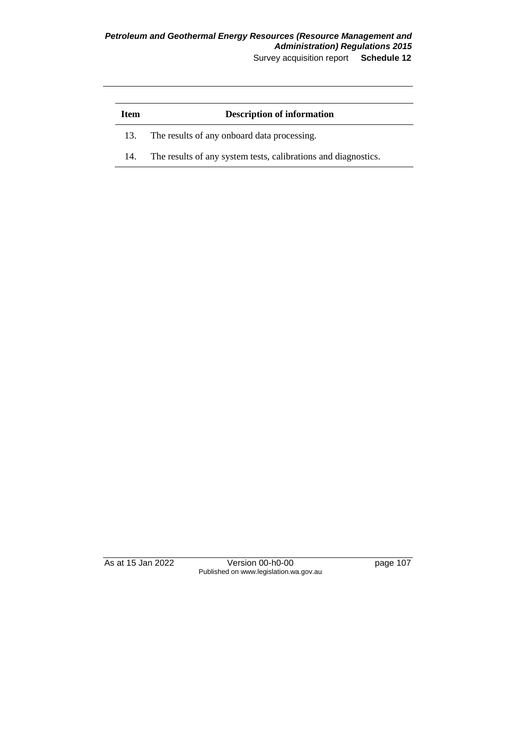Survey acquisition report **Schedule 12**

| Item | <b>Description of information</b>                              |  |
|------|----------------------------------------------------------------|--|
| 13.  | The results of any onboard data processing.                    |  |
| 14.  | The results of any system tests, calibrations and diagnostics. |  |

As at 15 Jan 2022 Version 00-h0-00 page 107 Published on www.legislation.wa.gov.au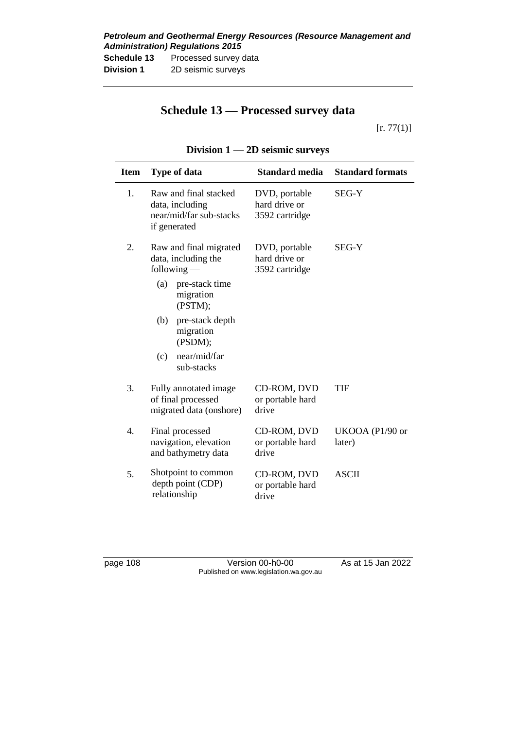### *Petroleum and Geothermal Energy Resources (Resource Management and Administration) Regulations 2015* **Schedule 13** Processed survey data

**Division 1** 2D seismic surveys

# **Schedule 13 — Processed survey data**

 $[r. 77(1)]$ 

| <b>Item</b> | <b>Type of data</b>                                                                                             | Standard media                                   | <b>Standard formats</b>   |
|-------------|-----------------------------------------------------------------------------------------------------------------|--------------------------------------------------|---------------------------|
| 1.          | Raw and final stacked<br>data, including<br>near/mid/far sub-stacks<br>if generated                             | DVD, portable<br>hard drive or<br>3592 cartridge | <b>SEG-Y</b>              |
| 2.          | Raw and final migrated<br>data, including the<br>$following$ —<br>(a)<br>pre-stack time<br>migration<br>(PSTM); | DVD, portable<br>hard drive or<br>3592 cartridge | SEG-Y                     |
|             | pre-stack depth<br>(b)<br>migration<br>(PSDM);                                                                  |                                                  |                           |
|             | near/mid/far<br>(c)<br>sub-stacks                                                                               |                                                  |                           |
| 3.          | Fully annotated image<br>of final processed<br>migrated data (onshore)                                          | CD-ROM, DVD<br>or portable hard<br>drive         | TIF                       |
| 4.          | Final processed<br>navigation, elevation<br>and bathymetry data                                                 | CD-ROM, DVD<br>or portable hard<br>drive         | UKOOA (P1/90 or<br>later) |
| 5.          | Shotpoint to common<br>depth point (CDP)<br>relationship                                                        | CD-ROM, DVD<br>or portable hard<br>drive         | <b>ASCII</b>              |

## **Division 1 — 2D seismic surveys**

page 108 Version 00-h0-00 As at 15 Jan 2022 Published on www.legislation.wa.gov.au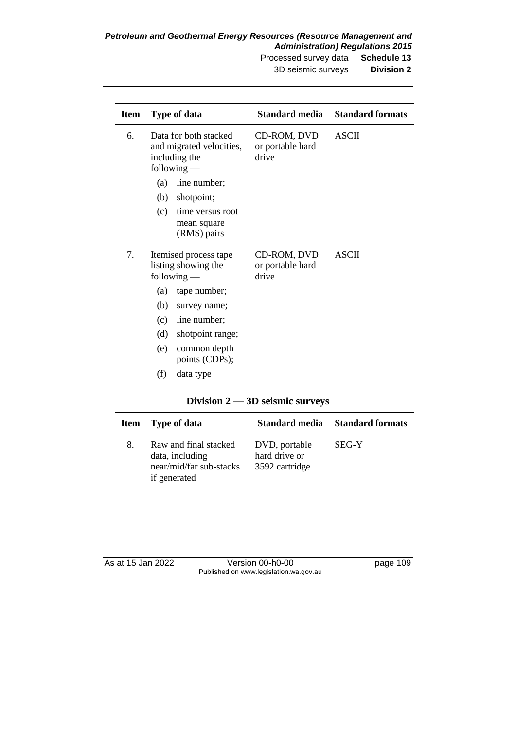*Petroleum and Geothermal Energy Resources (Resource Management and Administration) Regulations 2015* Processed survey data **Schedule 13**

3D seismic surveys **Division 2**

| <b>Item</b> | <b>Type of data</b>                                                                 |                                                               | <b>Standard media</b>                    | <b>Standard formats</b> |
|-------------|-------------------------------------------------------------------------------------|---------------------------------------------------------------|------------------------------------------|-------------------------|
| б.          | Data for both stacked<br>and migrated velocities,<br>including the<br>$following -$ |                                                               | CD-ROM, DVD<br>or portable hard<br>drive | <b>ASCII</b>            |
|             | (a)                                                                                 | line number;                                                  |                                          |                         |
|             | (b)                                                                                 | shotpoint;                                                    |                                          |                         |
|             | (c)                                                                                 | time versus root<br>mean square<br>(RMS) pairs                |                                          |                         |
| 7.          |                                                                                     | Itemised process tape<br>listing showing the<br>$following -$ | CD-ROM, DVD<br>or portable hard<br>drive | <b>ASCII</b>            |
|             | (a)                                                                                 | tape number;                                                  |                                          |                         |
|             | (b)                                                                                 | survey name;                                                  |                                          |                         |
|             | (c)                                                                                 | line number;                                                  |                                          |                         |
|             | (d)                                                                                 | shotpoint range;                                              |                                          |                         |
|             | (e)                                                                                 | common depth<br>points (CDPs);                                |                                          |                         |
|             | (f)                                                                                 | data type                                                     |                                          |                         |

## **Division 2 — 3D seismic surveys**

|    | <b>Item</b> Type of data                                                            |                                                  | <b>Standard media</b> Standard formats |
|----|-------------------------------------------------------------------------------------|--------------------------------------------------|----------------------------------------|
| 8. | Raw and final stacked<br>data, including<br>near/mid/far sub-stacks<br>if generated | DVD, portable<br>hard drive or<br>3592 cartridge | SEG-Y                                  |

| As at 15 Jan 2022 | Version 00-h0-00                       | page 109 |
|-------------------|----------------------------------------|----------|
|                   | Published on www.legislation.wa.gov.au |          |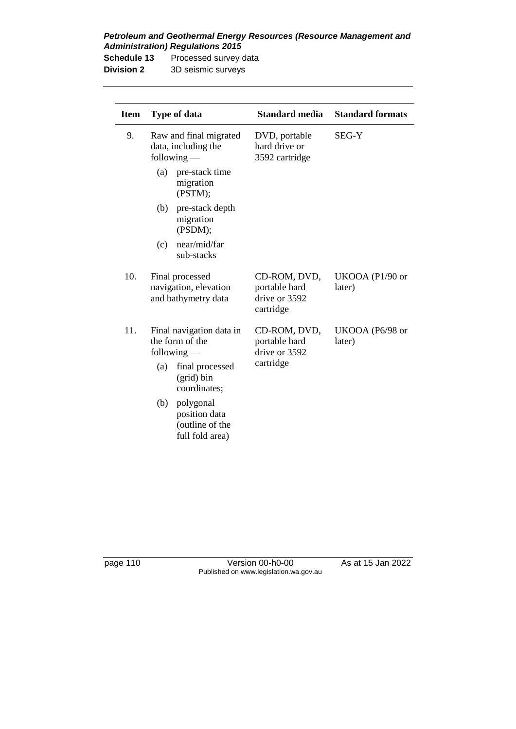| <b>Schedule 13</b> | Processed survey data |
|--------------------|-----------------------|
| <b>Division 2</b>  | 3D seismic surveys    |

| <b>Item</b> | <b>Type of data</b>                                                     | <b>Standard media</b>                                       | <b>Standard formats</b>   |
|-------------|-------------------------------------------------------------------------|-------------------------------------------------------------|---------------------------|
| 9.          | Raw and final migrated<br>data, including the<br>$following$ —          | DVD, portable<br>hard drive or<br>3592 cartridge            | SEG-Y                     |
|             | (a)<br>pre-stack time<br>migration<br>(PSTM);                           |                                                             |                           |
|             | pre-stack depth<br>(b)<br>migration<br>(PSDM);                          |                                                             |                           |
|             | near/mid/far<br>(c)<br>sub-stacks                                       |                                                             |                           |
| 10.         | Final processed<br>navigation, elevation<br>and bathymetry data         | CD-ROM, DVD,<br>portable hard<br>drive or 3592<br>cartridge | UKOOA (P1/90 or<br>later) |
| 11.         | Final navigation data in<br>the form of the<br>$following -$            | CD-ROM, DVD,<br>portable hard<br>drive or 3592              | UKOOA (P6/98 or<br>later) |
|             | final processed<br>(a)<br>(grid) bin<br>coordinates;                    | cartridge                                                   |                           |
|             | (b)<br>polygonal<br>position data<br>(outline of the<br>full fold area) |                                                             |                           |

page 110 Version 00-h0-00 As at 15 Jan 2022 Published on www.legislation.wa.gov.au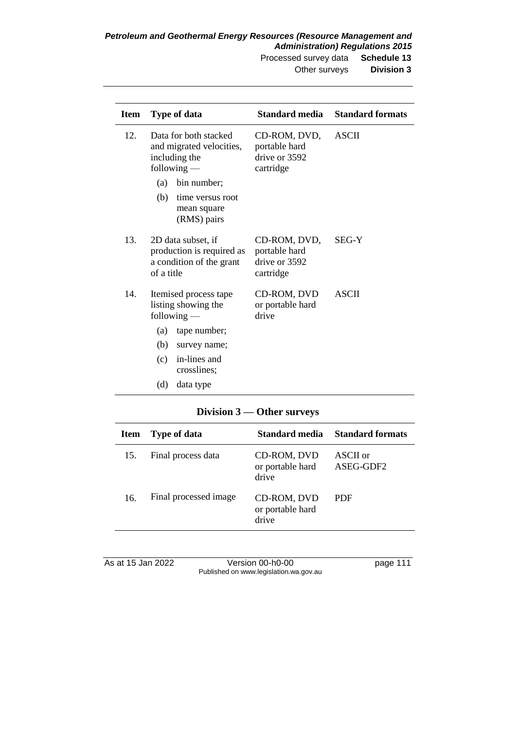Other surveys **Division 3**

| <b>Item</b> | Type of data                                                                              |                                                | Standard media                                              | <b>Standard formats</b> |
|-------------|-------------------------------------------------------------------------------------------|------------------------------------------------|-------------------------------------------------------------|-------------------------|
| 12.         | Data for both stacked<br>and migrated velocities,<br>including the<br>following $-$       |                                                | CD-ROM, DVD,<br>portable hard<br>drive or 3592<br>cartridge | <b>ASCII</b>            |
|             | (a)                                                                                       | bin number;                                    |                                                             |                         |
|             | (b)                                                                                       | time versus root<br>mean square<br>(RMS) pairs |                                                             |                         |
| 13.         | 2D data subset, if<br>production is required as<br>a condition of the grant<br>of a title |                                                | CD-ROM, DVD,<br>portable hard<br>drive or 3592<br>cartridge | <b>SEG-Y</b>            |
| 14.         | Itemised process tape<br>listing showing the<br>$following -$                             |                                                | CD-ROM, DVD<br>or portable hard<br>drive                    | <b>ASCII</b>            |
|             | (a)                                                                                       | tape number;                                   |                                                             |                         |
|             | (b)                                                                                       | survey name;                                   |                                                             |                         |
|             | (c)                                                                                       | in-lines and<br>crosslines;                    |                                                             |                         |
|             | (d)                                                                                       | data type                                      |                                                             |                         |

#### **Division 3 — Other surveys**

| <b>Item</b> | <b>Type of data</b>   | Standard media                           | <b>Standard formats</b> |
|-------------|-----------------------|------------------------------------------|-------------------------|
| 15.         | Final process data    | CD-ROM, DVD<br>or portable hard<br>drive | ASCII or<br>ASEG-GDF2   |
| 16.         | Final processed image | CD-ROM, DVD<br>or portable hard<br>drive | PDF                     |

As at 15 Jan 2022 Version 00-h0-00 page 111 Published on www.legislation.wa.gov.au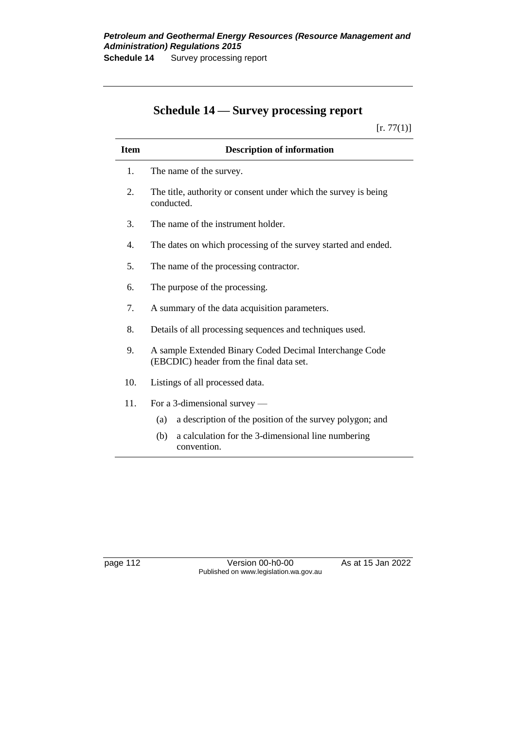# **Schedule 14 — Survey processing report**

 $[r. 77(1)]$ 

| <b>Item</b> | <b>Description of information</b>                                                                   |  |  |
|-------------|-----------------------------------------------------------------------------------------------------|--|--|
| 1.          | The name of the survey.                                                                             |  |  |
| 2.          | The title, authority or consent under which the survey is being<br>conducted.                       |  |  |
| 3.          | The name of the instrument holder.                                                                  |  |  |
| 4.          | The dates on which processing of the survey started and ended.                                      |  |  |
| 5.          | The name of the processing contractor.                                                              |  |  |
| б.          | The purpose of the processing.                                                                      |  |  |
| 7.          | A summary of the data acquisition parameters.                                                       |  |  |
| 8.          | Details of all processing sequences and techniques used.                                            |  |  |
| 9.          | A sample Extended Binary Coded Decimal Interchange Code<br>(EBCDIC) header from the final data set. |  |  |
| 10.         | Listings of all processed data.                                                                     |  |  |
| 11.         | For a 3-dimensional survey —                                                                        |  |  |
|             | a description of the position of the survey polygon; and<br>(a)                                     |  |  |
|             | a calculation for the 3-dimensional line numbering<br>(b)<br>convention.                            |  |  |

page 112 Version 00-h0-00 As at 15 Jan 2022 Published on www.legislation.wa.gov.au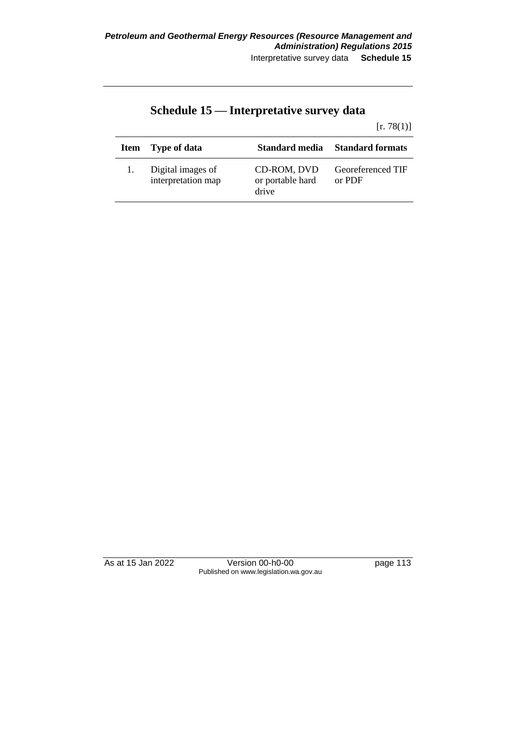|  |  | Schedule 15 — Interpretative survey data |  |
|--|--|------------------------------------------|--|
|--|--|------------------------------------------|--|

### $[r. 78(1)]$

| <b>Item</b> | Type of data                            | Standard media                           | <b>Standard formats</b>     |
|-------------|-----------------------------------------|------------------------------------------|-----------------------------|
|             | Digital images of<br>interpretation map | CD-ROM, DVD<br>or portable hard<br>drive | Georeferenced TIF<br>or PDF |

As at 15 Jan 2022 Version 00-h0-00 page 113 Published on www.legislation.wa.gov.au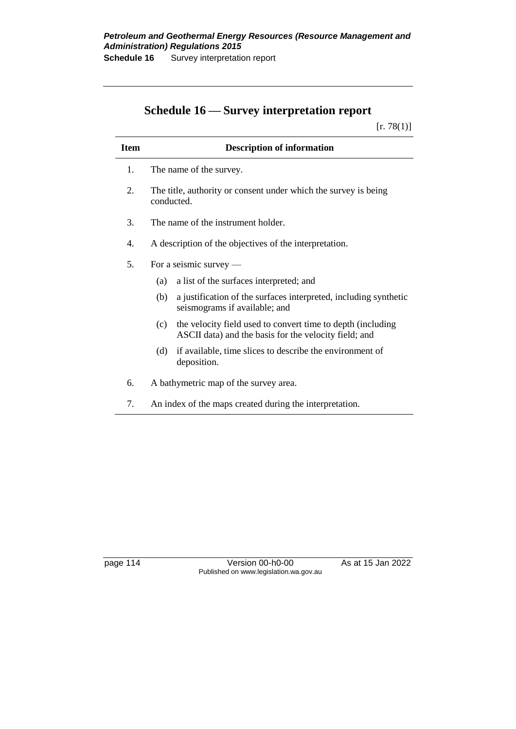# **Schedule 16 — Survey interpretation report**

 $[r. 78(1)]$ 

| <b>Item</b> | <b>Description of information</b>                                                                                           |  |  |
|-------------|-----------------------------------------------------------------------------------------------------------------------------|--|--|
| 1.          | The name of the survey.                                                                                                     |  |  |
| 2.          | The title, authority or consent under which the survey is being<br>conducted.                                               |  |  |
| 3.          | The name of the instrument holder.                                                                                          |  |  |
| 4.          | A description of the objectives of the interpretation.                                                                      |  |  |
| 5.          | For a seismic survey $-$                                                                                                    |  |  |
|             | a list of the surfaces interpreted; and<br>(a)                                                                              |  |  |
|             | a justification of the surfaces interpreted, including synthetic<br>(b)<br>seismograms if available; and                    |  |  |
|             | the velocity field used to convert time to depth (including<br>(c)<br>ASCII data) and the basis for the velocity field; and |  |  |
|             | if available, time slices to describe the environment of<br>(d)<br>deposition.                                              |  |  |
| 6.          | A bathymetric map of the survey area.                                                                                       |  |  |
| 7.          | An index of the maps created during the interpretation.                                                                     |  |  |

page 114 Version 00-h0-00 As at 15 Jan 2022 Published on www.legislation.wa.gov.au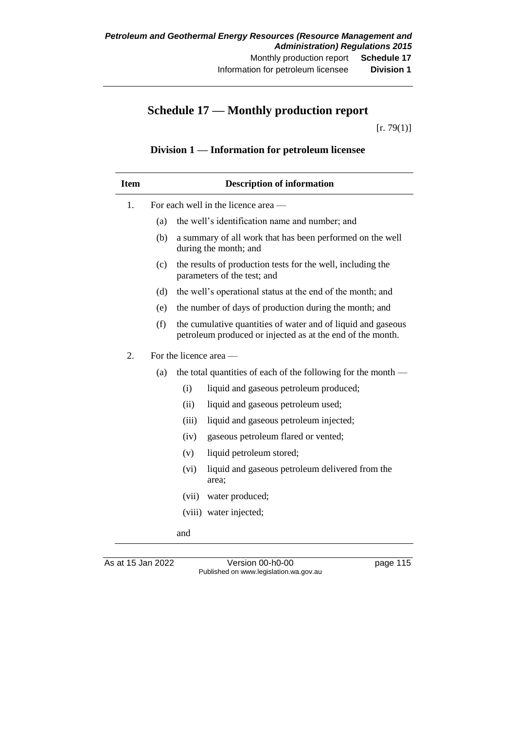## **Schedule 17 — Monthly production report**

 $[r. 79(1)]$ 

## **Division 1 — Information for petroleum licensee**

| <b>Item</b> | <b>Description of information</b> |                                     |                                                                                                                            |  |
|-------------|-----------------------------------|-------------------------------------|----------------------------------------------------------------------------------------------------------------------------|--|
| 1.          |                                   | For each well in the licence area — |                                                                                                                            |  |
|             | (a)                               |                                     | the well's identification name and number; and                                                                             |  |
|             | (b)                               |                                     | a summary of all work that has been performed on the well<br>during the month; and                                         |  |
|             | (c)                               |                                     | the results of production tests for the well, including the<br>parameters of the test; and                                 |  |
|             | (d)                               |                                     | the well's operational status at the end of the month; and                                                                 |  |
|             | (e)                               |                                     | the number of days of production during the month; and                                                                     |  |
|             | (f)                               |                                     | the cumulative quantities of water and of liquid and gaseous<br>petroleum produced or injected as at the end of the month. |  |
| 2.          |                                   | For the licence area —              |                                                                                                                            |  |
|             | (a)                               |                                     | the total quantities of each of the following for the month —                                                              |  |
|             |                                   | (i)                                 | liquid and gaseous petroleum produced;                                                                                     |  |
|             |                                   | (ii)                                | liquid and gaseous petroleum used;                                                                                         |  |
|             |                                   | (iii)                               | liquid and gaseous petroleum injected;                                                                                     |  |
|             |                                   | (iv)                                | gaseous petroleum flared or vented;                                                                                        |  |
|             |                                   | (v)                                 | liquid petroleum stored;                                                                                                   |  |
|             |                                   | (vi)                                | liquid and gaseous petroleum delivered from the<br>area;                                                                   |  |
|             |                                   | (vii)                               | water produced;                                                                                                            |  |
|             |                                   |                                     | (viii) water injected;                                                                                                     |  |
|             |                                   | and                                 |                                                                                                                            |  |

J.

As at 15 Jan 2022 Version 00-h0-00 page 115 Published on www.legislation.wa.gov.au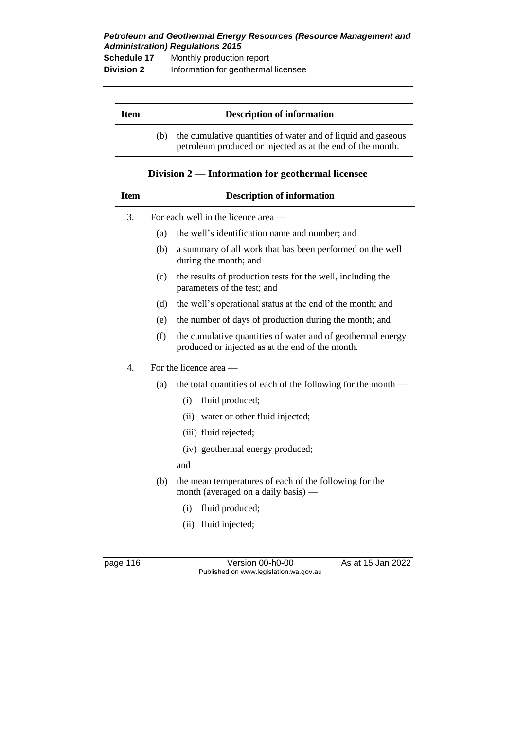| Schedule 17       | Monthly production report           |  |
|-------------------|-------------------------------------|--|
| <b>Division 2</b> | Information for geothermal licensee |  |

| Item |     | <b>Description of information</b>                                                                                          |
|------|-----|----------------------------------------------------------------------------------------------------------------------------|
|      | (b) | the cumulative quantities of water and of liquid and gaseous<br>petroleum produced or injected as at the end of the month. |

|  |  | Division 2 — Information for geothermal licensee |  |
|--|--|--------------------------------------------------|--|
|--|--|--------------------------------------------------|--|

| <b>Item</b> |                        | <b>Description of information</b>                                                                               |
|-------------|------------------------|-----------------------------------------------------------------------------------------------------------------|
| 3.          |                        | For each well in the licence area —                                                                             |
|             | (a)                    | the well's identification name and number; and                                                                  |
|             | (b)                    | a summary of all work that has been performed on the well<br>during the month; and                              |
|             | (c)                    | the results of production tests for the well, including the<br>parameters of the test; and                      |
|             | (d)                    | the well's operational status at the end of the month; and                                                      |
|             | (e)                    | the number of days of production during the month; and                                                          |
|             | (f)                    | the cumulative quantities of water and of geothermal energy<br>produced or injected as at the end of the month. |
| 4.          | For the licence area — |                                                                                                                 |
|             | (a)                    | the total quantities of each of the following for the month —                                                   |
|             |                        | fluid produced;<br>(i)                                                                                          |
|             |                        | water or other fluid injected;<br>(ii)                                                                          |
|             |                        | (iii) fluid rejected;                                                                                           |
|             |                        | (iv) geothermal energy produced;                                                                                |
|             |                        | and                                                                                                             |
|             | (b)                    | the mean temperatures of each of the following for the<br>month (averaged on a daily basis) —                   |
|             |                        | fluid produced;<br>(i)                                                                                          |
|             |                        | fluid injected;<br>(ii)                                                                                         |

page 116 Version 00-h0-00 As at 15 Jan 2022 Published on www.legislation.wa.gov.au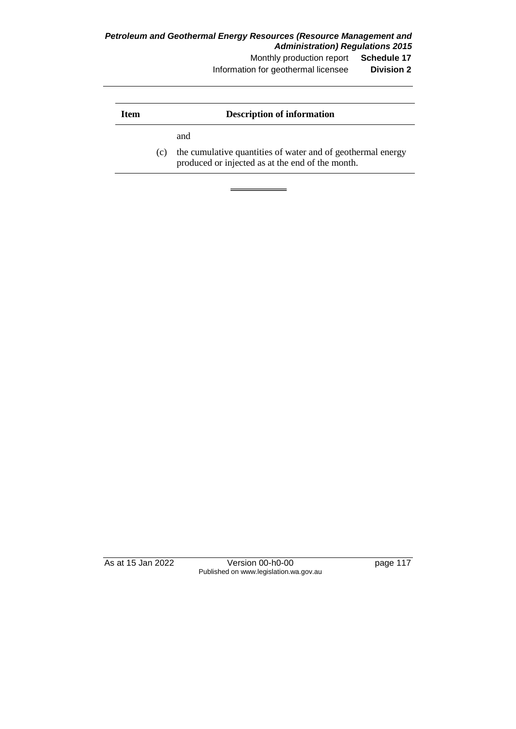#### *Petroleum and Geothermal Energy Resources (Resource Management and Administration) Regulations 2015* Monthly production report **Schedule 17**

Information for geothermal licensee **Division 2**

| Item | <b>Description of information</b> |                                                                                                                        |  |
|------|-----------------------------------|------------------------------------------------------------------------------------------------------------------------|--|
|      | (c)                               | and<br>the cumulative quantities of water and of geothermal energy<br>produced or injected as at the end of the month. |  |

As at 15 Jan 2022 Version 00-h0-00 page 117 Published on www.legislation.wa.gov.au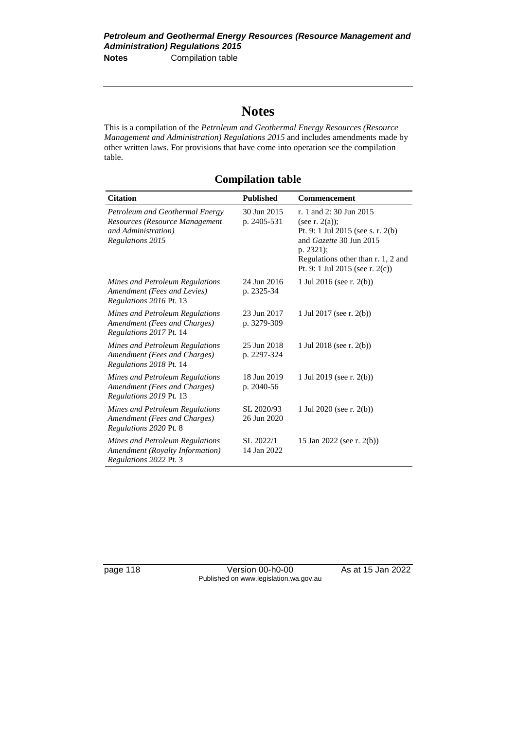# **Notes**

This is a compilation of the *Petroleum and Geothermal Energy Resources (Resource Management and Administration) Regulations 2015* and includes amendments made by other written laws. For provisions that have come into operation see the compilation table.

### **Compilation table**

| <b>Citation</b>                                                                                                     | <b>Published</b>           | <b>Commencement</b>                                                                                                                                                                                    |
|---------------------------------------------------------------------------------------------------------------------|----------------------------|--------------------------------------------------------------------------------------------------------------------------------------------------------------------------------------------------------|
| Petroleum and Geothermal Energy<br>Resources (Resource Management<br>and Administration)<br><b>Regulations 2015</b> | 30 Jun 2015<br>p. 2405-531 | r. 1 and 2:30 Jun 2015<br>(see r. $2(a)$ );<br>Pt. 9: 1 Jul 2015 (see s. r. 2(b)<br>and Gazette 30 Jun 2015<br>$p. 2321$ ;<br>Regulations other than r. 1, 2 and<br>Pt. 9: 1 Jul 2015 (see r. $2(c)$ ) |
| Mines and Petroleum Regulations<br>Amendment (Fees and Levies)<br>Regulations 2016 Pt. 13                           | 24 Jun 2016<br>p. 2325-34  | 1 Jul 2016 (see r. 2(b))                                                                                                                                                                               |
| Mines and Petroleum Regulations<br>Amendment (Fees and Charges)<br>Regulations 2017 Pt. 14                          | 23 Jun 2017<br>p. 3279-309 | 1 Jul 2017 (see r. 2(b))                                                                                                                                                                               |
| Mines and Petroleum Regulations<br>Amendment (Fees and Charges)<br>Regulations 2018 Pt. 14                          | 25 Jun 2018<br>p. 2297-324 | 1 Jul 2018 (see r. 2(b))                                                                                                                                                                               |
| Mines and Petroleum Regulations<br>Amendment (Fees and Charges)<br>Regulations 2019 Pt. 13                          | 18 Jun 2019<br>p. 2040-56  | 1 Jul 2019 (see r. 2(b))                                                                                                                                                                               |
| Mines and Petroleum Regulations<br>Amendment (Fees and Charges)<br>Regulations 2020 Pt. 8                           | SL 2020/93<br>26 Jun 2020  | 1 Jul 2020 (see r. $2(b)$ )                                                                                                                                                                            |
| Mines and Petroleum Regulations<br>Amendment (Royalty Information)<br>Regulations 2022 Pt. 3                        | SL 2022/1<br>14 Jan 2022   | 15 Jan 2022 (see r. 2(b))                                                                                                                                                                              |

page 118 Version 00-h0-00 As at 15 Jan 2022 Published on www.legislation.wa.gov.au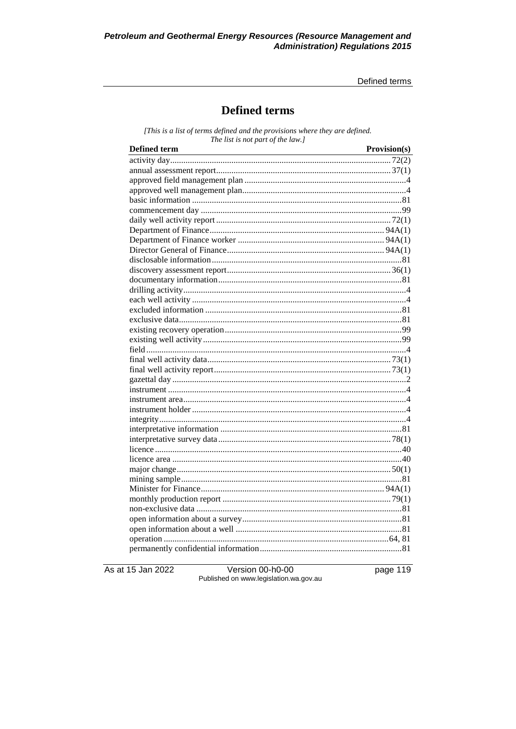Defined terms

# **Defined terms**

[This is a list of terms defined and the provisions where they are defined. The list is not part of the law.]

| <b>Defined term</b><br><u> 1989 - Johann Barn, mars ar breithinn ar chuid ann an t-</u> | Provision(s) |
|-----------------------------------------------------------------------------------------|--------------|
|                                                                                         |              |
|                                                                                         |              |
|                                                                                         |              |
|                                                                                         |              |
|                                                                                         |              |
|                                                                                         |              |
|                                                                                         |              |
|                                                                                         |              |
|                                                                                         |              |
|                                                                                         |              |
|                                                                                         |              |
|                                                                                         |              |
|                                                                                         |              |
|                                                                                         |              |
|                                                                                         |              |
|                                                                                         |              |
|                                                                                         |              |
|                                                                                         |              |
|                                                                                         |              |
|                                                                                         |              |
|                                                                                         |              |
|                                                                                         |              |
|                                                                                         |              |
|                                                                                         |              |
|                                                                                         |              |
|                                                                                         |              |
|                                                                                         |              |
|                                                                                         |              |
|                                                                                         |              |
|                                                                                         |              |
|                                                                                         |              |
|                                                                                         |              |
|                                                                                         |              |
|                                                                                         |              |
|                                                                                         |              |
|                                                                                         |              |
|                                                                                         |              |
|                                                                                         |              |
|                                                                                         |              |
|                                                                                         |              |

As at 15 Jan 2022

Version 00-h0-00 Published on www.legislation.wa.gov.au page 119